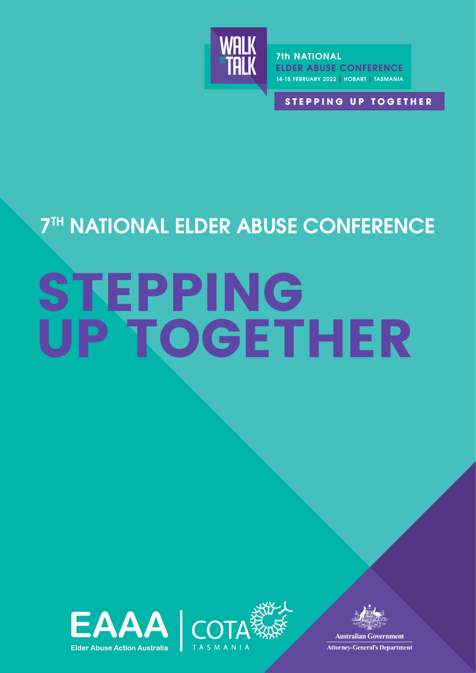

**7th NATIONAL ELDER ABUSE CONFERENCE** 14-15 FEBRUARY 2022 | HOBART | TASMANIA

**STEPPING UP TOGETHER** 

## **7TH NATIONAL ELDER ABUSE CONFERENCE**

# STEPPING UP TOGETHER







**Australian Government Attorney-General's Department**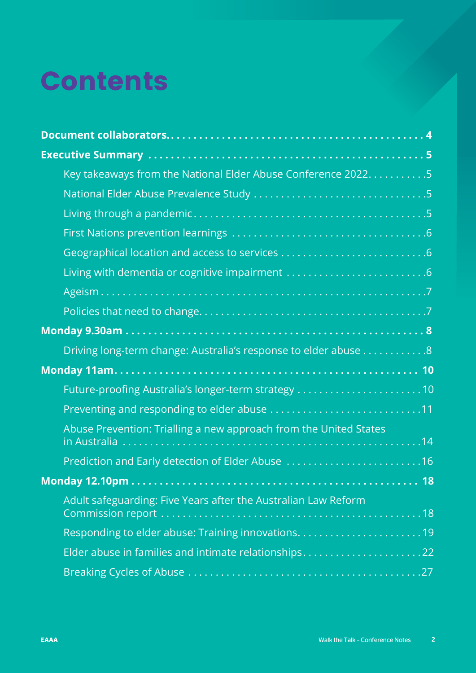## Contents

| Key takeaways from the National Elder Abuse Conference 20225      |  |
|-------------------------------------------------------------------|--|
|                                                                   |  |
|                                                                   |  |
|                                                                   |  |
|                                                                   |  |
|                                                                   |  |
|                                                                   |  |
|                                                                   |  |
|                                                                   |  |
| Driving long-term change: Australia's response to elder abuse 8   |  |
|                                                                   |  |
| Future-proofing Australia's longer-term strategy 10               |  |
| Preventing and responding to elder abuse 11                       |  |
| Abuse Prevention: Trialling a new approach from the United States |  |
| Prediction and Early detection of Elder Abuse 16                  |  |
|                                                                   |  |
| Adult safeguarding: Five Years after the Australian Law Reform    |  |
|                                                                   |  |
| Elder abuse in families and intimate relationships22              |  |
|                                                                   |  |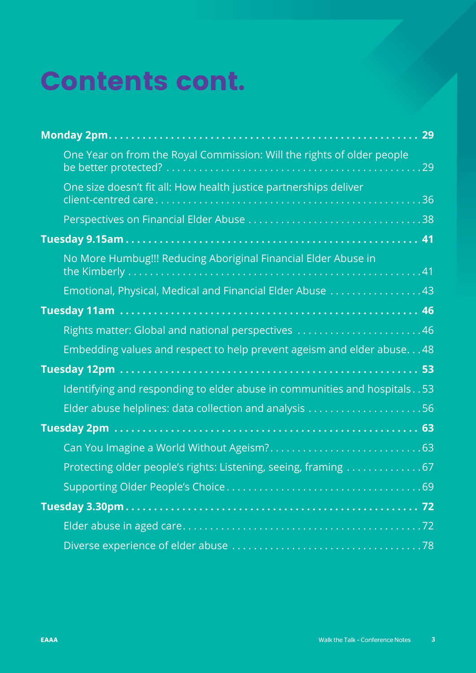## Contents cont.

| One Year on from the Royal Commission: Will the rights of older people       |
|------------------------------------------------------------------------------|
| One size doesn't fit all: How health justice partnerships deliver            |
|                                                                              |
|                                                                              |
| No More Humbug!!! Reducing Aboriginal Financial Elder Abuse in               |
| Emotional, Physical, Medical and Financial Elder Abuse 43                    |
|                                                                              |
| Rights matter: Global and national perspectives 46                           |
| Embedding values and respect to help prevent ageism and elder abuse48        |
|                                                                              |
| Identifying and responding to elder abuse in communities and hospitals. . 53 |
| Elder abuse helplines: data collection and analysis 56                       |
|                                                                              |
|                                                                              |
| Protecting older people's rights: Listening, seeing, framing 67              |
|                                                                              |
|                                                                              |
|                                                                              |
|                                                                              |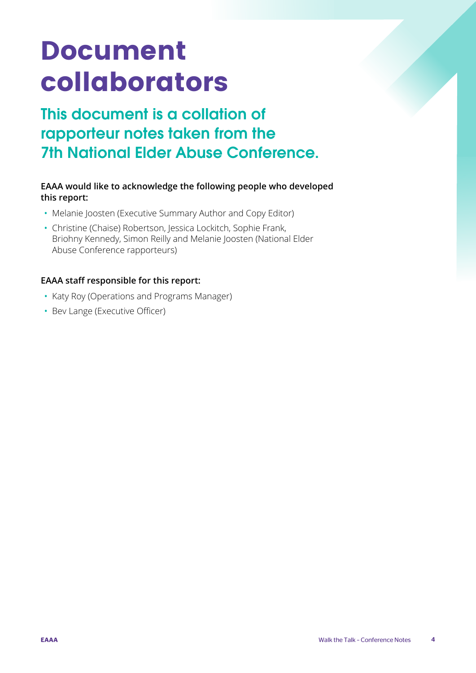## <span id="page-3-0"></span>Document collaborators

## This document is a collation of rapporteur notes taken from the 7th National Elder Abuse Conference.

#### **EAAA would like to acknowledge the following people who developed this report:**

- Melanie Joosten (Executive Summary Author and Copy Editor)
- Christine (Chaise) Robertson, Jessica Lockitch, Sophie Frank, Briohny Kennedy, Simon Reilly and Melanie Joosten (National Elder Abuse Conference rapporteurs)

#### **EAAA staff responsible for this report:**

- Katy Roy (Operations and Programs Manager)
- Bev Lange (Executive Officer)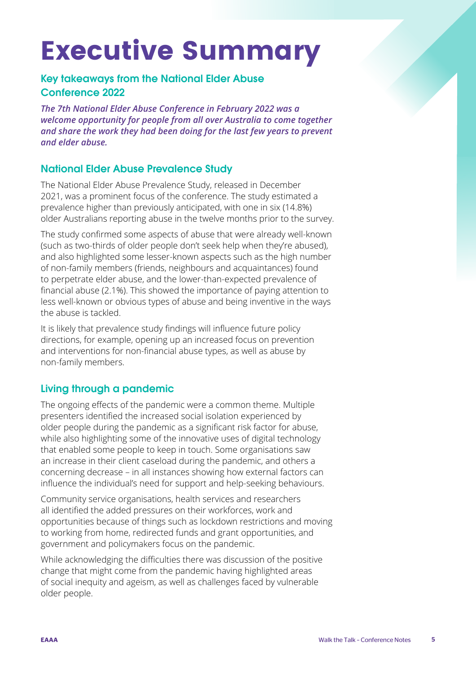## <span id="page-4-0"></span>Executive Summary

#### Key takeaways from the National Elder Abuse Conference 2022

*The 7th National Elder Abuse Conference in February 2022 was a welcome opportunity for people from all over Australia to come together and share the work they had been doing for the last few years to prevent and elder abuse.*

#### National Elder Abuse Prevalence Study

The National Elder Abuse Prevalence Study, released in December 2021, was a prominent focus of the conference. The study estimated a prevalence higher than previously anticipated, with one in six (14.8%) older Australians reporting abuse in the twelve months prior to the survey.

The study confirmed some aspects of abuse that were already well-known (such as two-thirds of older people don't seek help when they're abused), and also highlighted some lesser-known aspects such as the high number of non-family members (friends, neighbours and acquaintances) found to perpetrate elder abuse, and the lower-than-expected prevalence of financial abuse (2.1%). This showed the importance of paying attention to less well-known or obvious types of abuse and being inventive in the ways the abuse is tackled.

It is likely that prevalence study findings will influence future policy directions, for example, opening up an increased focus on prevention and interventions for non-financial abuse types, as well as abuse by non-family members.

#### Living through a pandemic

The ongoing effects of the pandemic were a common theme. Multiple presenters identified the increased social isolation experienced by older people during the pandemic as a significant risk factor for abuse, while also highlighting some of the innovative uses of digital technology that enabled some people to keep in touch. Some organisations saw an increase in their client caseload during the pandemic, and others a concerning decrease – in all instances showing how external factors can influence the individual's need for support and help-seeking behaviours.

Community service organisations, health services and researchers all identified the added pressures on their workforces, work and opportunities because of things such as lockdown restrictions and moving to working from home, redirected funds and grant opportunities, and government and policymakers focus on the pandemic.

While acknowledging the difficulties there was discussion of the positive change that might come from the pandemic having highlighted areas of social inequity and ageism, as well as challenges faced by vulnerable older people.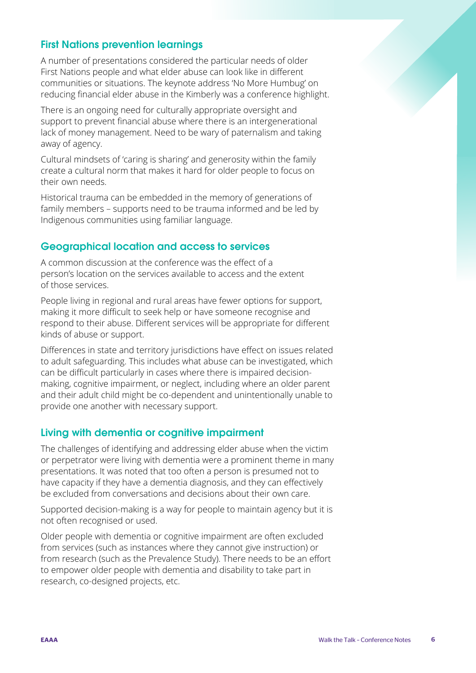#### <span id="page-5-0"></span>First Nations prevention learnings

A number of presentations considered the particular needs of older First Nations people and what elder abuse can look like in different communities or situations. The keynote address 'No More Humbug' on reducing financial elder abuse in the Kimberly was a conference highlight.

There is an ongoing need for culturally appropriate oversight and support to prevent financial abuse where there is an intergenerational lack of money management. Need to be wary of paternalism and taking away of agency.

Cultural mindsets of 'caring is sharing' and generosity within the family create a cultural norm that makes it hard for older people to focus on their own needs.

Historical trauma can be embedded in the memory of generations of family members – supports need to be trauma informed and be led by Indigenous communities using familiar language.

#### Geographical location and access to services

A common discussion at the conference was the effect of a person's location on the services available to access and the extent of those services.

People living in regional and rural areas have fewer options for support, making it more difficult to seek help or have someone recognise and respond to their abuse. Different services will be appropriate for different kinds of abuse or support.

Differences in state and territory jurisdictions have effect on issues related to adult safeguarding. This includes what abuse can be investigated, which can be difficult particularly in cases where there is impaired decisionmaking, cognitive impairment, or neglect, including where an older parent and their adult child might be co-dependent and unintentionally unable to provide one another with necessary support.

#### Living with dementia or cognitive impairment

The challenges of identifying and addressing elder abuse when the victim or perpetrator were living with dementia were a prominent theme in many presentations. It was noted that too often a person is presumed not to have capacity if they have a dementia diagnosis, and they can effectively be excluded from conversations and decisions about their own care.

Supported decision-making is a way for people to maintain agency but it is not often recognised or used.

Older people with dementia or cognitive impairment are often excluded from services (such as instances where they cannot give instruction) or from research (such as the Prevalence Study). There needs to be an effort to empower older people with dementia and disability to take part in research, co-designed projects, etc.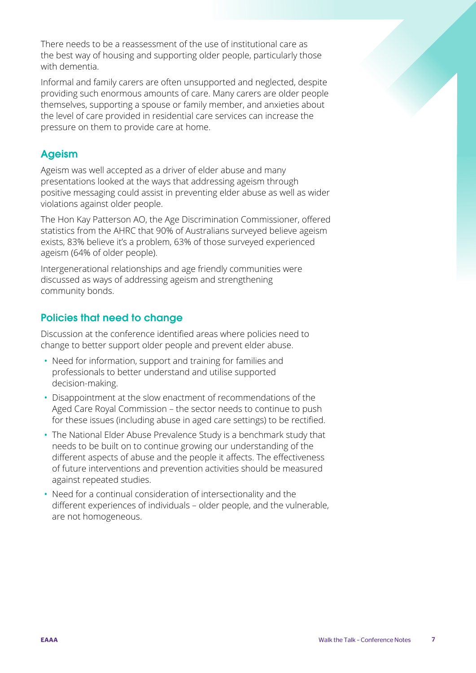<span id="page-6-0"></span>There needs to be a reassessment of the use of institutional care as the best way of housing and supporting older people, particularly those with dementia.

Informal and family carers are often unsupported and neglected, despite providing such enormous amounts of care. Many carers are older people themselves, supporting a spouse or family member, and anxieties about the level of care provided in residential care services can increase the pressure on them to provide care at home.

#### Ageism

Ageism was well accepted as a driver of elder abuse and many presentations looked at the ways that addressing ageism through positive messaging could assist in preventing elder abuse as well as wider violations against older people.

The Hon Kay Patterson AO, the Age Discrimination Commissioner, offered statistics from the AHRC that 90% of Australians surveyed believe ageism exists, 83% believe it's a problem, 63% of those surveyed experienced ageism (64% of older people).

Intergenerational relationships and age friendly communities were discussed as ways of addressing ageism and strengthening community bonds.

#### Policies that need to change

Discussion at the conference identified areas where policies need to change to better support older people and prevent elder abuse.

- Need for information, support and training for families and professionals to better understand and utilise supported decision-making.
- Disappointment at the slow enactment of recommendations of the Aged Care Royal Commission – the sector needs to continue to push for these issues (including abuse in aged care settings) to be rectified.
- The National Elder Abuse Prevalence Study is a benchmark study that needs to be built on to continue growing our understanding of the different aspects of abuse and the people it affects. The effectiveness of future interventions and prevention activities should be measured against repeated studies.
- Need for a continual consideration of intersectionality and the different experiences of individuals – older people, and the vulnerable, are not homogeneous.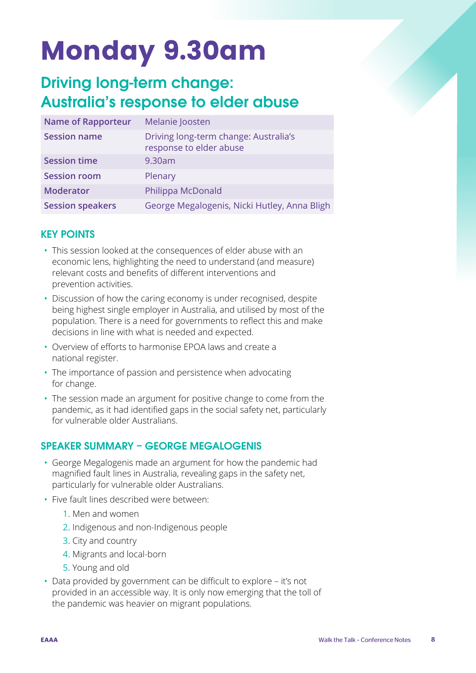## <span id="page-7-0"></span>Monday 9.30am

### Driving long-term change: Australia's response to elder abuse

| <b>Name of Rapporteur</b> | Melanie Joosten                                                  |
|---------------------------|------------------------------------------------------------------|
| <b>Session name</b>       | Driving long-term change: Australia's<br>response to elder abuse |
| <b>Session time</b>       | 9.30am                                                           |
| <b>Session room</b>       | Plenary                                                          |
| <b>Moderator</b>          | Philippa McDonald                                                |
| <b>Session speakers</b>   | George Megalogenis, Nicki Hutley, Anna Bligh                     |

#### KEY POINTS

- This session looked at the consequences of elder abuse with an economic lens, highlighting the need to understand (and measure) relevant costs and benefits of different interventions and prevention activities.
- Discussion of how the caring economy is under recognised, despite being highest single employer in Australia, and utilised by most of the population. There is a need for governments to reflect this and make decisions in line with what is needed and expected.
- Overview of efforts to harmonise EPOA laws and create a national register.
- The importance of passion and persistence when advocating for change.
- The session made an argument for positive change to come from the pandemic, as it had identified gaps in the social safety net, particularly for vulnerable older Australians.

#### SPEAKER SUMMARY – GEORGE MEGALOGENIS

- George Megalogenis made an argument for how the pandemic had magnified fault lines in Australia, revealing gaps in the safety net, particularly for vulnerable older Australians.
- Five fault lines described were between:
	- 1. Men and women
	- 2. Indigenous and non-Indigenous people
	- 3. City and country
	- 4. Migrants and local-born
	- 5. Young and old
- Data provided by government can be difficult to explore it's not provided in an accessible way. It is only now emerging that the toll of the pandemic was heavier on migrant populations.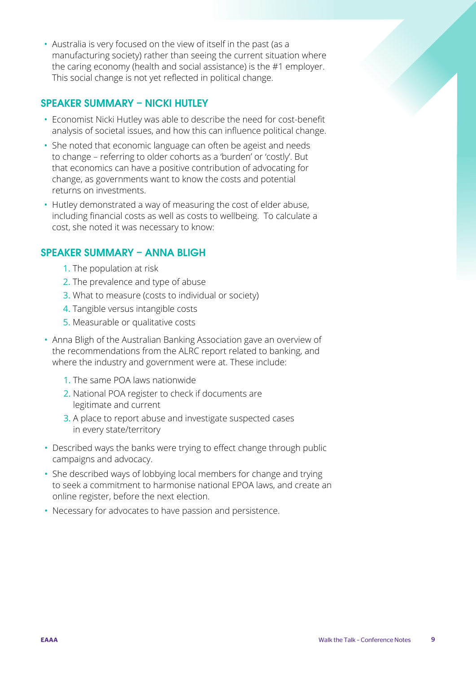• Australia is very focused on the view of itself in the past (as a manufacturing society) rather than seeing the current situation where the caring economy (health and social assistance) is the #1 employer. This social change is not yet reflected in political change.

#### SPEAKER SUMMARY – NICKI HUTLEY

- Economist Nicki Hutley was able to describe the need for cost-benefit analysis of societal issues, and how this can influence political change.
- She noted that economic language can often be ageist and needs to change – referring to older cohorts as a 'burden' or 'costly'. But that economics can have a positive contribution of advocating for change, as governments want to know the costs and potential returns on investments.
- Hutley demonstrated a way of measuring the cost of elder abuse, including financial costs as well as costs to wellbeing. To calculate a cost, she noted it was necessary to know:

#### SPEAKER SUMMARY – ANNA BLIGH

- 1. The population at risk
- 2. The prevalence and type of abuse
- 3. What to measure (costs to individual or society)
- 4. Tangible versus intangible costs
- 5. Measurable or qualitative costs
- Anna Bligh of the Australian Banking Association gave an overview of the recommendations from the ALRC report related to banking, and where the industry and government were at. These include:
	- 1. The same POA laws nationwide
	- 2. National POA register to check if documents are legitimate and current
	- 3. A place to report abuse and investigate suspected cases in every state/territory
- Described ways the banks were trying to effect change through public campaigns and advocacy.
- She described ways of lobbying local members for change and trying to seek a commitment to harmonise national EPOA laws, and create an online register, before the next election.
- Necessary for advocates to have passion and persistence.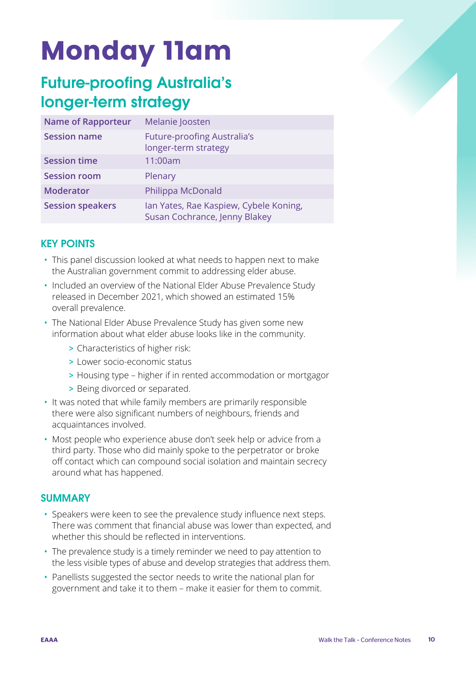## <span id="page-9-0"></span>Monday 11am

### Future-proofing Australia's longer-term strategy

| <b>Name of Rapporteur</b> | Melanie Joosten                                                         |
|---------------------------|-------------------------------------------------------------------------|
| <b>Session name</b>       | <b>Future-proofing Australia's</b><br>longer-term strategy              |
| <b>Session time</b>       | 11:00am                                                                 |
| <b>Session room</b>       | Plenary                                                                 |
| <b>Moderator</b>          | Philippa McDonald                                                       |
| <b>Session speakers</b>   | Ian Yates, Rae Kaspiew, Cybele Koning,<br>Susan Cochrance, Jenny Blakey |

#### KEY POINTS

- This panel discussion looked at what needs to happen next to make the Australian government commit to addressing elder abuse.
- Included an overview of the National Elder Abuse Prevalence Study released in December 2021, which showed an estimated 15% overall prevalence.
- The National Elder Abuse Prevalence Study has given some new information about what elder abuse looks like in the community.
	- > Characteristics of higher risk:
	- > Lower socio-economic status
	- > Housing type higher if in rented accommodation or mortgagor
	- > Being divorced or separated.
- It was noted that while family members are primarily responsible there were also significant numbers of neighbours, friends and acquaintances involved.
- Most people who experience abuse don't seek help or advice from a third party. Those who did mainly spoke to the perpetrator or broke off contact which can compound social isolation and maintain secrecy around what has happened.

#### **SUMMARY**

- Speakers were keen to see the prevalence study influence next steps. There was comment that financial abuse was lower than expected, and whether this should be reflected in interventions.
- The prevalence study is a timely reminder we need to pay attention to the less visible types of abuse and develop strategies that address them.
- Panellists suggested the sector needs to write the national plan for government and take it to them – make it easier for them to commit.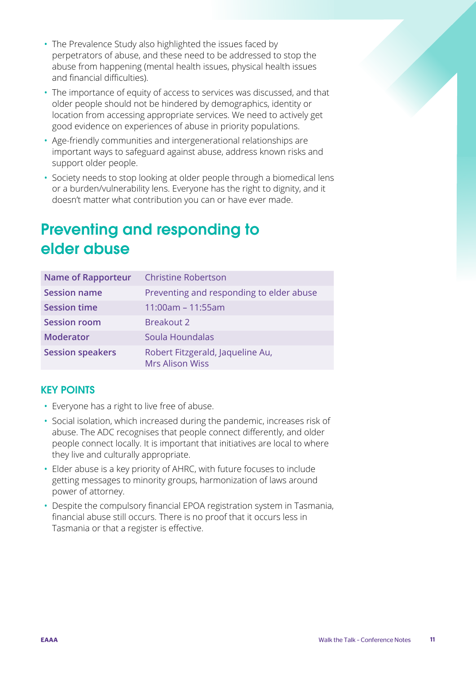- <span id="page-10-0"></span>• The Prevalence Study also highlighted the issues faced by perpetrators of abuse, and these need to be addressed to stop the abuse from happening (mental health issues, physical health issues and financial difficulties).
- The importance of equity of access to services was discussed, and that older people should not be hindered by demographics, identity or location from accessing appropriate services. We need to actively get good evidence on experiences of abuse in priority populations.
- Age-friendly communities and intergenerational relationships are important ways to safeguard against abuse, address known risks and support older people.
- Society needs to stop looking at older people through a biomedical lens or a burden/vulnerability lens. Everyone has the right to dignity, and it doesn't matter what contribution you can or have ever made.

## Preventing and responding to elder abuse

| <b>Name of Rapporteur</b> | <b>Christine Robertson</b>                                 |
|---------------------------|------------------------------------------------------------|
| <b>Session name</b>       | Preventing and responding to elder abuse                   |
| <b>Session time</b>       | $11:00am - 11:55am$                                        |
| <b>Session room</b>       | Breakout 2                                                 |
| <b>Moderator</b>          | Soula Houndalas                                            |
| <b>Session speakers</b>   | Robert Fitzgerald, Jaqueline Au,<br><b>Mrs Alison Wiss</b> |

#### KEY POINTS

- Everyone has a right to live free of abuse.
- Social isolation, which increased during the pandemic, increases risk of abuse. The ADC recognises that people connect differently, and older people connect locally. It is important that initiatives are local to where they live and culturally appropriate.
- Elder abuse is a key priority of AHRC, with future focuses to include getting messages to minority groups, harmonization of laws around power of attorney.
- Despite the compulsory financial EPOA registration system in Tasmania, financial abuse still occurs. There is no proof that it occurs less in Tasmania or that a register is effective.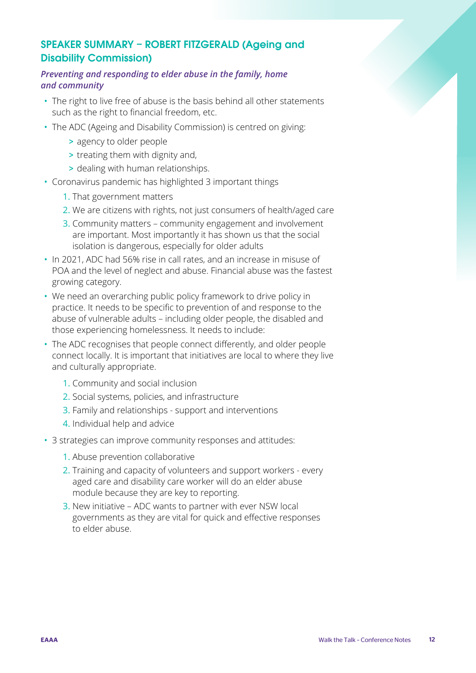#### SPEAKER SUMMARY – ROBERT FITZGERALD (Ageing and Disability Commission)

#### *Preventing and responding to elder abuse in the family, home and community*

- The right to live free of abuse is the basis behind all other statements such as the right to financial freedom, etc.
- The ADC (Ageing and Disability Commission) is centred on giving:
	- > agency to older people
	- > treating them with dignity and,
	- > dealing with human relationships.
- Coronavirus pandemic has highlighted 3 important things
	- 1. That government matters
	- 2. We are citizens with rights, not just consumers of health/aged care
	- 3. Community matters community engagement and involvement are important. Most importantly it has shown us that the social isolation is dangerous, especially for older adults
- In 2021, ADC had 56% rise in call rates, and an increase in misuse of POA and the level of neglect and abuse. Financial abuse was the fastest growing category.
- We need an overarching public policy framework to drive policy in practice. It needs to be specific to prevention of and response to the abuse of vulnerable adults – including older people, the disabled and those experiencing homelessness. It needs to include:
- The ADC recognises that people connect differently, and older people connect locally. It is important that initiatives are local to where they live and culturally appropriate.
	- 1. Community and social inclusion
	- 2. Social systems, policies, and infrastructure
	- 3. Family and relationships support and interventions
	- 4. Individual help and advice
- 3 strategies can improve community responses and attitudes:
	- 1. Abuse prevention collaborative
	- 2. Training and capacity of volunteers and support workers every aged care and disability care worker will do an elder abuse module because they are key to reporting.
	- 3. New initiative ADC wants to partner with ever NSW local governments as they are vital for quick and effective responses to elder abuse.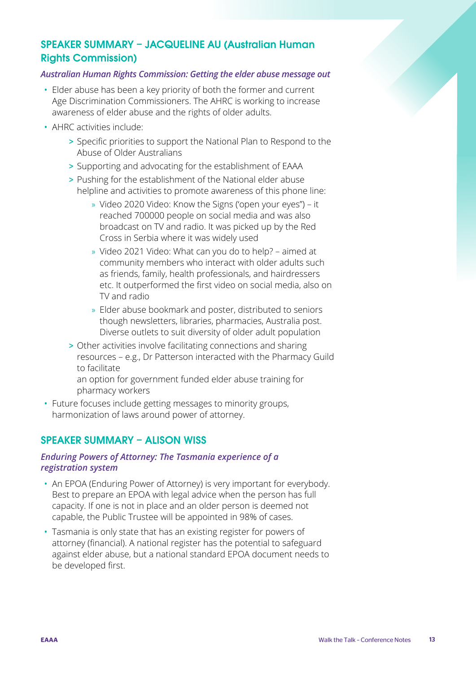#### SPEAKER SUMMARY – JACQUELINE AU (Australian Human Rights Commission)

#### *Australian Human Rights Commission: Getting the elder abuse message out*

- Elder abuse has been a key priority of both the former and current Age Discrimination Commissioners. The AHRC is working to increase awareness of elder abuse and the rights of older adults.
- AHRC activities include:
	- > Specific priorities to support the National Plan to Respond to the Abuse of Older Australians
	- > Supporting and advocating for the establishment of EAAA
	- > Pushing for the establishment of the National elder abuse helpline and activities to promote awareness of this phone line:
		- » Video 2020 Video: Know the Signs ('open your eyes") it reached 700000 people on social media and was also broadcast on TV and radio. It was picked up by the Red Cross in Serbia where it was widely used
		- » Video 2021 Video: What can you do to help? aimed at community members who interact with older adults such as friends, family, health professionals, and hairdressers etc. It outperformed the first video on social media, also on TV and radio
		- » Elder abuse bookmark and poster, distributed to seniors though newsletters, libraries, pharmacies, Australia post. Diverse outlets to suit diversity of older adult population
	- > Other activities involve facilitating connections and sharing resources – e.g., Dr Patterson interacted with the Pharmacy Guild to facilitate

an option for government funded elder abuse training for pharmacy workers

• Future focuses include getting messages to minority groups, harmonization of laws around power of attorney.

#### SPEAKER SUMMARY – ALISON WISS

#### *Enduring Powers of Attorney: The Tasmania experience of a registration system*

- An EPOA (Enduring Power of Attorney) is very important for everybody. Best to prepare an EPOA with legal advice when the person has full capacity. If one is not in place and an older person is deemed not capable, the Public Trustee will be appointed in 98% of cases.
- Tasmania is only state that has an existing register for powers of attorney (financial). A national register has the potential to safeguard against elder abuse, but a national standard EPOA document needs to be developed first.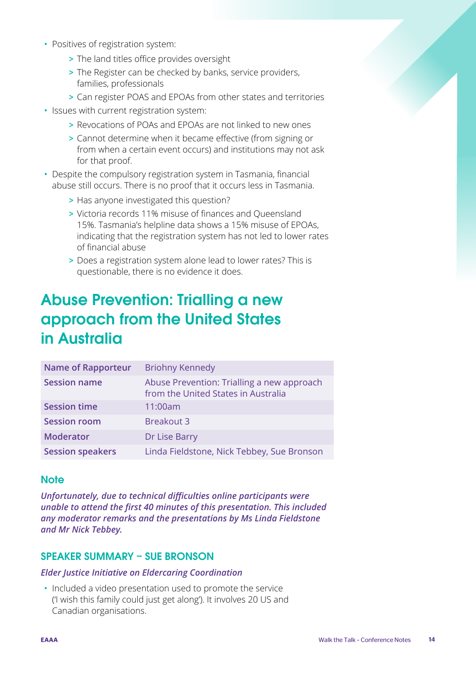- <span id="page-13-0"></span>• Positives of registration system:
	- > The land titles office provides oversight
	- > The Register can be checked by banks, service providers, families, professionals
	- > Can register POAS and EPOAs from other states and territories
- Issues with current registration system:
	- > Revocations of POAs and EPOAs are not linked to new ones
	- > Cannot determine when it became effective (from signing or from when a certain event occurs) and institutions may not ask for that proof.
- Despite the compulsory registration system in Tasmania, financial abuse still occurs. There is no proof that it occurs less in Tasmania.
	- > Has anyone investigated this question?
	- > Victoria records 11% misuse of finances and Queensland 15%. Tasmania's helpline data shows a 15% misuse of EPOAs, indicating that the registration system has not led to lower rates of financial abuse
	- > Does a registration system alone lead to lower rates? This is questionable, there is no evidence it does.

### Abuse Prevention: Trialling a new approach from the United States in Australia

| <b>Name of Rapporteur</b> | <b>Briohny Kennedy</b>                                                            |
|---------------------------|-----------------------------------------------------------------------------------|
| <b>Session name</b>       | Abuse Prevention: Trialling a new approach<br>from the United States in Australia |
| <b>Session time</b>       | 11:00am                                                                           |
| <b>Session room</b>       | <b>Breakout 3</b>                                                                 |
| <b>Moderator</b>          | Dr Lise Barry                                                                     |
| <b>Session speakers</b>   | Linda Fieldstone, Nick Tebbey, Sue Bronson                                        |

#### **Note**

*Unfortunately, due to technical difficulties online participants were unable to attend the first 40 minutes of this presentation. This included any moderator remarks and the presentations by Ms Linda Fieldstone and Mr Nick Tebbey.* 

#### SPEAKER SUMMARY – SUE BRONSON

#### *Elder Justice Initiative on Eldercaring Coordination*

• Included a video presentation used to promote the service ('I wish this family could just get along'). It involves 20 US and Canadian organisations.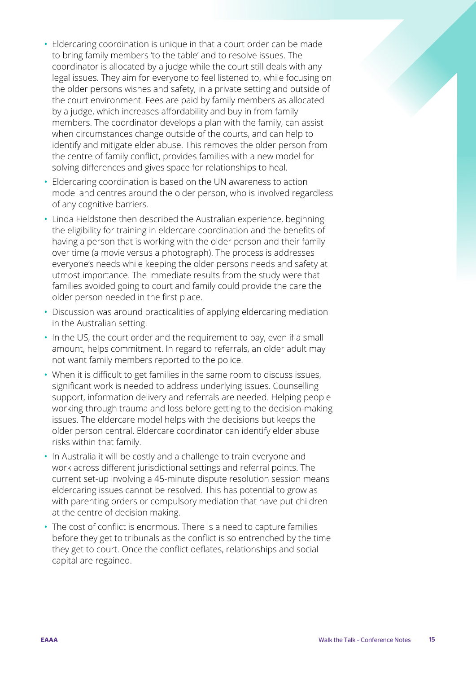- Eldercaring coordination is unique in that a court order can be made to bring family members 'to the table' and to resolve issues. The coordinator is allocated by a judge while the court still deals with any legal issues. They aim for everyone to feel listened to, while focusing on the older persons wishes and safety, in a private setting and outside of the court environment. Fees are paid by family members as allocated by a judge, which increases affordability and buy in from family members. The coordinator develops a plan with the family, can assist when circumstances change outside of the courts, and can help to identify and mitigate elder abuse. This removes the older person from the centre of family conflict, provides families with a new model for solving differences and gives space for relationships to heal.
- Eldercaring coordination is based on the UN awareness to action model and centres around the older person, who is involved regardless of any cognitive barriers.
- Linda Fieldstone then described the Australian experience, beginning the eligibility for training in eldercare coordination and the benefits of having a person that is working with the older person and their family over time (a movie versus a photograph). The process is addresses everyone's needs while keeping the older persons needs and safety at utmost importance. The immediate results from the study were that families avoided going to court and family could provide the care the older person needed in the first place.
- Discussion was around practicalities of applying eldercaring mediation in the Australian setting.
- In the US, the court order and the requirement to pay, even if a small amount, helps commitment. In regard to referrals, an older adult may not want family members reported to the police.
- When it is difficult to get families in the same room to discuss issues, significant work is needed to address underlying issues. Counselling support, information delivery and referrals are needed. Helping people working through trauma and loss before getting to the decision-making issues. The eldercare model helps with the decisions but keeps the older person central. Eldercare coordinator can identify elder abuse risks within that family.
- In Australia it will be costly and a challenge to train everyone and work across different jurisdictional settings and referral points. The current set-up involving a 45-minute dispute resolution session means eldercaring issues cannot be resolved. This has potential to grow as with parenting orders or compulsory mediation that have put children at the centre of decision making.
- The cost of conflict is enormous. There is a need to capture families before they get to tribunals as the conflict is so entrenched by the time they get to court. Once the conflict deflates, relationships and social capital are regained.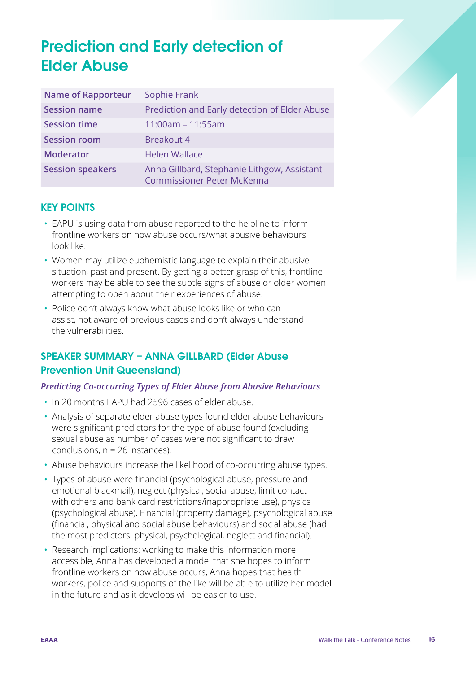## <span id="page-15-0"></span>Prediction and Early detection of Elder Abuse

| <b>Name of Rapporteur</b> | Sophie Frank                                                                     |
|---------------------------|----------------------------------------------------------------------------------|
| <b>Session name</b>       | Prediction and Early detection of Elder Abuse                                    |
| <b>Session time</b>       | $11:00am - 11:55am$                                                              |
| <b>Session room</b>       | <b>Breakout 4</b>                                                                |
| <b>Moderator</b>          | <b>Helen Wallace</b>                                                             |
| <b>Session speakers</b>   | Anna Gillbard, Stephanie Lithgow, Assistant<br><b>Commissioner Peter McKenna</b> |

#### KEY POINTS

- EAPU is using data from abuse reported to the helpline to inform frontline workers on how abuse occurs/what abusive behaviours look like.
- Women may utilize euphemistic language to explain their abusive situation, past and present. By getting a better grasp of this, frontline workers may be able to see the subtle signs of abuse or older women attempting to open about their experiences of abuse.
- Police don't always know what abuse looks like or who can assist, not aware of previous cases and don't always understand the vulnerabilities.

#### SPEAKER SUMMARY – ANNA GILLBARD (Elder Abuse Prevention Unit Queensland)

#### *Predicting Co-occurring Types of Elder Abuse from Abusive Behaviours*

- In 20 months EAPU had 2596 cases of elder abuse.
- Analysis of separate elder abuse types found elder abuse behaviours were significant predictors for the type of abuse found (excluding sexual abuse as number of cases were not significant to draw conclusions, n = 26 instances).
- Abuse behaviours increase the likelihood of co-occurring abuse types.
- Types of abuse were financial (psychological abuse, pressure and emotional blackmail), neglect (physical, social abuse, limit contact with others and bank card restrictions/inappropriate use), physical (psychological abuse), Financial (property damage), psychological abuse (financial, physical and social abuse behaviours) and social abuse (had the most predictors: physical, psychological, neglect and financial).
- Research implications: working to make this information more accessible, Anna has developed a model that she hopes to inform frontline workers on how abuse occurs, Anna hopes that health workers, police and supports of the like will be able to utilize her model in the future and as it develops will be easier to use.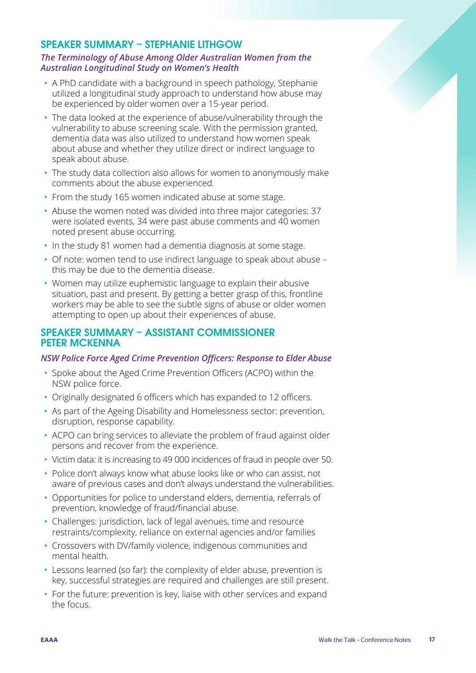#### SPEAKER SUMMARY – STEPHANIE LITHGOW

#### *The Terminology of Abuse Among Older Australian Women from the Australian Longitudinal Study on Women's Health*

- A PhD candidate with a background in speech pathology, Stephanie utilized a longitudinal study approach to understand how abuse may be experienced by older women over a 15-year period.
- The data looked at the experience of abuse/vulnerability through the vulnerability to abuse screening scale. With the permission granted, dementia data was also utilized to understand how women speak about abuse and whether they utilize direct or indirect language to speak about abuse.
- The study data collection also allows for women to anonymously make comments about the abuse experienced.
- From the study 165 women indicated abuse at some stage.
- Abuse the women noted was divided into three major categories: 37 were isolated events, 34 were past abuse comments and 40 women noted present abuse occurring.
- In the study 81 women had a dementia diagnosis at some stage.
- Of note: women tend to use indirect language to speak about abuse this may be due to the dementia disease.
- Women may utilize euphemistic language to explain their abusive situation, past and present. By getting a better grasp of this, frontline workers may be able to see the subtle signs of abuse or older women attempting to open up about their experiences of abuse.

#### SPEAKER SUMMARY – ASSISTANT COMMISSIONER PETER MCKENNA

#### *NSW Police Force Aged Crime Prevention Officers: Response to Elder Abuse*

- Spoke about the Aged Crime Prevention Officers (ACPO) within the NSW police force.
- Originally designated 6 officers which has expanded to 12 officers.
- As part of the Ageing Disability and Homelessness sector: prevention, disruption, response capability.
- ACPO can bring services to alleviate the problem of fraud against older persons and recover from the experience.
- Victim data: it is increasing to 49 000 incidences of fraud in people over 50.
- Police don't always know what abuse looks like or who can assist, not aware of previous cases and don't always understand the vulnerabilities.
- Opportunities for police to understand elders, dementia, referrals of prevention, knowledge of fraud/financial abuse.
- Challenges: jurisdiction, lack of legal avenues, time and resource restraints/complexity, reliance on external agencies and/or families
- Crossovers with DV/family violence, indigenous communities and mental health.
- Lessons learned (so far): the complexity of elder abuse, prevention is key, successful strategies are required and challenges are still present.
- For the future: prevention is key, liaise with other services and expand the focus.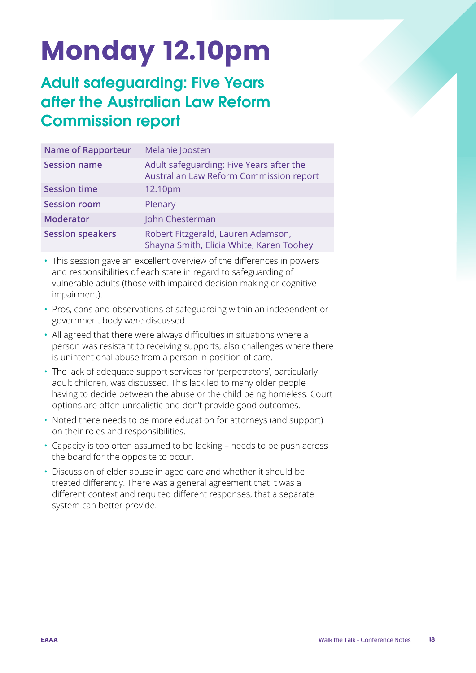## <span id="page-17-0"></span>Monday 12.10pm

### Adult safeguarding: Five Years after the Australian Law Reform Commission report

| <b>Name of Rapporteur</b> | Melanie Joosten                                                                     |
|---------------------------|-------------------------------------------------------------------------------------|
| <b>Session name</b>       | Adult safeguarding: Five Years after the<br>Australian Law Reform Commission report |
| <b>Session time</b>       | 12.10pm                                                                             |
| <b>Session room</b>       | Plenary                                                                             |
| <b>Moderator</b>          | John Chesterman                                                                     |
| <b>Session speakers</b>   | Robert Fitzgerald, Lauren Adamson,<br>Shayna Smith, Elicia White, Karen Toohey      |

- This session gave an excellent overview of the differences in powers and responsibilities of each state in regard to safeguarding of vulnerable adults (those with impaired decision making or cognitive impairment).
- Pros, cons and observations of safeguarding within an independent or government body were discussed.
- All agreed that there were always difficulties in situations where a person was resistant to receiving supports; also challenges where there is unintentional abuse from a person in position of care.
- The lack of adequate support services for 'perpetrators', particularly adult children, was discussed. This lack led to many older people having to decide between the abuse or the child being homeless. Court options are often unrealistic and don't provide good outcomes.
- Noted there needs to be more education for attorneys (and support) on their roles and responsibilities.
- Capacity is too often assumed to be lacking needs to be push across the board for the opposite to occur.
- Discussion of elder abuse in aged care and whether it should be treated differently. There was a general agreement that it was a different context and requited different responses, that a separate system can better provide.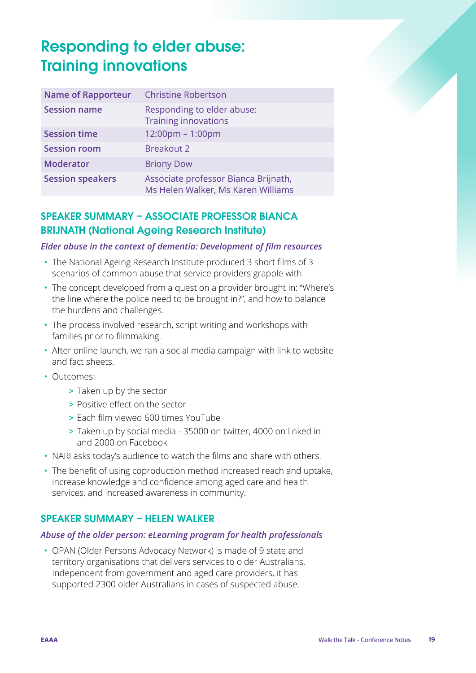### <span id="page-18-0"></span>Responding to elder abuse: Training innovations

| <b>Name of Rapporteur</b> | <b>Christine Robertson</b>                                                 |
|---------------------------|----------------------------------------------------------------------------|
| <b>Session name</b>       | Responding to elder abuse:<br><b>Training innovations</b>                  |
| <b>Session time</b>       | 12:00pm - 1:00pm                                                           |
| <b>Session room</b>       | <b>Breakout 2</b>                                                          |
| <b>Moderator</b>          | <b>Briony Dow</b>                                                          |
| <b>Session speakers</b>   | Associate professor Bianca Brijnath,<br>Ms Helen Walker, Ms Karen Williams |

#### SPEAKER SUMMARY – ASSOCIATE PROFESSOR BIANCA BRIJNATH (National Ageing Research Institute)

#### *Elder abuse in the context of dementia: Development of film resources*

- The National Ageing Research Institute produced 3 short films of 3 scenarios of common abuse that service providers grapple with.
- The concept developed from a question a provider brought in: "Where's the line where the police need to be brought in?", and how to balance the burdens and challenges.
- The process involved research, script writing and workshops with families prior to filmmaking.
- After online launch, we ran a social media campaign with link to website and fact sheets.
- Outcomes:
	- > Taken up by the sector
	- > Positive effect on the sector
	- > Each film viewed 600 times YouTube
	- > Taken up by social media 35000 on twitter, 4000 on linked in and 2000 on Facebook
- NARI asks today's audience to watch the films and share with others.
- The benefit of using coproduction method increased reach and uptake, increase knowledge and confidence among aged care and health services, and increased awareness in community.

#### SPEAKER SUMMARY – HELEN WALKER

#### *Abuse of the older person: eLearning program for health professionals*

• OPAN (Older Persons Advocacy Network) is made of 9 state and territory organisations that delivers services to older Australians. Independent from government and aged care providers, it has supported 2300 older Australians in cases of suspected abuse.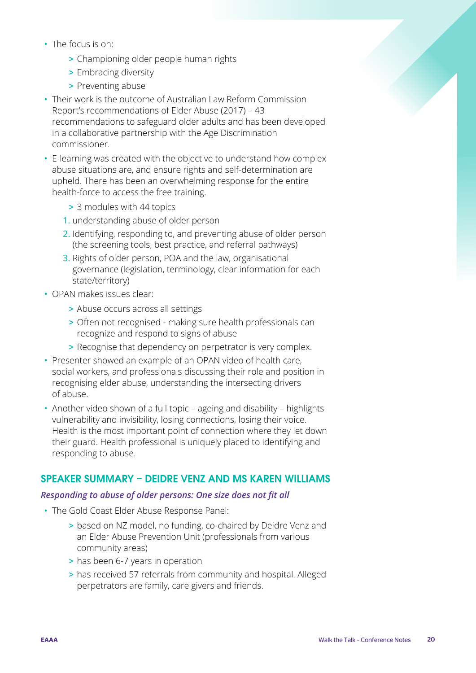- The focus is on:
	- > Championing older people human rights
	- > Embracing diversity
	- > Preventing abuse
- Their work is the outcome of Australian Law Reform Commission Report's recommendations of Elder Abuse (2017) – 43 recommendations to safeguard older adults and has been developed in a collaborative partnership with the Age Discrimination commissioner.
- E-learning was created with the objective to understand how complex abuse situations are, and ensure rights and self-determination are upheld. There has been an overwhelming response for the entire health-force to access the free training.
	- > 3 modules with 44 topics
	- 1. understanding abuse of older person
	- 2. Identifying, responding to, and preventing abuse of older person (the screening tools, best practice, and referral pathways)
	- 3. Rights of older person, POA and the law, organisational governance (legislation, terminology, clear information for each state/territory)
- OPAN makes issues clear:
	- > Abuse occurs across all settings
	- > Often not recognised making sure health professionals can recognize and respond to signs of abuse
	- > Recognise that dependency on perpetrator is very complex.
- Presenter showed an example of an OPAN video of health care, social workers, and professionals discussing their role and position in recognising elder abuse, understanding the intersecting drivers of abuse.
- Another video shown of a full topic ageing and disability highlights vulnerability and invisibility, losing connections, losing their voice. Health is the most important point of connection where they let down their guard. Health professional is uniquely placed to identifying and responding to abuse.

#### SPEAKER SUMMARY – DEIDRE VENZ AND MS KAREN WILLIAMS

#### *Responding to abuse of older persons: One size does not fit all*

- The Gold Coast Elder Abuse Response Panel:
	- > based on NZ model, no funding, co-chaired by Deidre Venz and an Elder Abuse Prevention Unit (professionals from various community areas)
	- > has been 6-7 years in operation
	- > has received 57 referrals from community and hospital. Alleged perpetrators are family, care givers and friends.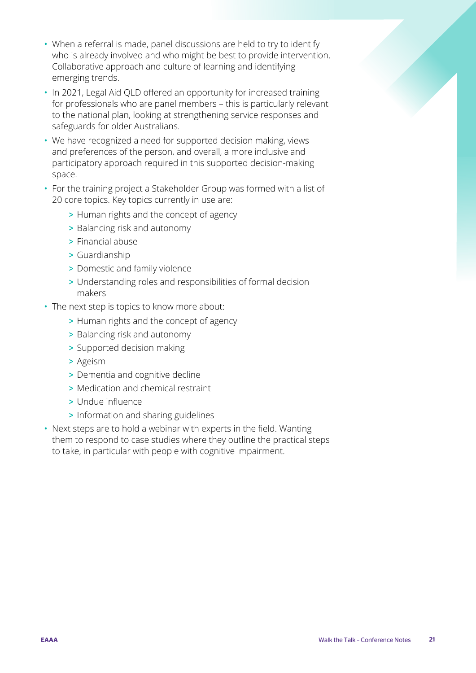- When a referral is made, panel discussions are held to try to identify who is already involved and who might be best to provide intervention. Collaborative approach and culture of learning and identifying emerging trends.
- In 2021, Legal Aid QLD offered an opportunity for increased training for professionals who are panel members – this is particularly relevant to the national plan, looking at strengthening service responses and safeguards for older Australians.
- We have recognized a need for supported decision making, views and preferences of the person, and overall, a more inclusive and participatory approach required in this supported decision-making space.
- For the training project a Stakeholder Group was formed with a list of 20 core topics. Key topics currently in use are:
	- > Human rights and the concept of agency
	- > Balancing risk and autonomy
	- > Financial abuse
	- > Guardianship
	- > Domestic and family violence
	- > Understanding roles and responsibilities of formal decision makers
- The next step is topics to know more about:
	- > Human rights and the concept of agency
	- > Balancing risk and autonomy
	- > Supported decision making
	- > Ageism
	- > Dementia and cognitive decline
	- > Medication and chemical restraint
	- > Undue influence
	- > Information and sharing guidelines
- Next steps are to hold a webinar with experts in the field. Wanting them to respond to case studies where they outline the practical steps to take, in particular with people with cognitive impairment.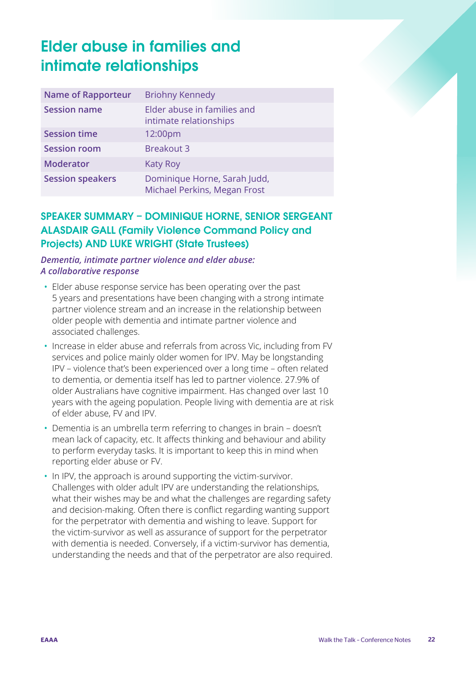### <span id="page-21-0"></span>Elder abuse in families and intimate relationships

| <b>Name of Rapporteur</b> | <b>Briohny Kennedy</b>                                       |
|---------------------------|--------------------------------------------------------------|
| <b>Session name</b>       | Elder abuse in families and<br>intimate relationships        |
| <b>Session time</b>       | 12:00pm                                                      |
| <b>Session room</b>       | <b>Breakout 3</b>                                            |
| <b>Moderator</b>          | <b>Katy Roy</b>                                              |
| <b>Session speakers</b>   | Dominique Horne, Sarah Judd,<br>Michael Perkins, Megan Frost |

#### SPEAKER SUMMARY – DOMINIQUE HORNE, SENIOR SERGEANT ALASDAIR GALL (Family Violence Command Policy and Projects) AND LUKE WRIGHT (State Trustees)

#### *Dementia, intimate partner violence and elder abuse: A collaborative response*

- Elder abuse response service has been operating over the past 5 years and presentations have been changing with a strong intimate partner violence stream and an increase in the relationship between older people with dementia and intimate partner violence and associated challenges.
- Increase in elder abuse and referrals from across Vic, including from FV services and police mainly older women for IPV. May be longstanding IPV – violence that's been experienced over a long time – often related to dementia, or dementia itself has led to partner violence. 27.9% of older Australians have cognitive impairment. Has changed over last 10 years with the ageing population. People living with dementia are at risk of elder abuse, FV and IPV.
- Dementia is an umbrella term referring to changes in brain doesn't mean lack of capacity, etc. It affects thinking and behaviour and ability to perform everyday tasks. It is important to keep this in mind when reporting elder abuse or FV.
- In IPV, the approach is around supporting the victim-survivor. Challenges with older adult IPV are understanding the relationships, what their wishes may be and what the challenges are regarding safety and decision-making. Often there is conflict regarding wanting support for the perpetrator with dementia and wishing to leave. Support for the victim-survivor as well as assurance of support for the perpetrator with dementia is needed. Conversely, if a victim-survivor has dementia, understanding the needs and that of the perpetrator are also required.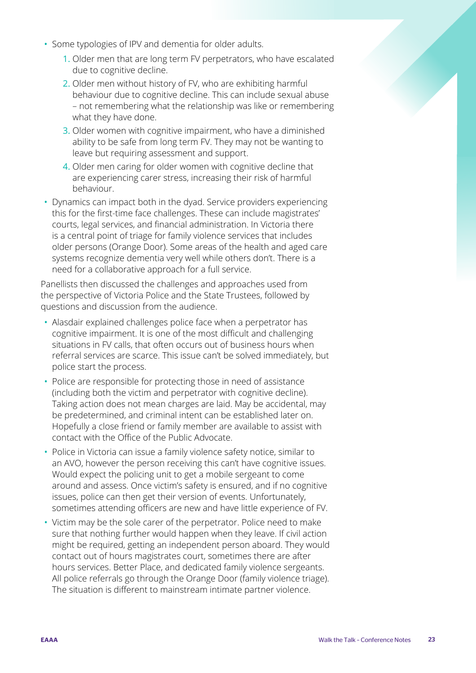- Some typologies of IPV and dementia for older adults.
	- 1. Older men that are long term FV perpetrators, who have escalated due to cognitive decline.
	- 2. Older men without history of FV, who are exhibiting harmful behaviour due to cognitive decline. This can include sexual abuse – not remembering what the relationship was like or remembering what they have done.
	- 3. Older women with cognitive impairment, who have a diminished ability to be safe from long term FV. They may not be wanting to leave but requiring assessment and support.
	- 4. Older men caring for older women with cognitive decline that are experiencing carer stress, increasing their risk of harmful behaviour.
- Dynamics can impact both in the dyad. Service providers experiencing this for the first-time face challenges. These can include magistrates' courts, legal services, and financial administration. In Victoria there is a central point of triage for family violence services that includes older persons (Orange Door). Some areas of the health and aged care systems recognize dementia very well while others don't. There is a need for a collaborative approach for a full service.

Panellists then discussed the challenges and approaches used from the perspective of Victoria Police and the State Trustees, followed by questions and discussion from the audience.

- Alasdair explained challenges police face when a perpetrator has cognitive impairment. It is one of the most difficult and challenging situations in FV calls, that often occurs out of business hours when referral services are scarce. This issue can't be solved immediately, but police start the process.
- Police are responsible for protecting those in need of assistance (including both the victim and perpetrator with cognitive decline). Taking action does not mean charges are laid. May be accidental, may be predetermined, and criminal intent can be established later on. Hopefully a close friend or family member are available to assist with contact with the Office of the Public Advocate.
- Police in Victoria can issue a family violence safety notice, similar to an AVO, however the person receiving this can't have cognitive issues. Would expect the policing unit to get a mobile sergeant to come around and assess. Once victim's safety is ensured, and if no cognitive issues, police can then get their version of events. Unfortunately, sometimes attending officers are new and have little experience of FV.
- Victim may be the sole carer of the perpetrator. Police need to make sure that nothing further would happen when they leave. If civil action might be required, getting an independent person aboard. They would contact out of hours magistrates court, sometimes there are after hours services. Better Place, and dedicated family violence sergeants. All police referrals go through the Orange Door (family violence triage). The situation is different to mainstream intimate partner violence.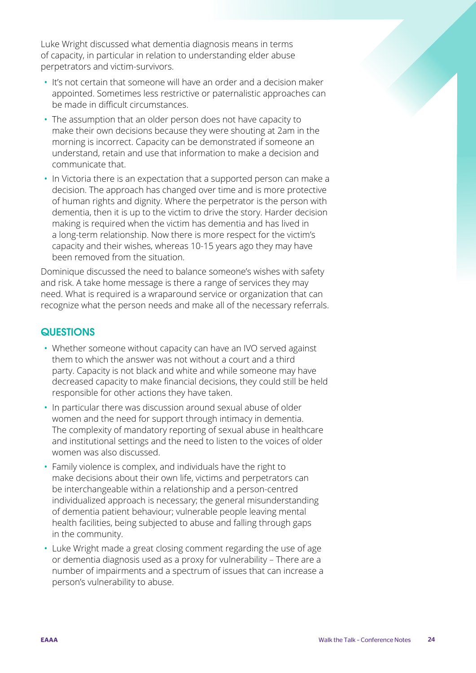Luke Wright discussed what dementia diagnosis means in terms of capacity, in particular in relation to understanding elder abuse perpetrators and victim-survivors.

- It's not certain that someone will have an order and a decision maker appointed. Sometimes less restrictive or paternalistic approaches can be made in difficult circumstances.
- The assumption that an older person does not have capacity to make their own decisions because they were shouting at 2am in the morning is incorrect. Capacity can be demonstrated if someone an understand, retain and use that information to make a decision and communicate that.
- In Victoria there is an expectation that a supported person can make a decision. The approach has changed over time and is more protective of human rights and dignity. Where the perpetrator is the person with dementia, then it is up to the victim to drive the story. Harder decision making is required when the victim has dementia and has lived in a long-term relationship. Now there is more respect for the victim's capacity and their wishes, whereas 10-15 years ago they may have been removed from the situation.

Dominique discussed the need to balance someone's wishes with safety and risk. A take home message is there a range of services they may need. What is required is a wraparound service or organization that can recognize what the person needs and make all of the necessary referrals.

#### **QUESTIONS**

- Whether someone without capacity can have an IVO served against them to which the answer was not without a court and a third party. Capacity is not black and white and while someone may have decreased capacity to make financial decisions, they could still be held responsible for other actions they have taken.
- In particular there was discussion around sexual abuse of older women and the need for support through intimacy in dementia. The complexity of mandatory reporting of sexual abuse in healthcare and institutional settings and the need to listen to the voices of older women was also discussed.
- Family violence is complex, and individuals have the right to make decisions about their own life, victims and perpetrators can be interchangeable within a relationship and a person-centred individualized approach is necessary; the general misunderstanding of dementia patient behaviour; vulnerable people leaving mental health facilities, being subjected to abuse and falling through gaps in the community.
- Luke Wright made a great closing comment regarding the use of age or dementia diagnosis used as a proxy for vulnerability – There are a number of impairments and a spectrum of issues that can increase a person's vulnerability to abuse.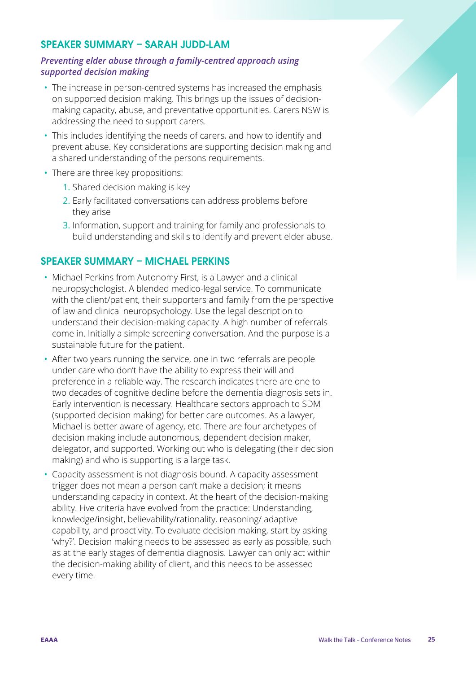#### SPEAKER SUMMARY – SARAH JUDD-LAM

#### *Preventing elder abuse through a family-centred approach using supported decision making*

- The increase in person-centred systems has increased the emphasis on supported decision making. This brings up the issues of decisionmaking capacity, abuse, and preventative opportunities. Carers NSW is addressing the need to support carers.
- This includes identifying the needs of carers, and how to identify and prevent abuse. Key considerations are supporting decision making and a shared understanding of the persons requirements.
- There are three key propositions:
	- 1. Shared decision making is key
	- 2. Early facilitated conversations can address problems before they arise
	- 3. Information, support and training for family and professionals to build understanding and skills to identify and prevent elder abuse.

#### SPEAKER SUMMARY – MICHAEL PERKINS

- Michael Perkins from Autonomy First, is a Lawyer and a clinical neuropsychologist. A blended medico-legal service. To communicate with the client/patient, their supporters and family from the perspective of law and clinical neuropsychology. Use the legal description to understand their decision-making capacity. A high number of referrals come in. Initially a simple screening conversation. And the purpose is a sustainable future for the patient.
- After two years running the service, one in two referrals are people under care who don't have the ability to express their will and preference in a reliable way. The research indicates there are one to two decades of cognitive decline before the dementia diagnosis sets in. Early intervention is necessary. Healthcare sectors approach to SDM (supported decision making) for better care outcomes. As a lawyer, Michael is better aware of agency, etc. There are four archetypes of decision making include autonomous, dependent decision maker, delegator, and supported. Working out who is delegating (their decision making) and who is supporting is a large task.
- Capacity assessment is not diagnosis bound. A capacity assessment trigger does not mean a person can't make a decision; it means understanding capacity in context. At the heart of the decision-making ability. Five criteria have evolved from the practice: Understanding, knowledge/insight, believability/rationality, reasoning/ adaptive capability, and proactivity. To evaluate decision making, start by asking 'why?'. Decision making needs to be assessed as early as possible, such as at the early stages of dementia diagnosis. Lawyer can only act within the decision-making ability of client, and this needs to be assessed every time.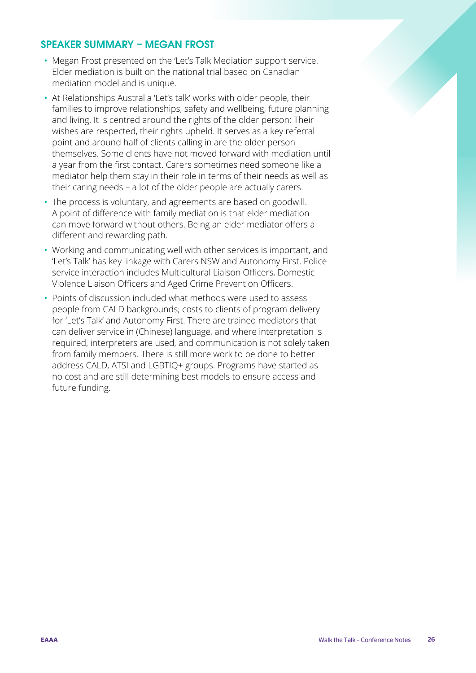#### SPEAKER SUMMARY – MEGAN FROST

- Megan Frost presented on the 'Let's Talk Mediation support service. Elder mediation is built on the national trial based on Canadian mediation model and is unique.
- At Relationships Australia 'Let's talk' works with older people, their families to improve relationships, safety and wellbeing, future planning and living. It is centred around the rights of the older person; Their wishes are respected, their rights upheld. It serves as a key referral point and around half of clients calling in are the older person themselves. Some clients have not moved forward with mediation until a year from the first contact. Carers sometimes need someone like a mediator help them stay in their role in terms of their needs as well as their caring needs – a lot of the older people are actually carers.
- The process is voluntary, and agreements are based on goodwill. A point of difference with family mediation is that elder mediation can move forward without others. Being an elder mediator offers a different and rewarding path.
- Working and communicating well with other services is important, and 'Let's Talk' has key linkage with Carers NSW and Autonomy First. Police service interaction includes Multicultural Liaison Officers, Domestic Violence Liaison Officers and Aged Crime Prevention Officers.
- Points of discussion included what methods were used to assess people from CALD backgrounds; costs to clients of program delivery for 'Let's Talk' and Autonomy First. There are trained mediators that can deliver service in (Chinese) language, and where interpretation is required, interpreters are used, and communication is not solely taken from family members. There is still more work to be done to better address CALD, ATSI and LGBTIQ+ groups. Programs have started as no cost and are still determining best models to ensure access and future funding.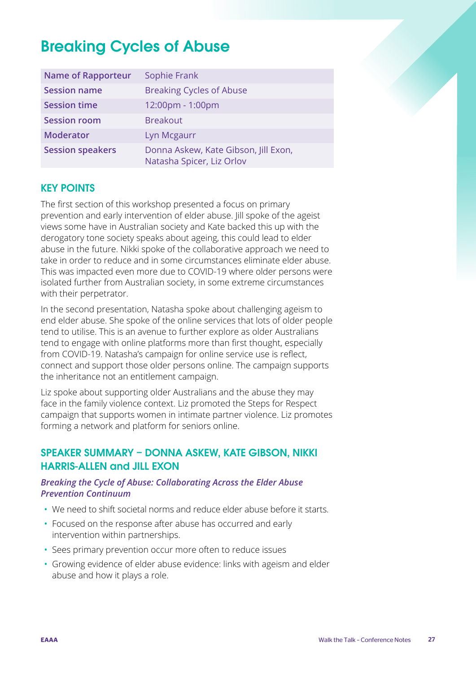## <span id="page-26-0"></span>Breaking Cycles of Abuse

| <b>Name of Rapporteur</b> | Sophie Frank                                                      |
|---------------------------|-------------------------------------------------------------------|
| <b>Session name</b>       | <b>Breaking Cycles of Abuse</b>                                   |
| <b>Session time</b>       | 12:00pm - 1:00pm                                                  |
| <b>Session room</b>       | <b>Breakout</b>                                                   |
| <b>Moderator</b>          | Lyn Mcgaurr                                                       |
| <b>Session speakers</b>   | Donna Askew, Kate Gibson, Jill Exon,<br>Natasha Spicer, Liz Orlov |

#### KEY POINTS

The first section of this workshop presented a focus on primary prevention and early intervention of elder abuse. Jill spoke of the ageist views some have in Australian society and Kate backed this up with the derogatory tone society speaks about ageing, this could lead to elder abuse in the future. Nikki spoke of the collaborative approach we need to take in order to reduce and in some circumstances eliminate elder abuse. This was impacted even more due to COVID-19 where older persons were isolated further from Australian society, in some extreme circumstances with their perpetrator.

In the second presentation, Natasha spoke about challenging ageism to end elder abuse. She spoke of the online services that lots of older people tend to utilise. This is an avenue to further explore as older Australians tend to engage with online platforms more than first thought, especially from COVID-19. Natasha's campaign for online service use is reflect, connect and support those older persons online. The campaign supports the inheritance not an entitlement campaign.

Liz spoke about supporting older Australians and the abuse they may face in the family violence context. Liz promoted the Steps for Respect campaign that supports women in intimate partner violence. Liz promotes forming a network and platform for seniors online.

#### SPEAKER SUMMARY – DONNA ASKEW, KATE GIBSON, NIKKI HARRIS-ALLEN and JILL EXON

#### *Breaking the Cycle of Abuse: Collaborating Across the Elder Abuse Prevention Continuum*

- We need to shift societal norms and reduce elder abuse before it starts.
- Focused on the response after abuse has occurred and early intervention within partnerships.
- Sees primary prevention occur more often to reduce issues
- Growing evidence of elder abuse evidence: links with ageism and elder abuse and how it plays a role.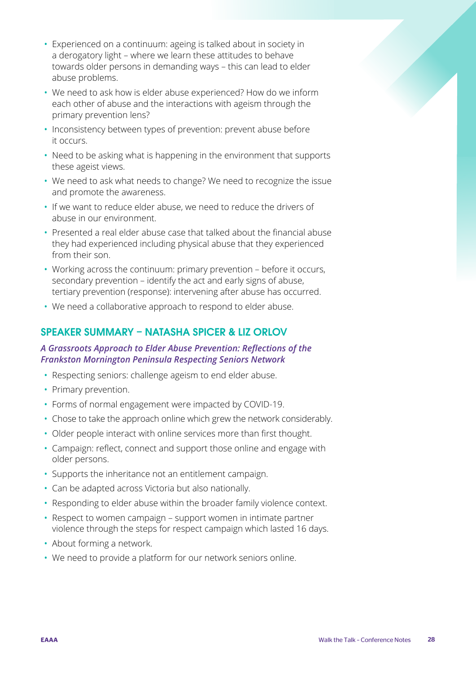- Experienced on a continuum: ageing is talked about in society in a derogatory light – where we learn these attitudes to behave towards older persons in demanding ways – this can lead to elder abuse problems.
- We need to ask how is elder abuse experienced? How do we inform each other of abuse and the interactions with ageism through the primary prevention lens?
- Inconsistency between types of prevention: prevent abuse before it occurs.
- Need to be asking what is happening in the environment that supports these ageist views.
- We need to ask what needs to change? We need to recognize the issue and promote the awareness.
- If we want to reduce elder abuse, we need to reduce the drivers of abuse in our environment.
- Presented a real elder abuse case that talked about the financial abuse they had experienced including physical abuse that they experienced from their son.
- Working across the continuum: primary prevention before it occurs, secondary prevention – identify the act and early signs of abuse, tertiary prevention (response): intervening after abuse has occurred.
- We need a collaborative approach to respond to elder abuse.

#### SPEAKER SUMMARY – NATASHA SPICER & LIZ ORLOV

#### *A Grassroots Approach to Elder Abuse Prevention: Reflections of the Frankston Mornington Peninsula Respecting Seniors Network*

- Respecting seniors: challenge ageism to end elder abuse.
- Primary prevention.
- Forms of normal engagement were impacted by COVID-19.
- Chose to take the approach online which grew the network considerably.
- Older people interact with online services more than first thought.
- Campaign: reflect, connect and support those online and engage with older persons.
- Supports the inheritance not an entitlement campaign.
- Can be adapted across Victoria but also nationally.
- Responding to elder abuse within the broader family violence context.
- Respect to women campaign support women in intimate partner violence through the steps for respect campaign which lasted 16 days.
- About forming a network.
- We need to provide a platform for our network seniors online.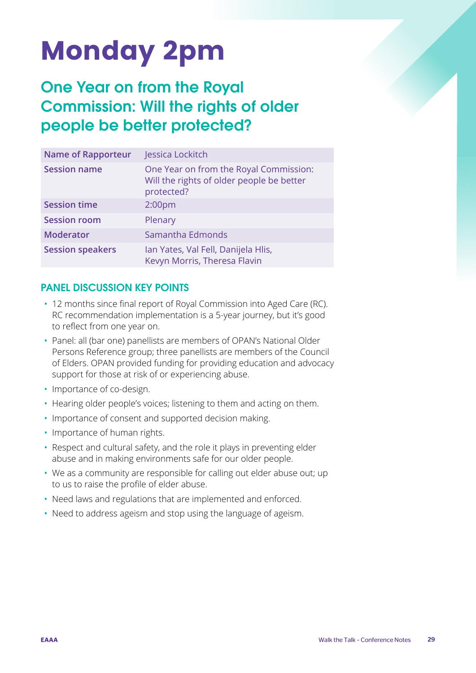## <span id="page-28-0"></span>Monday 2pm

### One Year on from the Royal Commission: Will the rights of older people be better protected?

| <b>Name of Rapporteur</b> | Jessica Lockitch                                                                                  |
|---------------------------|---------------------------------------------------------------------------------------------------|
| <b>Session name</b>       | One Year on from the Royal Commission:<br>Will the rights of older people be better<br>protected? |
| <b>Session time</b>       | 2:00 <sub>pm</sub>                                                                                |
| <b>Session room</b>       | Plenary                                                                                           |
| <b>Moderator</b>          | Samantha Edmonds                                                                                  |
| <b>Session speakers</b>   | Ian Yates, Val Fell, Danijela Hlis,<br>Kevyn Morris, Theresa Flavin                               |

#### PANEL DISCUSSION KEY POINTS

- 12 months since final report of Royal Commission into Aged Care (RC). RC recommendation implementation is a 5-year journey, but it's good to reflect from one year on.
- Panel: all (bar one) panellists are members of OPAN's National Older Persons Reference group; three panellists are members of the Council of Elders. OPAN provided funding for providing education and advocacy support for those at risk of or experiencing abuse.
- Importance of co-design.
- Hearing older people's voices; listening to them and acting on them.
- Importance of consent and supported decision making.
- Importance of human rights.
- Respect and cultural safety, and the role it plays in preventing elder abuse and in making environments safe for our older people.
- We as a community are responsible for calling out elder abuse out; up to us to raise the profile of elder abuse.
- Need laws and regulations that are implemented and enforced.
- Need to address ageism and stop using the language of ageism.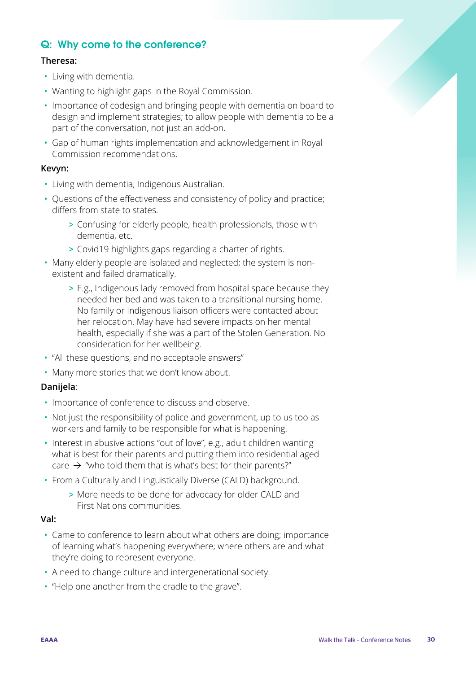#### Q: Why come to the conference?

#### **Theresa:**

- Living with dementia.
- Wanting to highlight gaps in the Royal Commission.
- Importance of codesign and bringing people with dementia on board to design and implement strategies; to allow people with dementia to be a part of the conversation, not just an add-on.
- Gap of human rights implementation and acknowledgement in Royal Commission recommendations.

#### **Kevyn:**

- Living with dementia, Indigenous Australian.
- Questions of the effectiveness and consistency of policy and practice; differs from state to states.
	- > Confusing for elderly people, health professionals, those with dementia, etc.
	- > Covid19 highlights gaps regarding a charter of rights.
- Many elderly people are isolated and neglected; the system is nonexistent and failed dramatically.
	- > E.g., Indigenous lady removed from hospital space because they needed her bed and was taken to a transitional nursing home. No family or Indigenous liaison officers were contacted about her relocation. May have had severe impacts on her mental health, especially if she was a part of the Stolen Generation. No consideration for her wellbeing.
- "All these questions, and no acceptable answers"
- Many more stories that we don't know about.

#### **Danijela**:

- Importance of conference to discuss and observe.
- Not just the responsibility of police and government, up to us too as workers and family to be responsible for what is happening.
- Interest in abusive actions "out of love", e.g., adult children wanting what is best for their parents and putting them into residential aged care  $\rightarrow$  "who told them that is what's best for their parents?"
- From a Culturally and Linguistically Diverse (CALD) background.
	- > More needs to be done for advocacy for older CALD and First Nations communities.

#### **Val:**

- Came to conference to learn about what others are doing; importance of learning what's happening everywhere; where others are and what they're doing to represent everyone.
- A need to change culture and intergenerational society.
- "Help one another from the cradle to the grave".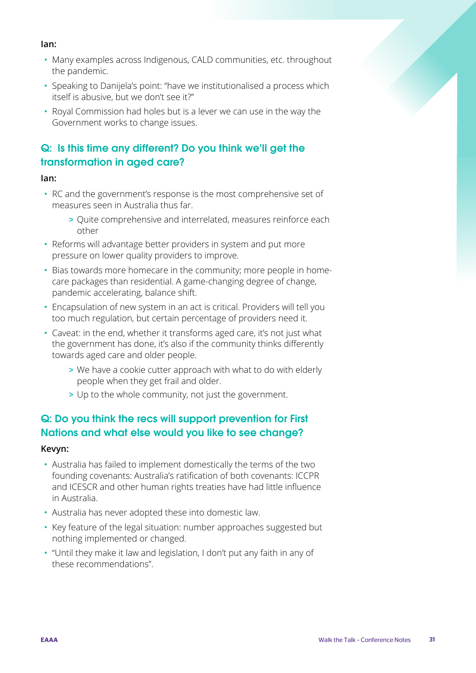#### **Ian:**

- Many examples across Indigenous, CALD communities, etc. throughout the pandemic.
- Speaking to Danijela's point: "have we institutionalised a process which itself is abusive, but we don't see it?"
- Royal Commission had holes but is a lever we can use in the way the Government works to change issues.

#### Q: Is this time any different? Do you think we'll get the transformation in aged care?

#### **Ian:**

- RC and the government's response is the most comprehensive set of measures seen in Australia thus far.
	- > Quite comprehensive and interrelated, measures reinforce each other
- Reforms will advantage better providers in system and put more pressure on lower quality providers to improve.
- Bias towards more homecare in the community; more people in homecare packages than residential. A game-changing degree of change, pandemic accelerating, balance shift.
- Encapsulation of new system in an act is critical. Providers will tell you too much regulation, but certain percentage of providers need it.
- Caveat: in the end, whether it transforms aged care, it's not just what the government has done, it's also if the community thinks differently towards aged care and older people.
	- > We have a cookie cutter approach with what to do with elderly people when they get frail and older.
	- > Up to the whole community, not just the government.

#### Q: Do you think the recs will support prevention for First Nations and what else would you like to see change?

#### **Kevyn:**

- Australia has failed to implement domestically the terms of the two founding covenants: Australia's ratification of both covenants: ICCPR and ICESCR and other human rights treaties have had little influence in Australia.
- Australia has never adopted these into domestic law.
- Key feature of the legal situation: number approaches suggested but nothing implemented or changed.
- "Until they make it law and legislation, I don't put any faith in any of these recommendations".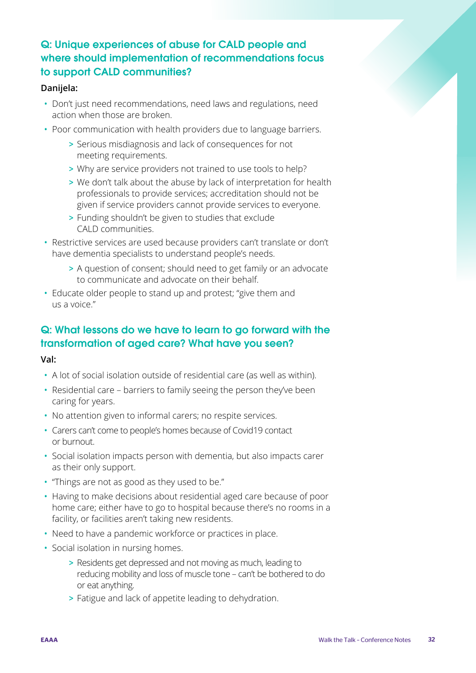#### Q: Unique experiences of abuse for CALD people and where should implementation of recommendations focus to support CALD communities?

#### **Danijela:**

- Don't just need recommendations, need laws and regulations, need action when those are broken.
- Poor communication with health providers due to language barriers.
	- > Serious misdiagnosis and lack of consequences for not meeting requirements.
	- > Why are service providers not trained to use tools to help?
	- > We don't talk about the abuse by lack of interpretation for health professionals to provide services; accreditation should not be given if service providers cannot provide services to everyone.
	- > Funding shouldn't be given to studies that exclude CALD communities.
- Restrictive services are used because providers can't translate or don't have dementia specialists to understand people's needs.
	- > A question of consent; should need to get family or an advocate to communicate and advocate on their behalf.
- Educate older people to stand up and protest; "give them and us a voice."

#### Q: What lessons do we have to learn to go forward with the transformation of aged care? What have you seen?

#### **Val:**

- A lot of social isolation outside of residential care (as well as within).
- Residential care barriers to family seeing the person they've been caring for years.
- No attention given to informal carers; no respite services.
- Carers can't come to people's homes because of Covid19 contact or burnout.
- Social isolation impacts person with dementia, but also impacts carer as their only support.
- "Things are not as good as they used to be."
- Having to make decisions about residential aged care because of poor home care; either have to go to hospital because there's no rooms in a facility, or facilities aren't taking new residents.
- Need to have a pandemic workforce or practices in place.
- Social isolation in nursing homes.
	- > Residents get depressed and not moving as much, leading to reducing mobility and loss of muscle tone – can't be bothered to do or eat anything.
	- > Fatigue and lack of appetite leading to dehydration.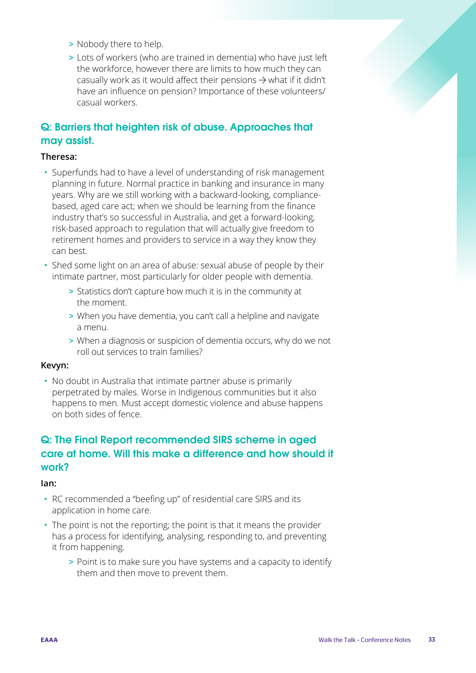- > Nobody there to help.
- > Lots of workers (who are trained in dementia) who have just left the workforce, however there are limits to how much they can casually work as it would affect their pensions  $\rightarrow$  what if it didn't have an influence on pension? Importance of these volunteers/ casual workers.

#### Q: Barriers that heighten risk of abuse. Approaches that may assist.

#### **Theresa:**

- Superfunds had to have a level of understanding of risk management planning in future. Normal practice in banking and insurance in many years. Why are we still working with a backward-looking, compliancebased, aged care act; when we should be learning from the finance industry that's so successful in Australia, and get a forward-looking, risk-based approach to regulation that will actually give freedom to retirement homes and providers to service in a way they know they can best.
- Shed some light on an area of abuse: sexual abuse of people by their intimate partner, most particularly for older people with dementia.
	- > Statistics don't capture how much it is in the community at the moment.
	- > When you have dementia, you can't call a helpline and navigate a menu.
	- > When a diagnosis or suspicion of dementia occurs, why do we not roll out services to train families?

#### **Kevyn:**

• No doubt in Australia that intimate partner abuse is primarily perpetrated by males. Worse in Indigenous communities but it also happens to men. Must accept domestic violence and abuse happens on both sides of fence.

#### Q: The Final Report recommended SIRS scheme in aged care at home. Will this make a difference and how should it work?

#### **Ian:**

- RC recommended a "beefing up" of residential care SIRS and its application in home care.
- The point is not the reporting; the point is that it means the provider has a process for identifying, analysing, responding to, and preventing it from happening.
	- > Point is to make sure you have systems and a capacity to identify them and then move to prevent them.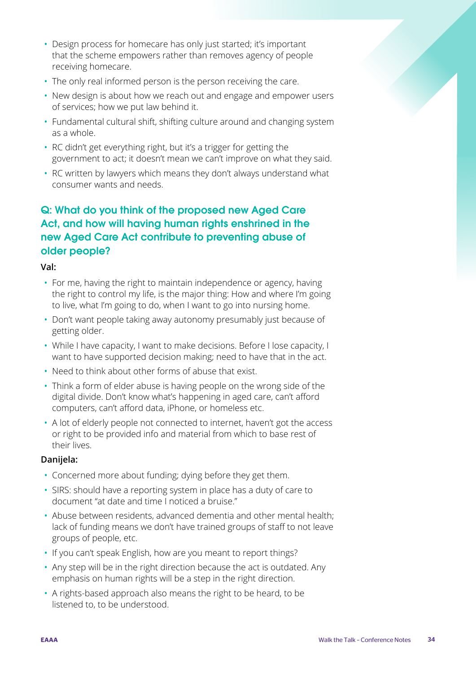- Design process for homecare has only just started; it's important that the scheme empowers rather than removes agency of people receiving homecare.
- The only real informed person is the person receiving the care.
- New design is about how we reach out and engage and empower users of services; how we put law behind it.
- Fundamental cultural shift, shifting culture around and changing system as a whole.
- RC didn't get everything right, but it's a trigger for getting the government to act; it doesn't mean we can't improve on what they said.
- RC written by lawyers which means they don't always understand what consumer wants and needs.

#### Q: What do you think of the proposed new Aged Care Act, and how will having human rights enshrined in the new Aged Care Act contribute to preventing abuse of older people?

#### **Val:**

- For me, having the right to maintain independence or agency, having the right to control my life, is the major thing: How and where I'm going to live, what I'm going to do, when I want to go into nursing home.
- Don't want people taking away autonomy presumably just because of getting older.
- While I have capacity, I want to make decisions. Before I lose capacity, I want to have supported decision making; need to have that in the act.
- Need to think about other forms of abuse that exist.
- Think a form of elder abuse is having people on the wrong side of the digital divide. Don't know what's happening in aged care, can't afford computers, can't afford data, iPhone, or homeless etc.
- A lot of elderly people not connected to internet, haven't got the access or right to be provided info and material from which to base rest of their lives.

#### **Danijela:**

- Concerned more about funding; dying before they get them.
- SIRS: should have a reporting system in place has a duty of care to document "at date and time I noticed a bruise."
- Abuse between residents, advanced dementia and other mental health; lack of funding means we don't have trained groups of staff to not leave groups of people, etc.
- If you can't speak English, how are you meant to report things?
- Any step will be in the right direction because the act is outdated. Any emphasis on human rights will be a step in the right direction.
- A rights-based approach also means the right to be heard, to be listened to, to be understood.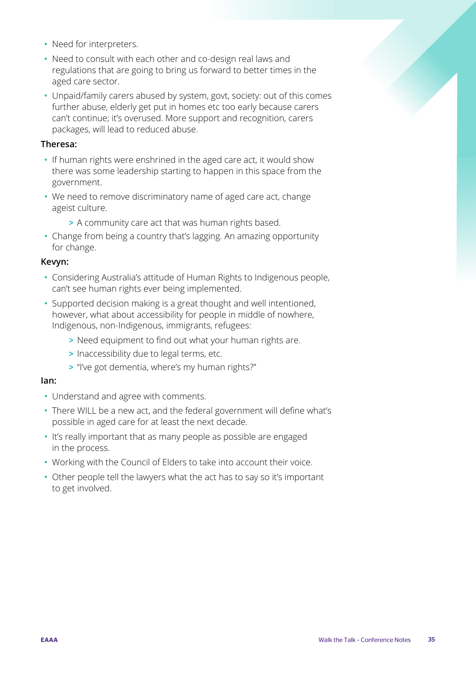- Need for interpreters.
- Need to consult with each other and co-design real laws and regulations that are going to bring us forward to better times in the aged care sector.
- Unpaid/family carers abused by system, govt, society: out of this comes further abuse, elderly get put in homes etc too early because carers can't continue; it's overused. More support and recognition, carers packages, will lead to reduced abuse.

#### **Theresa:**

- If human rights were enshrined in the aged care act, it would show there was some leadership starting to happen in this space from the government.
- We need to remove discriminatory name of aged care act, change ageist culture.
	- > A community care act that was human rights based.
- Change from being a country that's lagging. An amazing opportunity for change.

#### **Kevyn:**

- Considering Australia's attitude of Human Rights to Indigenous people, can't see human rights ever being implemented.
- Supported decision making is a great thought and well intentioned, however, what about accessibility for people in middle of nowhere, Indigenous, non-Indigenous, immigrants, refugees:
	- > Need equipment to find out what your human rights are.
	- > Inaccessibility due to legal terms, etc.
	- > "I've got dementia, where's my human rights?"

#### **Ian:**

- Understand and agree with comments.
- There WILL be a new act, and the federal government will define what's possible in aged care for at least the next decade.
- It's really important that as many people as possible are engaged in the process.
- Working with the Council of Elders to take into account their voice.
- Other people tell the lawyers what the act has to say so it's important to get involved.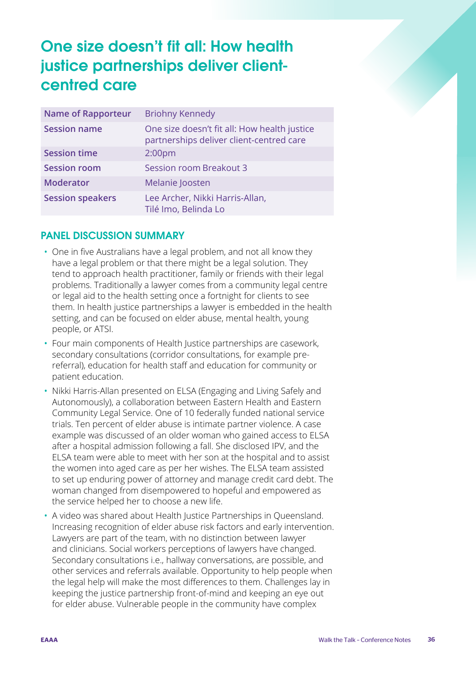### <span id="page-35-0"></span>One size doesn't fit all: How health justice partnerships deliver clientcentred care

| <b>Name of Rapporteur</b> | <b>Briohny Kennedy</b>                                                                   |
|---------------------------|------------------------------------------------------------------------------------------|
| <b>Session name</b>       | One size doesn't fit all: How health justice<br>partnerships deliver client-centred care |
| <b>Session time</b>       | 2:00 <sub>pm</sub>                                                                       |
| <b>Session room</b>       | <b>Session room Breakout 3</b>                                                           |
| <b>Moderator</b>          | Melanie Joosten                                                                          |
| <b>Session speakers</b>   | Lee Archer, Nikki Harris-Allan,<br>Tilé Imo, Belinda Lo                                  |

#### PANEL DISCUSSION SUMMARY

- One in five Australians have a legal problem, and not all know they have a legal problem or that there might be a legal solution. They tend to approach health practitioner, family or friends with their legal problems. Traditionally a lawyer comes from a community legal centre or legal aid to the health setting once a fortnight for clients to see them. In health justice partnerships a lawyer is embedded in the health setting, and can be focused on elder abuse, mental health, young people, or ATSI.
- Four main components of Health Justice partnerships are casework, secondary consultations (corridor consultations, for example prereferral), education for health staff and education for community or patient education.
- Nikki Harris-Allan presented on ELSA (Engaging and Living Safely and Autonomously), a collaboration between Eastern Health and Eastern Community Legal Service. One of 10 federally funded national service trials. Ten percent of elder abuse is intimate partner violence. A case example was discussed of an older woman who gained access to ELSA after a hospital admission following a fall. She disclosed IPV, and the ELSA team were able to meet with her son at the hospital and to assist the women into aged care as per her wishes. The ELSA team assisted to set up enduring power of attorney and manage credit card debt. The woman changed from disempowered to hopeful and empowered as the service helped her to choose a new life.
- A video was shared about Health Justice Partnerships in Queensland. Increasing recognition of elder abuse risk factors and early intervention. Lawyers are part of the team, with no distinction between lawyer and clinicians. Social workers perceptions of lawyers have changed. Secondary consultations i.e., hallway conversations, are possible, and other services and referrals available. Opportunity to help people when the legal help will make the most differences to them. Challenges lay in keeping the justice partnership front-of-mind and keeping an eye out for elder abuse. Vulnerable people in the community have complex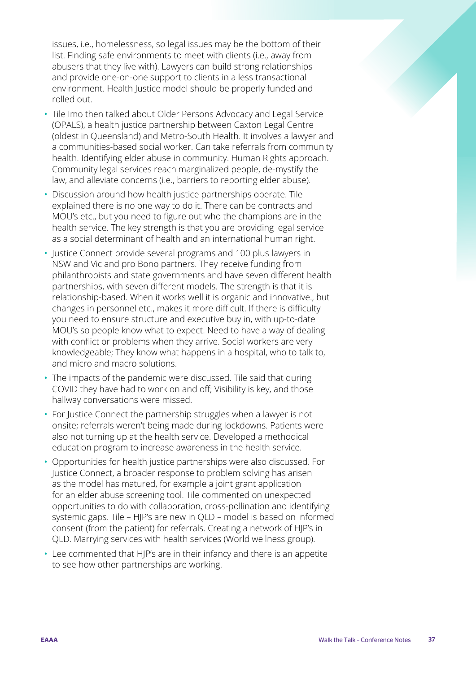issues, i.e., homelessness, so legal issues may be the bottom of their list. Finding safe environments to meet with clients (i.e., away from abusers that they live with). Lawyers can build strong relationships and provide one-on-one support to clients in a less transactional environment. Health Justice model should be properly funded and rolled out.

- Tile Imo then talked about Older Persons Advocacy and Legal Service (OPALS), a health justice partnership between Caxton Legal Centre (oldest in Queensland) and Metro-South Health. It involves a lawyer and a communities-based social worker. Can take referrals from community health. Identifying elder abuse in community. Human Rights approach. Community legal services reach marginalized people, de-mystify the law, and alleviate concerns (i.e., barriers to reporting elder abuse).
- Discussion around how health justice partnerships operate. Tile explained there is no one way to do it. There can be contracts and MOU's etc., but you need to figure out who the champions are in the health service. The key strength is that you are providing legal service as a social determinant of health and an international human right.
- Justice Connect provide several programs and 100 plus lawyers in NSW and Vic and pro Bono partners. They receive funding from philanthropists and state governments and have seven different health partnerships, with seven different models. The strength is that it is relationship-based. When it works well it is organic and innovative., but changes in personnel etc., makes it more difficult. If there is difficulty you need to ensure structure and executive buy in, with up-to-date MOU's so people know what to expect. Need to have a way of dealing with conflict or problems when they arrive. Social workers are very knowledgeable; They know what happens in a hospital, who to talk to, and micro and macro solutions.
- The impacts of the pandemic were discussed. Tile said that during COVID they have had to work on and off; Visibility is key, and those hallway conversations were missed.
- For Justice Connect the partnership struggles when a lawyer is not onsite; referrals weren't being made during lockdowns. Patients were also not turning up at the health service. Developed a methodical education program to increase awareness in the health service.
- Opportunities for health justice partnerships were also discussed. For Justice Connect, a broader response to problem solving has arisen as the model has matured, for example a joint grant application for an elder abuse screening tool. Tile commented on unexpected opportunities to do with collaboration, cross-pollination and identifying systemic gaps. Tile – HJP's are new in QLD – model is based on informed consent (from the patient) for referrals. Creating a network of HJP's in QLD. Marrying services with health services (World wellness group).
- Lee commented that HJP's are in their infancy and there is an appetite to see how other partnerships are working.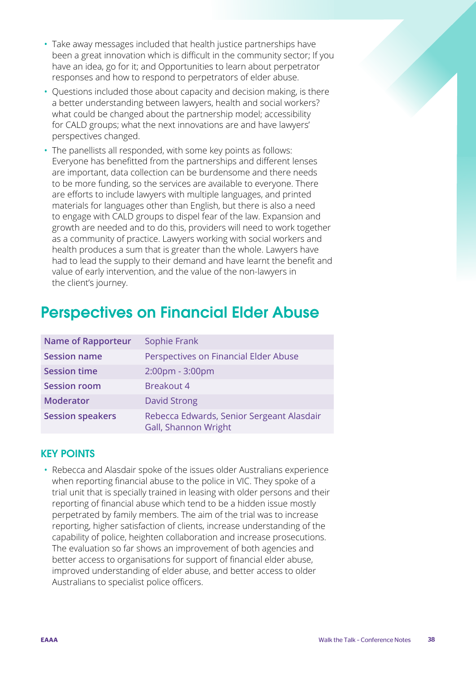- Take away messages included that health justice partnerships have been a great innovation which is difficult in the community sector; If you have an idea, go for it; and Opportunities to learn about perpetrator responses and how to respond to perpetrators of elder abuse.
- Questions included those about capacity and decision making, is there a better understanding between lawyers, health and social workers? what could be changed about the partnership model; accessibility for CALD groups; what the next innovations are and have lawyers' perspectives changed.
- The panellists all responded, with some key points as follows: Everyone has benefitted from the partnerships and different lenses are important, data collection can be burdensome and there needs to be more funding, so the services are available to everyone. There are efforts to include lawyers with multiple languages, and printed materials for languages other than English, but there is also a need to engage with CALD groups to dispel fear of the law. Expansion and growth are needed and to do this, providers will need to work together as a community of practice. Lawyers working with social workers and health produces a sum that is greater than the whole. Lawyers have had to lead the supply to their demand and have learnt the benefit and value of early intervention, and the value of the non-lawyers in the client's journey.

# Perspectives on Financial Elder Abuse

| <b>Name of Rapporteur</b> | Sophie Frank                                                      |
|---------------------------|-------------------------------------------------------------------|
| <b>Session name</b>       | Perspectives on Financial Elder Abuse                             |
| <b>Session time</b>       | 2:00pm - 3:00pm                                                   |
| <b>Session room</b>       | Breakout 4                                                        |
| <b>Moderator</b>          | <b>David Strong</b>                                               |
| <b>Session speakers</b>   | Rebecca Edwards, Senior Sergeant Alasdair<br>Gall, Shannon Wright |

# KEY POINTS

• Rebecca and Alasdair spoke of the issues older Australians experience when reporting financial abuse to the police in VIC. They spoke of a trial unit that is specially trained in leasing with older persons and their reporting of financial abuse which tend to be a hidden issue mostly perpetrated by family members. The aim of the trial was to increase reporting, higher satisfaction of clients, increase understanding of the capability of police, heighten collaboration and increase prosecutions. The evaluation so far shows an improvement of both agencies and better access to organisations for support of financial elder abuse, improved understanding of elder abuse, and better access to older Australians to specialist police officers.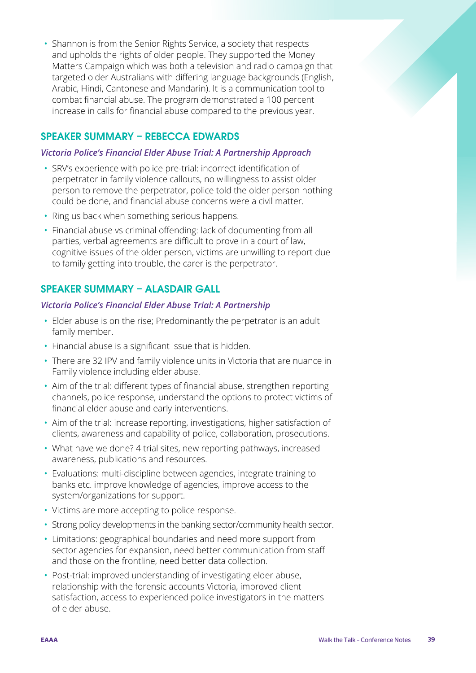• Shannon is from the Senior Rights Service, a society that respects and upholds the rights of older people. They supported the Money Matters Campaign which was both a television and radio campaign that targeted older Australians with differing language backgrounds (English, Arabic, Hindi, Cantonese and Mandarin). It is a communication tool to combat financial abuse. The program demonstrated a 100 percent increase in calls for financial abuse compared to the previous year.

# SPEAKER SUMMARY – REBECCA EDWARDS

#### *Victoria Police's Financial Elder Abuse Trial: A Partnership Approach*

- SRV's experience with police pre-trial: incorrect identification of perpetrator in family violence callouts, no willingness to assist older person to remove the perpetrator, police told the older person nothing could be done, and financial abuse concerns were a civil matter.
- Ring us back when something serious happens.
- Financial abuse vs criminal offending: lack of documenting from all parties, verbal agreements are difficult to prove in a court of law, cognitive issues of the older person, victims are unwilling to report due to family getting into trouble, the carer is the perpetrator.

# SPEAKER SUMMARY – ALASDAIR GALL

#### *Victoria Police's Financial Elder Abuse Trial: A Partnership*

- Elder abuse is on the rise; Predominantly the perpetrator is an adult family member.
- Financial abuse is a significant issue that is hidden.
- There are 32 IPV and family violence units in Victoria that are nuance in Family violence including elder abuse.
- Aim of the trial: different types of financial abuse, strengthen reporting channels, police response, understand the options to protect victims of financial elder abuse and early interventions.
- Aim of the trial: increase reporting, investigations, higher satisfaction of clients, awareness and capability of police, collaboration, prosecutions.
- What have we done? 4 trial sites, new reporting pathways, increased awareness, publications and resources.
- Evaluations: multi-discipline between agencies, integrate training to banks etc. improve knowledge of agencies, improve access to the system/organizations for support.
- Victims are more accepting to police response.
- Strong policy developments in the banking sector/community health sector.
- Limitations: geographical boundaries and need more support from sector agencies for expansion, need better communication from staff and those on the frontline, need better data collection.
- Post-trial: improved understanding of investigating elder abuse, relationship with the forensic accounts Victoria, improved client satisfaction, access to experienced police investigators in the matters of elder abuse.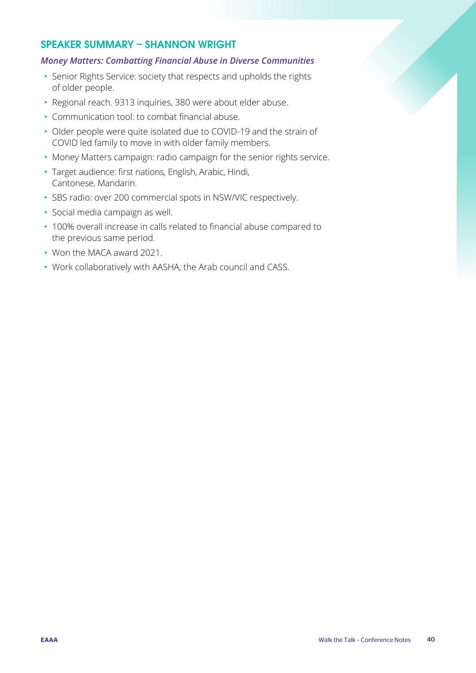### SPEAKER SUMMARY – SHANNON WRIGHT

#### *Money Matters: Combatting Financial Abuse in Diverse Communities*

- Senior Rights Service: society that respects and upholds the rights of older people.
- Regional reach. 9313 inquiries, 380 were about elder abuse.
- Communication tool: to combat financial abuse.
- Older people were quite isolated due to COVID-19 and the strain of COVID led family to move in with older family members.
- Money Matters campaign: radio campaign for the senior rights service.
- Target audience: first nations, English, Arabic, Hindi, Cantonese, Mandarin.
- SBS radio: over 200 commercial spots in NSW/VIC respectively.
- Social media campaign as well.
- 100% overall increase in calls related to financial abuse compared to the previous same period.
- Won the MACA award 2021.
- Work collaboratively with AASHA, the Arab council and CASS.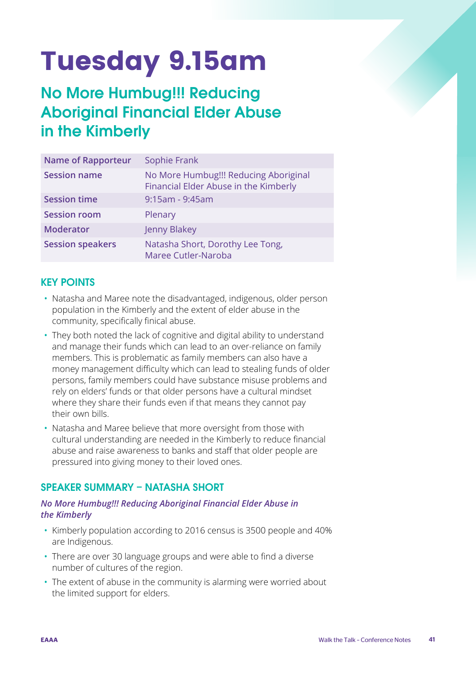# Tuesday 9.15am

# No More Humbug!!! Reducing Aboriginal Financial Elder Abuse in the Kimberly

| <b>Name of Rapporteur</b> | Sophie Frank                                                                   |
|---------------------------|--------------------------------------------------------------------------------|
| <b>Session name</b>       | No More Humbug!!! Reducing Aboriginal<br>Financial Elder Abuse in the Kimberly |
| <b>Session time</b>       | 9:15am - 9:45am                                                                |
| <b>Session room</b>       | Plenary                                                                        |
| <b>Moderator</b>          | Jenny Blakey                                                                   |
| <b>Session speakers</b>   | Natasha Short, Dorothy Lee Tong,<br>Maree Cutler-Naroba                        |

# KEY POINTS

- Natasha and Maree note the disadvantaged, indigenous, older person population in the Kimberly and the extent of elder abuse in the community, specifically finical abuse.
- They both noted the lack of cognitive and digital ability to understand and manage their funds which can lead to an over-reliance on family members. This is problematic as family members can also have a money management difficulty which can lead to stealing funds of older persons, family members could have substance misuse problems and rely on elders' funds or that older persons have a cultural mindset where they share their funds even if that means they cannot pay their own bills.
- Natasha and Maree believe that more oversight from those with cultural understanding are needed in the Kimberly to reduce financial abuse and raise awareness to banks and staff that older people are pressured into giving money to their loved ones.

# SPEAKER SUMMARY – NATASHA SHORT

#### *No More Humbug!!! Reducing Aboriginal Financial Elder Abuse in the Kimberly*

- Kimberly population according to 2016 census is 3500 people and 40% are Indigenous.
- There are over 30 language groups and were able to find a diverse number of cultures of the region.
- The extent of abuse in the community is alarming were worried about the limited support for elders.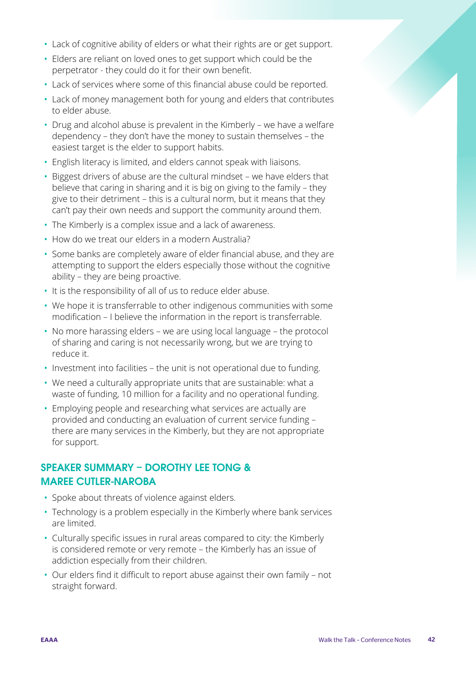- Lack of cognitive ability of elders or what their rights are or get support.
- Elders are reliant on loved ones to get support which could be the perpetrator - they could do it for their own benefit.
- Lack of services where some of this financial abuse could be reported.
- Lack of money management both for young and elders that contributes to elder abuse.
- Drug and alcohol abuse is prevalent in the Kimberly we have a welfare dependency – they don't have the money to sustain themselves – the easiest target is the elder to support habits.
- English literacy is limited, and elders cannot speak with liaisons.
- Biggest drivers of abuse are the cultural mindset we have elders that believe that caring in sharing and it is big on giving to the family – they give to their detriment – this is a cultural norm, but it means that they can't pay their own needs and support the community around them.
- The Kimberly is a complex issue and a lack of awareness.
- How do we treat our elders in a modern Australia?
- Some banks are completely aware of elder financial abuse, and they are attempting to support the elders especially those without the cognitive ability – they are being proactive.
- It is the responsibility of all of us to reduce elder abuse.
- We hope it is transferrable to other indigenous communities with some modification – I believe the information in the report is transferrable.
- No more harassing elders we are using local language the protocol of sharing and caring is not necessarily wrong, but we are trying to reduce it.
- Investment into facilities the unit is not operational due to funding.
- We need a culturally appropriate units that are sustainable: what a waste of funding, 10 million for a facility and no operational funding.
- Employing people and researching what services are actually are provided and conducting an evaluation of current service funding – there are many services in the Kimberly, but they are not appropriate for support.

# SPEAKER SUMMARY – DOROTHY LEE TONG & MAREE CUTLER-NAROBA

- Spoke about threats of violence against elders.
- Technology is a problem especially in the Kimberly where bank services are limited.
- Culturally specific issues in rural areas compared to city: the Kimberly is considered remote or very remote – the Kimberly has an issue of addiction especially from their children.
- Our elders find it difficult to report abuse against their own family not straight forward.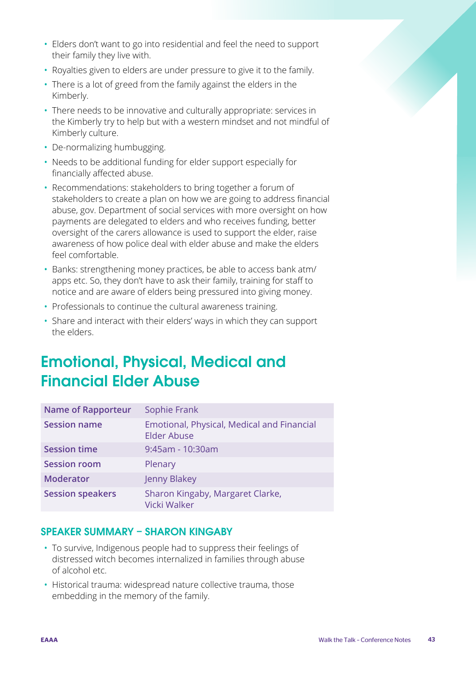- Elders don't want to go into residential and feel the need to support their family they live with.
- Royalties given to elders are under pressure to give it to the family.
- There is a lot of greed from the family against the elders in the Kimberly.
- There needs to be innovative and culturally appropriate: services in the Kimberly try to help but with a western mindset and not mindful of Kimberly culture.
- De-normalizing humbugging.
- Needs to be additional funding for elder support especially for financially affected abuse.
- Recommendations: stakeholders to bring together a forum of stakeholders to create a plan on how we are going to address financial abuse, gov. Department of social services with more oversight on how payments are delegated to elders and who receives funding, better oversight of the carers allowance is used to support the elder, raise awareness of how police deal with elder abuse and make the elders feel comfortable.
- Banks: strengthening money practices, be able to access bank atm/ apps etc. So, they don't have to ask their family, training for staff to notice and are aware of elders being pressured into giving money.
- Professionals to continue the cultural awareness training.
- Share and interact with their elders' ways in which they can support the elders.

# Emotional, Physical, Medical and Financial Elder Abuse

| <b>Name of Rapporteur</b> | Sophie Frank                                                     |
|---------------------------|------------------------------------------------------------------|
| <b>Session name</b>       | Emotional, Physical, Medical and Financial<br><b>Elder Abuse</b> |
| <b>Session time</b>       | $9:45$ am - 10:30am                                              |
| <b>Session room</b>       | Plenary                                                          |
| <b>Moderator</b>          | Jenny Blakey                                                     |
| <b>Session speakers</b>   | Sharon Kingaby, Margaret Clarke,<br><b>Vicki Walker</b>          |

# SPEAKER SUMMARY – SHARON KINGABY

- To survive, Indigenous people had to suppress their feelings of distressed witch becomes internalized in families through abuse of alcohol etc.
- Historical trauma: widespread nature collective trauma, those embedding in the memory of the family.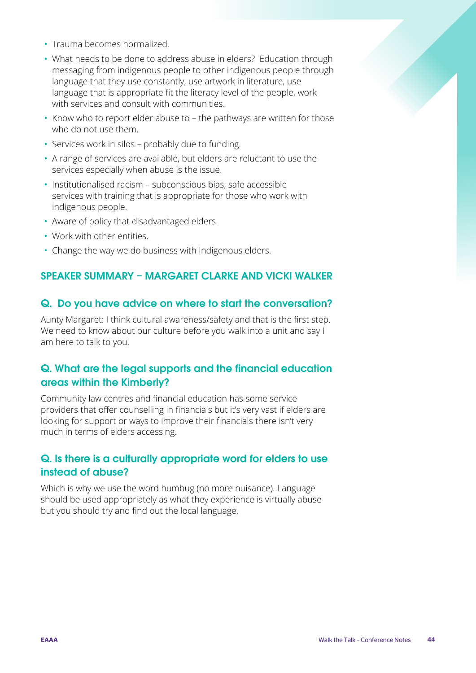- Trauma becomes normalized.
- What needs to be done to address abuse in elders? Education through messaging from indigenous people to other indigenous people through language that they use constantly, use artwork in literature, use language that is appropriate fit the literacy level of the people, work with services and consult with communities.
- Know who to report elder abuse to the pathways are written for those who do not use them.
- Services work in silos probably due to funding.
- A range of services are available, but elders are reluctant to use the services especially when abuse is the issue.
- Institutionalised racism subconscious bias, safe accessible services with training that is appropriate for those who work with indigenous people.
- Aware of policy that disadvantaged elders.
- Work with other entities.
- Change the way we do business with Indigenous elders.

# SPEAKER SUMMARY – MARGARET CLARKE AND VICKI WALKER

#### Q. Do you have advice on where to start the conversation?

Aunty Margaret: I think cultural awareness/safety and that is the first step. We need to know about our culture before you walk into a unit and say I am here to talk to you.

# Q. What are the legal supports and the financial education areas within the Kimberly?

Community law centres and financial education has some service providers that offer counselling in financials but it's very vast if elders are looking for support or ways to improve their financials there isn't very much in terms of elders accessing.

# Q. Is there is a culturally appropriate word for elders to use instead of abuse?

Which is why we use the word humbug (no more nuisance). Language should be used appropriately as what they experience is virtually abuse but you should try and find out the local language.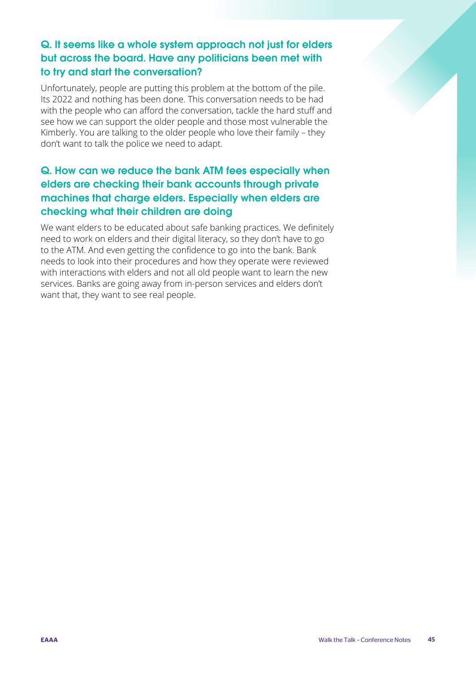# Q. It seems like a whole system approach not just for elders but across the board. Have any politicians been met with to try and start the conversation?

Unfortunately, people are putting this problem at the bottom of the pile. Its 2022 and nothing has been done. This conversation needs to be had with the people who can afford the conversation, tackle the hard stuff and see how we can support the older people and those most vulnerable the Kimberly. You are talking to the older people who love their family – they don't want to talk the police we need to adapt.

# Q. How can we reduce the bank ATM fees especially when elders are checking their bank accounts through private machines that charge elders. Especially when elders are checking what their children are doing

We want elders to be educated about safe banking practices. We definitely need to work on elders and their digital literacy, so they don't have to go to the ATM. And even getting the confidence to go into the bank. Bank needs to look into their procedures and how they operate were reviewed with interactions with elders and not all old people want to learn the new services. Banks are going away from in-person services and elders don't want that, they want to see real people.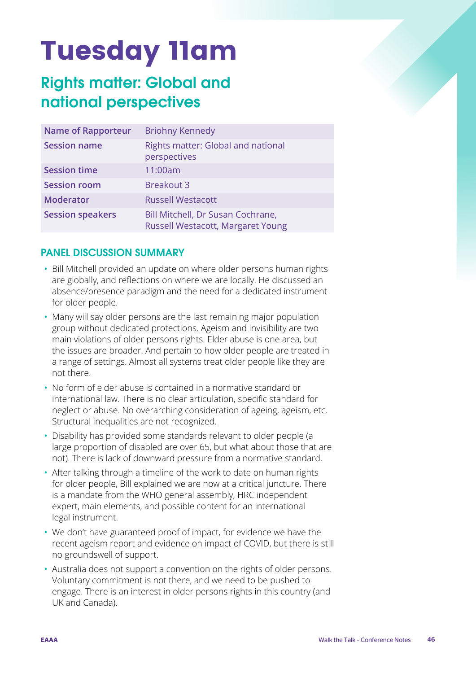# Tuesday 11am

# Rights matter: Global and national perspectives

| <b>Name of Rapporteur</b> | <b>Briohny Kennedy</b>                                                 |
|---------------------------|------------------------------------------------------------------------|
| <b>Session name</b>       | Rights matter: Global and national<br>perspectives                     |
| <b>Session time</b>       | 11:00am                                                                |
| <b>Session room</b>       | <b>Breakout 3</b>                                                      |
| <b>Moderator</b>          | <b>Russell Westacott</b>                                               |
| <b>Session speakers</b>   | Bill Mitchell, Dr Susan Cochrane,<br>Russell Westacott, Margaret Young |

# PANEL DISCUSSION SUMMARY

- Bill Mitchell provided an update on where older persons human rights are globally, and reflections on where we are locally. He discussed an absence/presence paradigm and the need for a dedicated instrument for older people.
- Many will say older persons are the last remaining major population group without dedicated protections. Ageism and invisibility are two main violations of older persons rights. Elder abuse is one area, but the issues are broader. And pertain to how older people are treated in a range of settings. Almost all systems treat older people like they are not there.
- No form of elder abuse is contained in a normative standard or international law. There is no clear articulation, specific standard for neglect or abuse. No overarching consideration of ageing, ageism, etc. Structural inequalities are not recognized.
- Disability has provided some standards relevant to older people (a large proportion of disabled are over 65, but what about those that are not). There is lack of downward pressure from a normative standard.
- After talking through a timeline of the work to date on human rights for older people, Bill explained we are now at a critical juncture. There is a mandate from the WHO general assembly, HRC independent expert, main elements, and possible content for an international legal instrument.
- We don't have guaranteed proof of impact, for evidence we have the recent ageism report and evidence on impact of COVID, but there is still no groundswell of support.
- Australia does not support a convention on the rights of older persons. Voluntary commitment is not there, and we need to be pushed to engage. There is an interest in older persons rights in this country (and UK and Canada).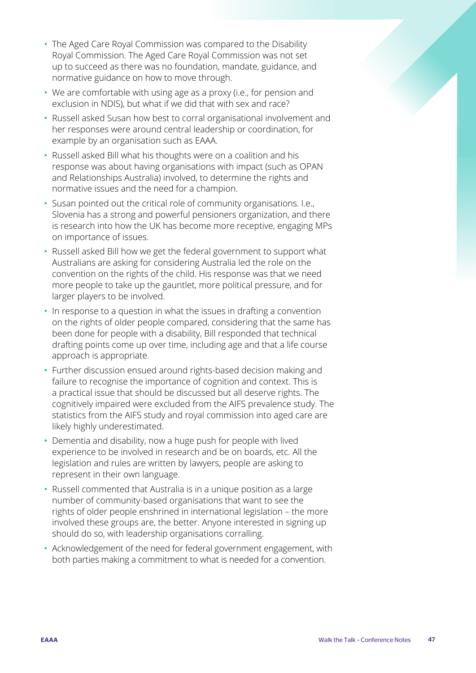- The Aged Care Royal Commission was compared to the Disability Royal Commission. The Aged Care Royal Commission was not set up to succeed as there was no foundation, mandate, guidance, and normative guidance on how to move through.
- We are comfortable with using age as a proxy (i.e., for pension and exclusion in NDIS), but what if we did that with sex and race?
- Russell asked Susan how best to corral organisational involvement and her responses were around central leadership or coordination, for example by an organisation such as EAAA.
- Russell asked Bill what his thoughts were on a coalition and his response was about having organisations with impact (such as OPAN and Relationships Australia) involved, to determine the rights and normative issues and the need for a champion.
- Susan pointed out the critical role of community organisations. I.e., Slovenia has a strong and powerful pensioners organization, and there is research into how the UK has become more receptive, engaging MPs on importance of issues.
- Russell asked Bill how we get the federal government to support what Australians are asking for considering Australia led the role on the convention on the rights of the child. His response was that we need more people to take up the gauntlet, more political pressure, and for larger players to be involved.
- In response to a question in what the issues in drafting a convention on the rights of older people compared, considering that the same has been done for people with a disability, Bill responded that technical drafting points come up over time, including age and that a life course approach is appropriate.
- Further discussion ensued around rights-based decision making and failure to recognise the importance of cognition and context. This is a practical issue that should be discussed but all deserve rights. The cognitively impaired were excluded from the AIFS prevalence study. The statistics from the AIFS study and royal commission into aged care are likely highly underestimated.
- Dementia and disability, now a huge push for people with lived experience to be involved in research and be on boards, etc. All the legislation and rules are written by lawyers, people are asking to represent in their own language.
- Russell commented that Australia is in a unique position as a large number of community-based organisations that want to see the rights of older people enshrined in international legislation – the more involved these groups are, the better. Anyone interested in signing up should do so, with leadership organisations corralling.
- Acknowledgement of the need for federal government engagement, with both parties making a commitment to what is needed for a convention.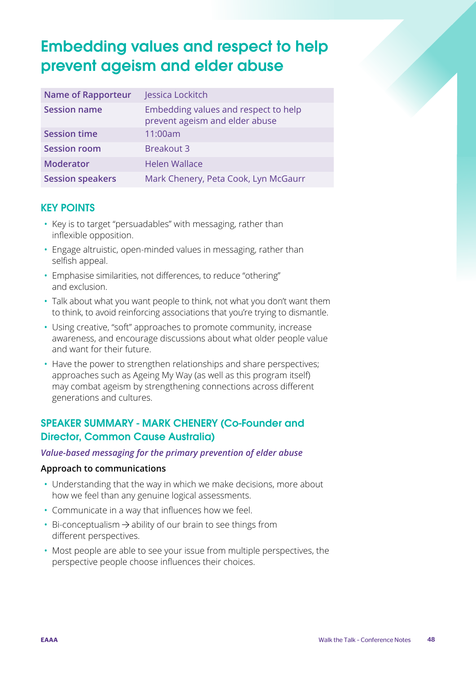# Embedding values and respect to help prevent ageism and elder abuse

| <b>Name of Rapporteur</b> | Jessica Lockitch                                                       |
|---------------------------|------------------------------------------------------------------------|
| <b>Session name</b>       | Embedding values and respect to help<br>prevent ageism and elder abuse |
| <b>Session time</b>       | 11:00am                                                                |
| <b>Session room</b>       | <b>Breakout 3</b>                                                      |
| <b>Moderator</b>          | <b>Helen Wallace</b>                                                   |
| <b>Session speakers</b>   | Mark Chenery, Peta Cook, Lyn McGaurr                                   |

# KEY POINTS

- Key is to target "persuadables" with messaging, rather than inflexible opposition.
- Engage altruistic, open-minded values in messaging, rather than selfish appeal.
- Emphasise similarities, not differences, to reduce "othering" and exclusion.
- Talk about what you want people to think, not what you don't want them to think, to avoid reinforcing associations that you're trying to dismantle.
- Using creative, "soft" approaches to promote community, increase awareness, and encourage discussions about what older people value and want for their future.
- Have the power to strengthen relationships and share perspectives; approaches such as Ageing My Way (as well as this program itself) may combat ageism by strengthening connections across different generations and cultures.

# SPEAKER SUMMARY - MARK CHENERY (Co-Founder and Director, Common Cause Australia)

#### *Value-based messaging for the primary prevention of elder abuse*

#### **Approach to communications**

- Understanding that the way in which we make decisions, more about how we feel than any genuine logical assessments.
- Communicate in a way that influences how we feel.
- Bi-conceptualism  $\rightarrow$  ability of our brain to see things from different perspectives.
- Most people are able to see your issue from multiple perspectives, the perspective people choose influences their choices.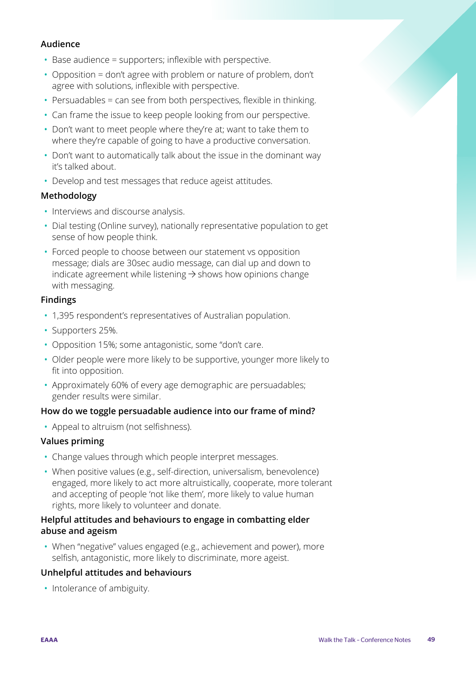#### **Audience**

- Base audience = supporters; inflexible with perspective.
- Opposition = don't agree with problem or nature of problem, don't agree with solutions, inflexible with perspective.
- Persuadables = can see from both perspectives, flexible in thinking.
- Can frame the issue to keep people looking from our perspective.
- Don't want to meet people where they're at; want to take them to where they're capable of going to have a productive conversation.
- Don't want to automatically talk about the issue in the dominant way it's talked about.
- Develop and test messages that reduce ageist attitudes.

#### **Methodology**

- Interviews and discourse analysis.
- Dial testing (Online survey), nationally representative population to get sense of how people think.
- Forced people to choose between our statement vs opposition message; dials are 30sec audio message, can dial up and down to indicate agreement while listening  $\rightarrow$  shows how opinions change with messaging.

#### **Findings**

- 1,395 respondent's representatives of Australian population.
- Supporters 25%.
- Opposition 15%; some antagonistic, some "don't care.
- Older people were more likely to be supportive, younger more likely to fit into opposition.
- Approximately 60% of every age demographic are persuadables; gender results were similar.

#### **How do we toggle persuadable audience into our frame of mind?**

• Appeal to altruism (not selfishness).

#### **Values priming**

- Change values through which people interpret messages.
- When positive values (e.g., self-direction, universalism, benevolence) engaged, more likely to act more altruistically, cooperate, more tolerant and accepting of people 'not like them', more likely to value human rights, more likely to volunteer and donate.

#### **Helpful attitudes and behaviours to engage in combatting elder abuse and ageism**

• When "negative" values engaged (e.g., achievement and power), more selfish, antagonistic, more likely to discriminate, more ageist.

#### **Unhelpful attitudes and behaviours**

• Intolerance of ambiguity.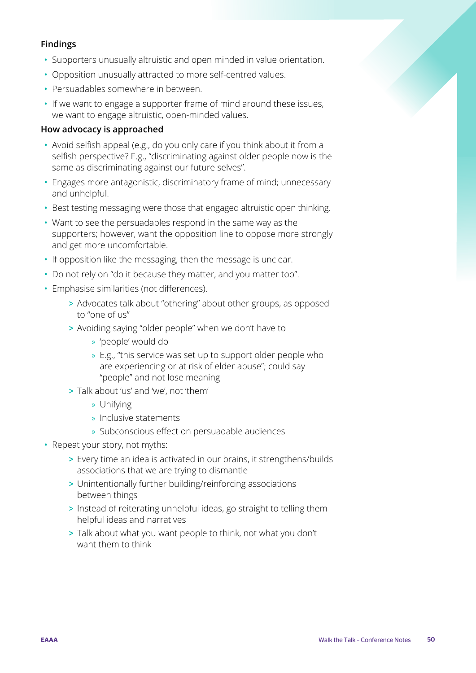#### **Findings**

- Supporters unusually altruistic and open minded in value orientation.
- Opposition unusually attracted to more self-centred values.
- Persuadables somewhere in between.
- If we want to engage a supporter frame of mind around these issues, we want to engage altruistic, open-minded values.

#### **How advocacy is approached**

- Avoid selfish appeal (e.g., do you only care if you think about it from a selfish perspective? E.g., "discriminating against older people now is the same as discriminating against our future selves".
- Engages more antagonistic, discriminatory frame of mind; unnecessary and unhelpful.
- Best testing messaging were those that engaged altruistic open thinking.
- Want to see the persuadables respond in the same way as the supporters; however, want the opposition line to oppose more strongly and get more uncomfortable.
- If opposition like the messaging, then the message is unclear.
- Do not rely on "do it because they matter, and you matter too".
- Emphasise similarities (not differences).
	- > Advocates talk about "othering" about other groups, as opposed to "one of us"
	- > Avoiding saying "older people" when we don't have to
		- » 'people' would do
		- » E.g., "this service was set up to support older people who are experiencing or at risk of elder abuse"; could say "people" and not lose meaning
	- > Talk about 'us' and 'we', not 'them'
		- » Unifying
		- » Inclusive statements
		- » Subconscious effect on persuadable audiences
- Repeat your story, not myths:
	- > Every time an idea is activated in our brains, it strengthens/builds associations that we are trying to dismantle
	- > Unintentionally further building/reinforcing associations between things
	- > Instead of reiterating unhelpful ideas, go straight to telling them helpful ideas and narratives
	- > Talk about what you want people to think, not what you don't want them to think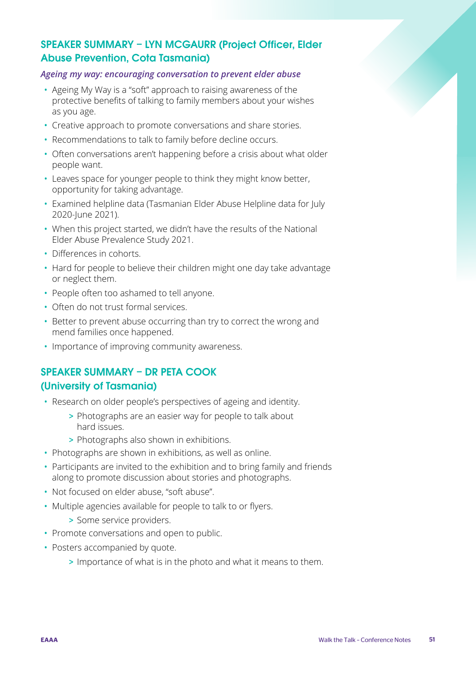# SPEAKER SUMMARY – LYN MCGAURR (Project Officer, Elder Abuse Prevention, Cota Tasmania)

#### *Ageing my way: encouraging conversation to prevent elder abuse*

- Ageing My Way is a "soft" approach to raising awareness of the protective benefits of talking to family members about your wishes as you age.
- Creative approach to promote conversations and share stories.
- Recommendations to talk to family before decline occurs.
- Often conversations aren't happening before a crisis about what older people want.
- Leaves space for younger people to think they might know better, opportunity for taking advantage.
- Examined helpline data (Tasmanian Elder Abuse Helpline data for July 2020-June 2021).
- When this project started, we didn't have the results of the National Elder Abuse Prevalence Study 2021.
- Differences in cohorts.
- Hard for people to believe their children might one day take advantage or neglect them.
- People often too ashamed to tell anyone.
- Often do not trust formal services.
- Better to prevent abuse occurring than try to correct the wrong and mend families once happened.
- Importance of improving community awareness.

# SPEAKER SUMMARY – DR PETA COOK (University of Tasmania)

- Research on older people's perspectives of ageing and identity.
	- > Photographs are an easier way for people to talk about hard issues.
	- > Photographs also shown in exhibitions.
- Photographs are shown in exhibitions, as well as online.
- Participants are invited to the exhibition and to bring family and friends along to promote discussion about stories and photographs.
- Not focused on elder abuse, "soft abuse".
- Multiple agencies available for people to talk to or flyers.
	- > Some service providers.
- Promote conversations and open to public.
- Posters accompanied by quote.
	- > Importance of what is in the photo and what it means to them.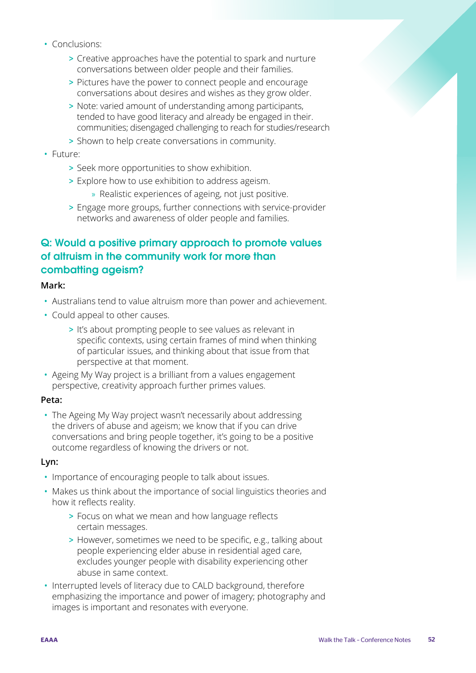- Conclusions:
	- > Creative approaches have the potential to spark and nurture conversations between older people and their families.
	- > Pictures have the power to connect people and encourage conversations about desires and wishes as they grow older.
	- > Note: varied amount of understanding among participants, tended to have good literacy and already be engaged in their. communities; disengaged challenging to reach for studies/research
	- > Shown to help create conversations in community.
- Future:
	- > Seek more opportunities to show exhibition.
	- > Explore how to use exhibition to address ageism.
		- » Realistic experiences of ageing, not just positive.
	- > Engage more groups, further connections with service-provider networks and awareness of older people and families.

# Q: Would a positive primary approach to promote values of altruism in the community work for more than combatting ageism?

#### **Mark:**

- Australians tend to value altruism more than power and achievement.
- Could appeal to other causes.
	- > It's about prompting people to see values as relevant in specific contexts, using certain frames of mind when thinking of particular issues, and thinking about that issue from that perspective at that moment.
- Ageing My Way project is a brilliant from a values engagement perspective, creativity approach further primes values.

#### **Peta:**

• The Ageing My Way project wasn't necessarily about addressing the drivers of abuse and ageism; we know that if you can drive conversations and bring people together, it's going to be a positive outcome regardless of knowing the drivers or not.

#### **Lyn:**

- Importance of encouraging people to talk about issues.
- Makes us think about the importance of social linguistics theories and how it reflects reality.
	- > Focus on what we mean and how language reflects certain messages.
	- > However, sometimes we need to be specific, e.g., talking about people experiencing elder abuse in residential aged care, excludes younger people with disability experiencing other abuse in same context.
- Interrupted levels of literacy due to CALD background, therefore emphasizing the importance and power of imagery; photography and images is important and resonates with everyone.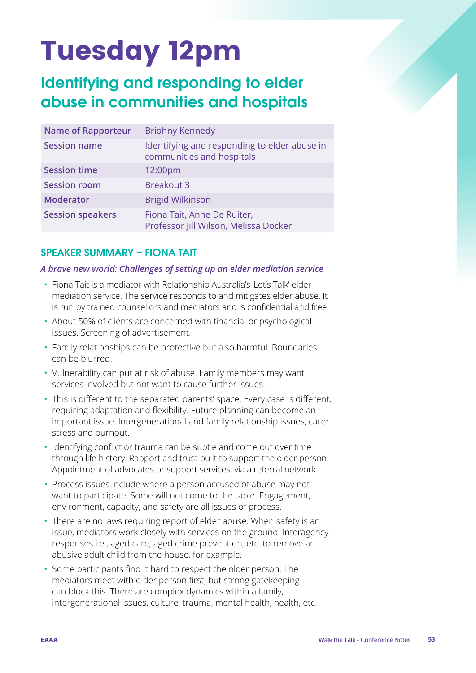# Tuesday 12pm

# Identifying and responding to elder abuse in communities and hospitals

| <b>Name of Rapporteur</b> | <b>Briohny Kennedy</b>                                                    |
|---------------------------|---------------------------------------------------------------------------|
| <b>Session name</b>       | Identifying and responding to elder abuse in<br>communities and hospitals |
| <b>Session time</b>       | 12:00pm                                                                   |
| <b>Session room</b>       | <b>Breakout 3</b>                                                         |
| <b>Moderator</b>          | <b>Brigid Wilkinson</b>                                                   |
| <b>Session speakers</b>   | Fiona Tait, Anne De Ruiter,<br>Professor Jill Wilson, Melissa Docker      |

#### SPEAKER SUMMARY – FIONA TAIT

#### *A brave new world: Challenges of setting up an elder mediation service*

- Fiona Tait is a mediator with Relationship Australia's 'Let's Talk' elder mediation service. The service responds to and mitigates elder abuse. It is run by trained counsellors and mediators and is confidential and free.
- About 50% of clients are concerned with financial or psychological issues. Screening of advertisement.
- Family relationships can be protective but also harmful. Boundaries can be blurred.
- Vulnerability can put at risk of abuse. Family members may want services involved but not want to cause further issues.
- This is different to the separated parents' space. Every case is different, requiring adaptation and flexibility. Future planning can become an important issue. Intergenerational and family relationship issues, carer stress and burnout.
- Identifying conflict or trauma can be subtle and come out over time through life history. Rapport and trust built to support the older person. Appointment of advocates or support services, via a referral network.
- Process issues include where a person accused of abuse may not want to participate. Some will not come to the table. Engagement, environment, capacity, and safety are all issues of process.
- There are no laws requiring report of elder abuse. When safety is an issue, mediators work closely with services on the ground. Interagency responses i.e., aged care, aged crime prevention, etc. to remove an abusive adult child from the house, for example.
- Some participants find it hard to respect the older person. The mediators meet with older person first, but strong gatekeeping can block this. There are complex dynamics within a family, intergenerational issues, culture, trauma, mental health, health, etc.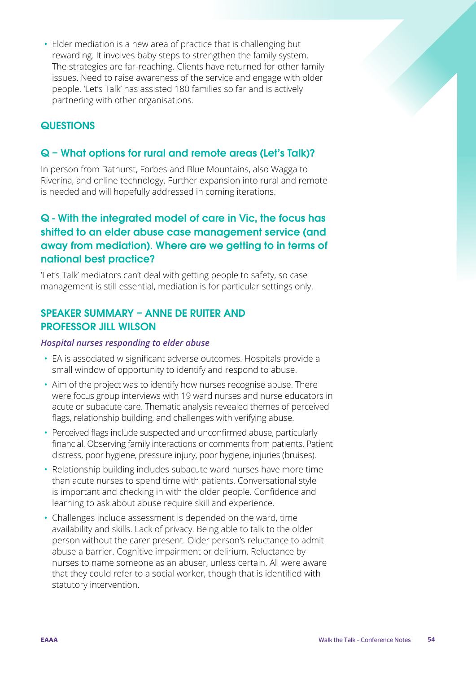• Elder mediation is a new area of practice that is challenging but rewarding. It involves baby steps to strengthen the family system. The strategies are far-reaching. Clients have returned for other family issues. Need to raise awareness of the service and engage with older people. 'Let's Talk' has assisted 180 families so far and is actively partnering with other organisations.

### **QUESTIONS**

#### Q – What options for rural and remote areas (Let's Talk)?

In person from Bathurst, Forbes and Blue Mountains, also Wagga to Riverina, and online technology. Further expansion into rural and remote is needed and will hopefully addressed in coming iterations.

# Q - With the integrated model of care in Vic, the focus has shifted to an elder abuse case management service (and away from mediation). Where are we getting to in terms of national best practice?

'Let's Talk' mediators can't deal with getting people to safety, so case management is still essential, mediation is for particular settings only.

#### SPEAKER SUMMARY – ANNE DE RUITER AND PROFESSOR JILL WILSON

#### *Hospital nurses responding to elder abuse*

- EA is associated w significant adverse outcomes. Hospitals provide a small window of opportunity to identify and respond to abuse.
- Aim of the project was to identify how nurses recognise abuse. There were focus group interviews with 19 ward nurses and nurse educators in acute or subacute care. Thematic analysis revealed themes of perceived flags, relationship building, and challenges with verifying abuse.
- Perceived flags include suspected and unconfirmed abuse, particularly financial. Observing family interactions or comments from patients. Patient distress, poor hygiene, pressure injury, poor hygiene, injuries (bruises).
- Relationship building includes subacute ward nurses have more time than acute nurses to spend time with patients. Conversational style is important and checking in with the older people. Confidence and learning to ask about abuse require skill and experience.
- Challenges include assessment is depended on the ward, time availability and skills. Lack of privacy. Being able to talk to the older person without the carer present. Older person's reluctance to admit abuse a barrier. Cognitive impairment or delirium. Reluctance by nurses to name someone as an abuser, unless certain. All were aware that they could refer to a social worker, though that is identified with statutory intervention.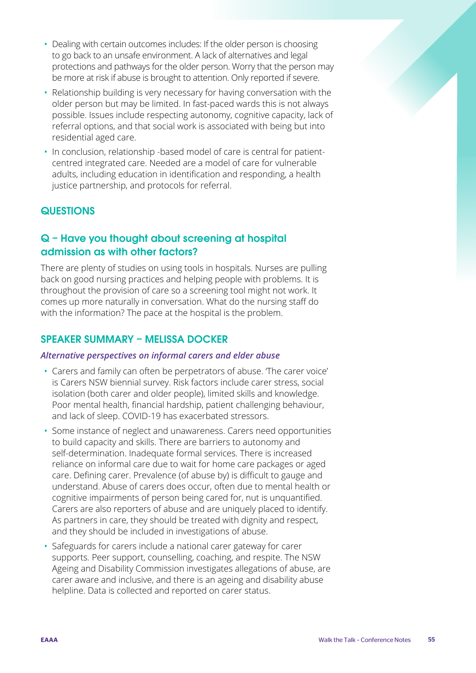- Dealing with certain outcomes includes: If the older person is choosing to go back to an unsafe environment. A lack of alternatives and legal protections and pathways for the older person. Worry that the person may be more at risk if abuse is brought to attention. Only reported if severe.
- Relationship building is very necessary for having conversation with the older person but may be limited. In fast-paced wards this is not always possible. Issues include respecting autonomy, cognitive capacity, lack of referral options, and that social work is associated with being but into residential aged care.
- In conclusion, relationship -based model of care is central for patientcentred integrated care. Needed are a model of care for vulnerable adults, including education in identification and responding, a health justice partnership, and protocols for referral.

# **QUESTIONS**

# Q – Have you thought about screening at hospital admission as with other factors?

There are plenty of studies on using tools in hospitals. Nurses are pulling back on good nursing practices and helping people with problems. It is throughout the provision of care so a screening tool might not work. It comes up more naturally in conversation. What do the nursing staff do with the information? The pace at the hospital is the problem.

# SPEAKER SUMMARY – MELISSA DOCKER

#### *Alternative perspectives on informal carers and elder abuse*

- Carers and family can often be perpetrators of abuse. 'The carer voice' is Carers NSW biennial survey. Risk factors include carer stress, social isolation (both carer and older people), limited skills and knowledge. Poor mental health, financial hardship, patient challenging behaviour, and lack of sleep. COVID-19 has exacerbated stressors.
- Some instance of neglect and unawareness. Carers need opportunities to build capacity and skills. There are barriers to autonomy and self-determination. Inadequate formal services. There is increased reliance on informal care due to wait for home care packages or aged care. Defining carer. Prevalence (of abuse by) is difficult to gauge and understand. Abuse of carers does occur, often due to mental health or cognitive impairments of person being cared for, nut is unquantified. Carers are also reporters of abuse and are uniquely placed to identify. As partners in care, they should be treated with dignity and respect, and they should be included in investigations of abuse.
- Safeguards for carers include a national carer gateway for carer supports. Peer support, counselling, coaching, and respite. The NSW Ageing and Disability Commission investigates allegations of abuse, are carer aware and inclusive, and there is an ageing and disability abuse helpline. Data is collected and reported on carer status.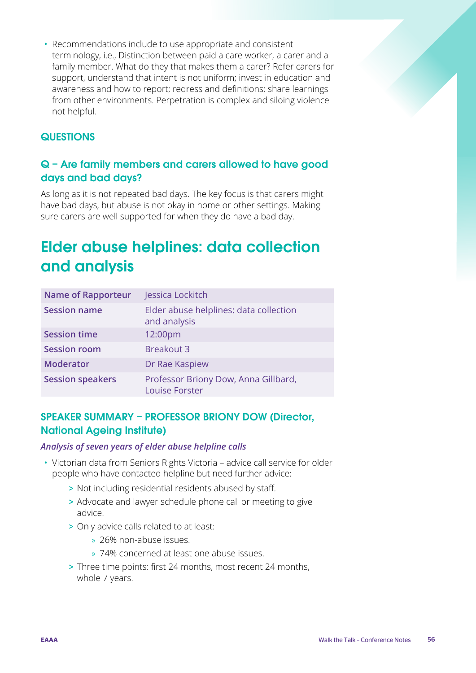• Recommendations include to use appropriate and consistent terminology, i.e., Distinction between paid a care worker, a carer and a family member. What do they that makes them a carer? Refer carers for support, understand that intent is not uniform; invest in education and awareness and how to report; redress and definitions; share learnings from other environments. Perpetration is complex and siloing violence not helpful.

# **QUESTIONS**

# Q – Are family members and carers allowed to have good days and bad days?

As long as it is not repeated bad days. The key focus is that carers might have bad days, but abuse is not okay in home or other settings. Making sure carers are well supported for when they do have a bad day.

# Elder abuse helplines: data collection and analysis

| <b>Name of Rapporteur</b> | Jessica Lockitch                                              |
|---------------------------|---------------------------------------------------------------|
| <b>Session name</b>       | Elder abuse helplines: data collection<br>and analysis        |
| <b>Session time</b>       | 12:00pm                                                       |
| <b>Session room</b>       | <b>Breakout 3</b>                                             |
| <b>Moderator</b>          | Dr Rae Kaspiew                                                |
| <b>Session speakers</b>   | Professor Briony Dow, Anna Gillbard,<br><b>Louise Forster</b> |

# SPEAKER SUMMARY – PROFESSOR BRIONY DOW (Director, National Ageing Institute)

#### *Analysis of seven years of elder abuse helpline calls*

- Victorian data from Seniors Rights Victoria advice call service for older people who have contacted helpline but need further advice:
	- > Not including residential residents abused by staff.
	- > Advocate and lawyer schedule phone call or meeting to give advice.
	- > Only advice calls related to at least:
		- » 26% non-abuse issues.
		- » 74% concerned at least one abuse issues.
	- > Three time points: first 24 months, most recent 24 months, whole 7 years.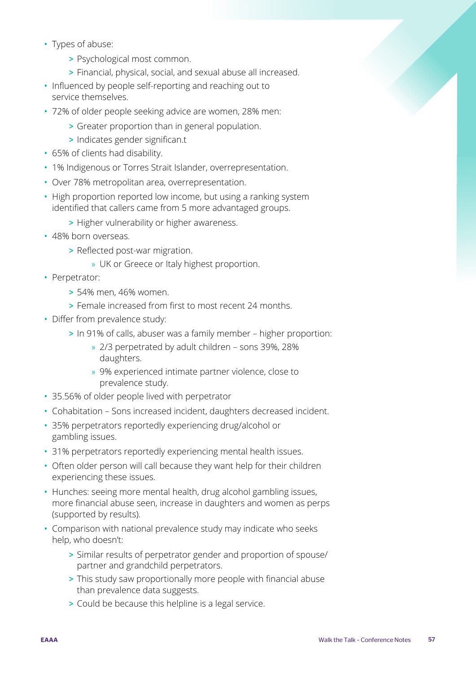- Types of abuse:
	- > Psychological most common.
	- > Financial, physical, social, and sexual abuse all increased.
- Influenced by people self-reporting and reaching out to service themselves.
- 72% of older people seeking advice are women, 28% men:
	- > Greater proportion than in general population.
	- > Indicates gender significan.t
- 65% of clients had disability.
- 1% Indigenous or Torres Strait Islander, overrepresentation.
- Over 78% metropolitan area, overrepresentation.
- High proportion reported low income, but using a ranking system identified that callers came from 5 more advantaged groups.
	- > Higher vulnerability or higher awareness.
- 48% born overseas.
	- > Reflected post-war migration.
		- » UK or Greece or Italy highest proportion.
- Perpetrator:
	- > 54% men, 46% women.
	- > Female increased from first to most recent 24 months.
- Differ from prevalence study:
	- > In 91% of calls, abuser was a family member higher proportion:
		- » 2/3 perpetrated by adult children sons 39%, 28% daughters.
		- » 9% experienced intimate partner violence, close to prevalence study.
- 35.56% of older people lived with perpetrator
- Cohabitation Sons increased incident, daughters decreased incident.
- 35% perpetrators reportedly experiencing drug/alcohol or gambling issues.
- 31% perpetrators reportedly experiencing mental health issues.
- Often older person will call because they want help for their children experiencing these issues.
- Hunches: seeing more mental health, drug alcohol gambling issues, more financial abuse seen, increase in daughters and women as perps (supported by results).
- Comparison with national prevalence study may indicate who seeks help, who doesn't:
	- > Similar results of perpetrator gender and proportion of spouse/ partner and grandchild perpetrators.
	- > This study saw proportionally more people with financial abuse than prevalence data suggests.
	- > Could be because this helpline is a legal service.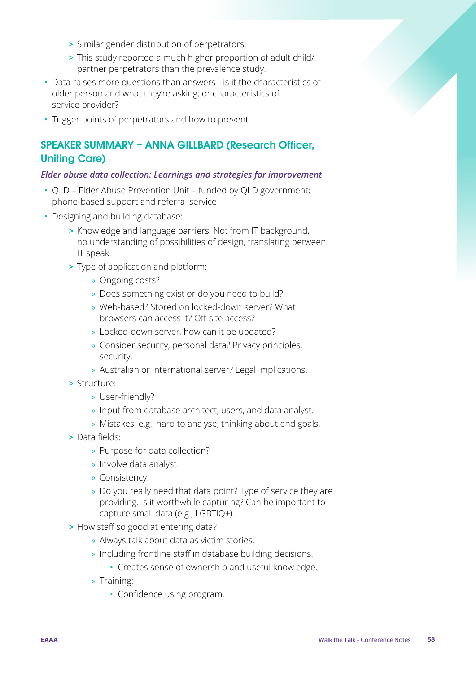- > Similar gender distribution of perpetrators.
- > This study reported a much higher proportion of adult child/ partner perpetrators than the prevalence study.
- Data raises more questions than answers is it the characteristics of older person and what they're asking, or characteristics of service provider?
- Trigger points of perpetrators and how to prevent.

# SPEAKER SUMMARY – ANNA GILLBARD (Research Officer, Uniting Care)

#### *Elder abuse data collection: Learnings and strategies for improvement*

- QLD Elder Abuse Prevention Unit funded by QLD government; phone-based support and referral service
- Designing and building database:
	- > Knowledge and language barriers. Not from IT background, no understanding of possibilities of design, translating between IT speak.
	- > Type of application and platform:
		- » Ongoing costs?
		- » Does something exist or do you need to build?
		- » Web-based? Stored on locked-down server? What browsers can access it? Off-site access?
		- » Locked-down server, how can it be updated?
		- » Consider security, personal data? Privacy principles, security.
		- » Australian or international server? Legal implications.
	- > Structure:
		- » User-friendly?
		- » Input from database architect, users, and data analyst.
		- » Mistakes: e.g., hard to analyse, thinking about end goals.
	- > Data fields:
		- » Purpose for data collection?
		- » Involve data analyst.
		- » Consistency.
		- » Do you really need that data point? Type of service they are providing. Is it worthwhile capturing? Can be important to capture small data (e.g., LGBTIQ+).
	- > How staff so good at entering data?
		- » Always talk about data as victim stories.
		- » Including frontline staff in database building decisions.
			- Creates sense of ownership and useful knowledge.
		- » Training:
			- Confidence using program.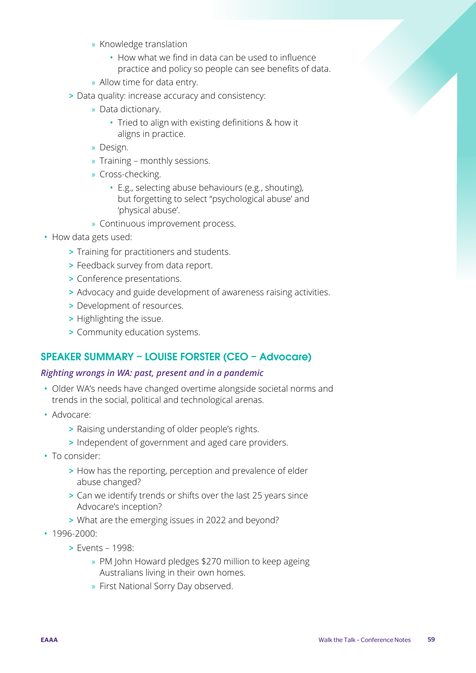- » Knowledge translation
	- How what we find in data can be used to influence practice and policy so people can see benefits of data.
- » Allow time for data entry.
- > Data quality: increase accuracy and consistency:
	- » Data dictionary.
		- Tried to align with existing definitions & how it aligns in practice.
	- » Design.
	- » Training monthly sessions.
	- » Cross-checking.
		- E.g., selecting abuse behaviours (e.g., shouting), but forgetting to select "psychological abuse' and 'physical abuse'.
	- » Continuous improvement process.
- How data gets used:
	- > Training for practitioners and students.
	- > Feedback survey from data report.
	- > Conference presentations.
	- > Advocacy and guide development of awareness raising activities.
	- > Development of resources.
	- > Highlighting the issue.
	- > Community education systems.

# SPEAKER SUMMARY – LOUISE FORSTER (CEO – Advocare)

#### *Righting wrongs in WA: past, present and in a pandemic*

- Older WA's needs have changed overtime alongside societal norms and trends in the social, political and technological arenas.
- Advocare:
	- > Raising understanding of older people's rights.
	- > Independent of government and aged care providers.
- To consider:
	- > How has the reporting, perception and prevalence of elder abuse changed?
	- > Can we identify trends or shifts over the last 25 years since Advocare's inception?
	- > What are the emerging issues in 2022 and beyond?
- 1996-2000:
	- > Events 1998:
		- » PM John Howard pledges \$270 million to keep ageing Australians living in their own homes.
		- » First National Sorry Day observed.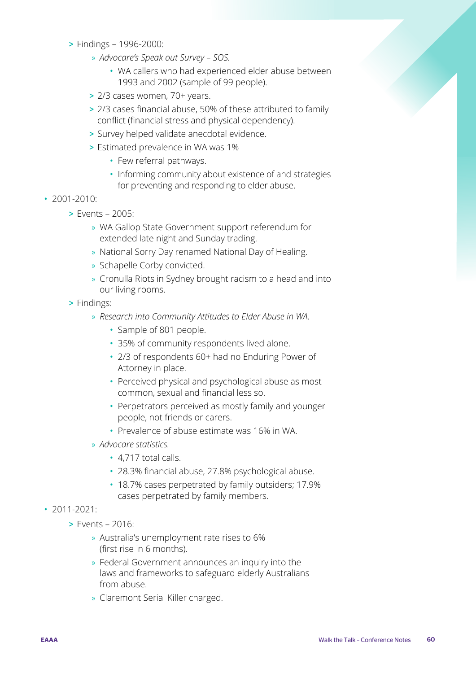- > Findings 1996-2000:
	- » *Advocare's Speak out Survey SOS.*
		- WA callers who had experienced elder abuse between 1993 and 2002 (sample of 99 people).
	- > 2/3 cases women, 70+ years.
	- > 2/3 cases financial abuse, 50% of these attributed to family conflict (financial stress and physical dependency).
	- > Survey helped validate anecdotal evidence.
	- > Estimated prevalence in WA was 1%
		- Few referral pathways.
		- Informing community about existence of and strategies for preventing and responding to elder abuse.
- 2001-2010:
	- > Events 2005:
		- » WA Gallop State Government support referendum for extended late night and Sunday trading.
		- » National Sorry Day renamed National Day of Healing.
		- » Schapelle Corby convicted.
		- » Cronulla Riots in Sydney brought racism to a head and into our living rooms.
	- > Findings:
		- » *Research into Community Attitudes to Elder Abuse in WA.*
			- Sample of 801 people.
			- 35% of community respondents lived alone.
			- 2/3 of respondents 60+ had no Enduring Power of Attorney in place.
			- Perceived physical and psychological abuse as most common, sexual and financial less so.
			- Perpetrators perceived as mostly family and younger people, not friends or carers.
			- Prevalence of abuse estimate was 16% in WA.
		- » *Advocare statistics.*
			- 4,717 total calls.
			- 28.3% financial abuse, 27.8% psychological abuse.
			- 18.7% cases perpetrated by family outsiders; 17.9% cases perpetrated by family members.
- 2011-2021:
	- > Events 2016:
		- » Australia's unemployment rate rises to 6% (first rise in 6 months).
		- » Federal Government announces an inquiry into the laws and frameworks to safeguard elderly Australians from abuse.
		- » Claremont Serial Killer charged.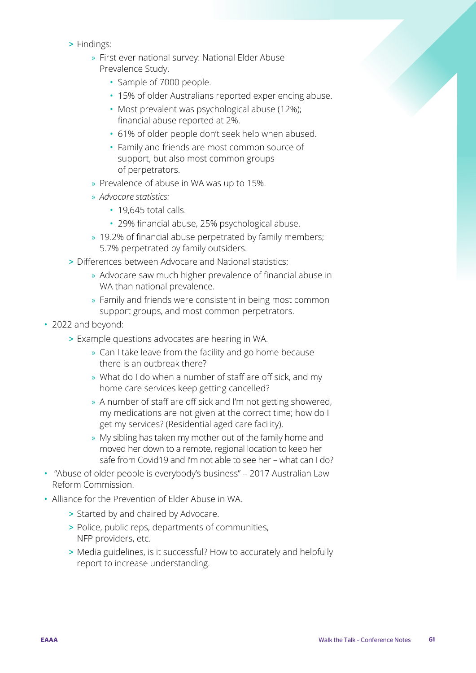- > Findings:
	- » First ever national survey: National Elder Abuse Prevalence Study.
		- Sample of 7000 people.
		- 15% of older Australians reported experiencing abuse.
		- Most prevalent was psychological abuse (12%); financial abuse reported at 2%.
		- 61% of older people don't seek help when abused.
		- Family and friends are most common source of support, but also most common groups of perpetrators.
	- » Prevalence of abuse in WA was up to 15%.
	- » *Advocare statistics:*
		- 19.645 total calls.
		- 29% financial abuse, 25% psychological abuse.
	- » 19.2% of financial abuse perpetrated by family members; 5.7% perpetrated by family outsiders.
- > Differences between Advocare and National statistics:
	- » Advocare saw much higher prevalence of financial abuse in WA than national prevalence.
	- » Family and friends were consistent in being most common support groups, and most common perpetrators.
- 2022 and beyond:
	- > Example questions advocates are hearing in WA.
		- » Can I take leave from the facility and go home because there is an outbreak there?
		- » What do I do when a number of staff are off sick, and my home care services keep getting cancelled?
		- » A number of staff are off sick and I'm not getting showered, my medications are not given at the correct time; how do I get my services? (Residential aged care facility).
		- » My sibling has taken my mother out of the family home and moved her down to a remote, regional location to keep her safe from Covid19 and I'm not able to see her – what can I do?
- "Abuse of older people is everybody's business" 2017 Australian Law Reform Commission.
- Alliance for the Prevention of Elder Abuse in WA.
	- > Started by and chaired by Advocare.
	- > Police, public reps, departments of communities, NFP providers, etc.
	- > Media guidelines, is it successful? How to accurately and helpfully report to increase understanding.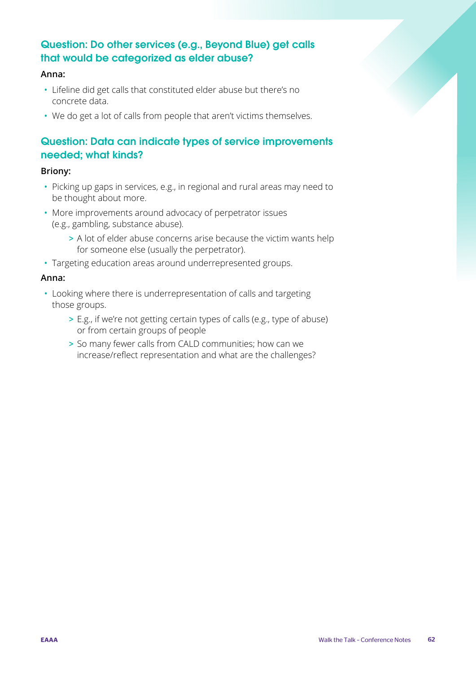# Question: Do other services (e.g., Beyond Blue) get calls that would be categorized as elder abuse?

#### **Anna:**

- Lifeline did get calls that constituted elder abuse but there's no concrete data.
- We do get a lot of calls from people that aren't victims themselves.

# Question: Data can indicate types of service improvements needed; what kinds?

#### **Briony:**

- Picking up gaps in services, e.g., in regional and rural areas may need to be thought about more.
- More improvements around advocacy of perpetrator issues (e.g., gambling, substance abuse).
	- > A lot of elder abuse concerns arise because the victim wants help for someone else (usually the perpetrator).
- Targeting education areas around underrepresented groups.

#### **Anna:**

- Looking where there is underrepresentation of calls and targeting those groups.
	- > E.g., if we're not getting certain types of calls (e.g., type of abuse) or from certain groups of people
	- > So many fewer calls from CALD communities; how can we increase/reflect representation and what are the challenges?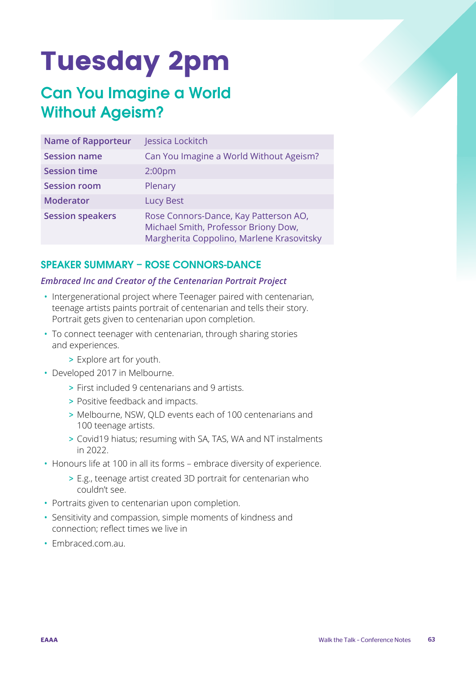# Tuesday 2pm

# Can You Imagine a World Without Ageism?

| <b>Name of Rapporteur</b> | Jessica Lockitch                                                                                                           |
|---------------------------|----------------------------------------------------------------------------------------------------------------------------|
| <b>Session name</b>       | Can You Imagine a World Without Ageism?                                                                                    |
| <b>Session time</b>       | 2:00 <sub>pm</sub>                                                                                                         |
| <b>Session room</b>       | Plenary                                                                                                                    |
| <b>Moderator</b>          | Lucy Best                                                                                                                  |
| <b>Session speakers</b>   | Rose Connors-Dance, Kay Patterson AO,<br>Michael Smith, Professor Briony Dow,<br>Margherita Coppolino, Marlene Krasovitsky |

# SPEAKER SUMMARY – ROSE CONNORS-DANCE

#### *Embraced Inc and Creator of the Centenarian Portrait Project*

- Intergenerational project where Teenager paired with centenarian, teenage artists paints portrait of centenarian and tells their story. Portrait gets given to centenarian upon completion.
- To connect teenager with centenarian, through sharing stories and experiences.
	- > Explore art for youth.
- Developed 2017 in Melbourne.
	- > First included 9 centenarians and 9 artists.
	- > Positive feedback and impacts.
	- > Melbourne, NSW, QLD events each of 100 centenarians and 100 teenage artists.
	- > Covid19 hiatus; resuming with SA, TAS, WA and NT instalments in 2022.
- Honours life at 100 in all its forms embrace diversity of experience.
	- > E.g., teenage artist created 3D portrait for centenarian who couldn't see.
- Portraits given to centenarian upon completion.
- Sensitivity and compassion, simple moments of kindness and connection; reflect times we live in
- Embraced com au.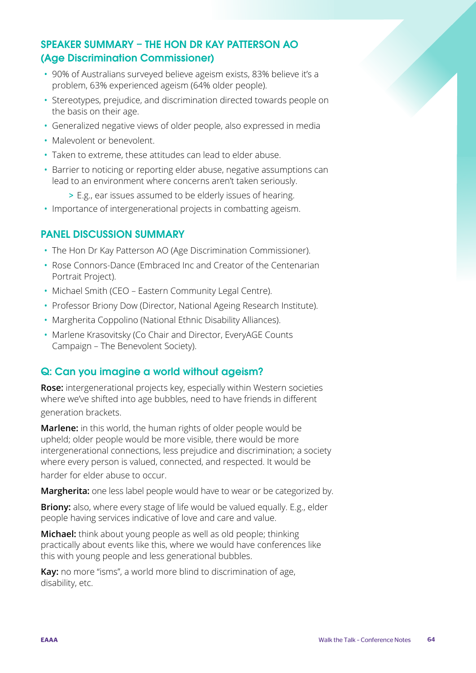# SPEAKER SUMMARY – THE HON DR KAY PATTERSON AO (Age Discrimination Commissioner)

- 90% of Australians surveyed believe ageism exists, 83% believe it's a problem, 63% experienced ageism (64% older people).
- Stereotypes, prejudice, and discrimination directed towards people on the basis on their age.
- Generalized negative views of older people, also expressed in media
- Malevolent or benevolent.
- Taken to extreme, these attitudes can lead to elder abuse.
- Barrier to noticing or reporting elder abuse, negative assumptions can lead to an environment where concerns aren't taken seriously.
	- > E.g., ear issues assumed to be elderly issues of hearing.
- Importance of intergenerational projects in combatting ageism.

#### PANEL DISCUSSION SUMMARY

- The Hon Dr Kay Patterson AO (Age Discrimination Commissioner).
- Rose Connors-Dance (Embraced Inc and Creator of the Centenarian Portrait Project).
- Michael Smith (CEO Eastern Community Legal Centre).
- Professor Briony Dow (Director, National Ageing Research Institute).
- Margherita Coppolino (National Ethnic Disability Alliances).
- Marlene Krasovitsky (Co Chair and Director, EveryAGE Counts Campaign – The Benevolent Society).

# Q: Can you imagine a world without ageism?

**Rose:** intergenerational projects key, especially within Western societies where we've shifted into age bubbles, need to have friends in different generation brackets.

**Marlene:** in this world, the human rights of older people would be upheld; older people would be more visible, there would be more intergenerational connections, less prejudice and discrimination; a society where every person is valued, connected, and respected. It would be harder for elder abuse to occur.

**Margherita:** one less label people would have to wear or be categorized by.

**Briony:** also, where every stage of life would be valued equally. E.g., elder people having services indicative of love and care and value.

**Michael:** think about young people as well as old people; thinking practically about events like this, where we would have conferences like this with young people and less generational bubbles.

**Kay:** no more "isms", a world more blind to discrimination of age, disability, etc.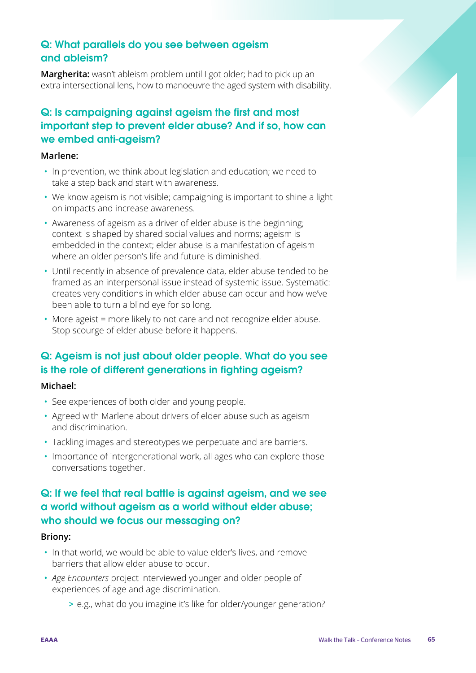# Q: What parallels do you see between ageism and ableism?

**Margherita:** wasn't ableism problem until I got older; had to pick up an extra intersectional lens, how to manoeuvre the aged system with disability.

# Q: Is campaigning against ageism the first and most important step to prevent elder abuse? And if so, how can we embed anti-ageism?

#### **Marlene:**

- In prevention, we think about legislation and education; we need to take a step back and start with awareness.
- We know ageism is not visible; campaigning is important to shine a light on impacts and increase awareness.
- Awareness of ageism as a driver of elder abuse is the beginning; context is shaped by shared social values and norms; ageism is embedded in the context; elder abuse is a manifestation of ageism where an older person's life and future is diminished.
- Until recently in absence of prevalence data, elder abuse tended to be framed as an interpersonal issue instead of systemic issue. Systematic: creates very conditions in which elder abuse can occur and how we've been able to turn a blind eye for so long.
- More ageist = more likely to not care and not recognize elder abuse. Stop scourge of elder abuse before it happens.

# Q: Ageism is not just about older people. What do you see is the role of different generations in fighting ageism?

#### **Michael:**

- See experiences of both older and young people.
- Agreed with Marlene about drivers of elder abuse such as ageism and discrimination.
- Tackling images and stereotypes we perpetuate and are barriers.
- Importance of intergenerational work, all ages who can explore those conversations together.

# Q: If we feel that real battle is against ageism, and we see a world without ageism as a world without elder abuse; who should we focus our messaging on?

#### **Briony:**

- In that world, we would be able to value elder's lives, and remove barriers that allow elder abuse to occur.
- *Age Encounters* project interviewed younger and older people of experiences of age and age discrimination.
	- > e.g., what do you imagine it's like for older/younger generation?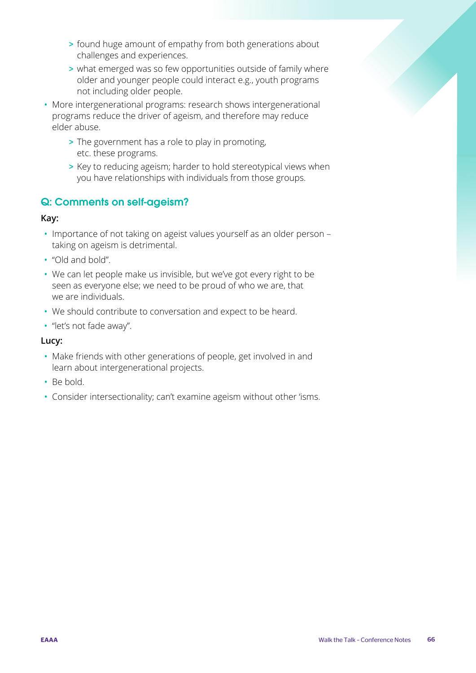- > found huge amount of empathy from both generations about challenges and experiences.
- > what emerged was so few opportunities outside of family where older and younger people could interact e.g., youth programs not including older people.
- More intergenerational programs: research shows intergenerational programs reduce the driver of ageism, and therefore may reduce elder abuse.
	- > The government has a role to play in promoting, etc. these programs.
	- > Key to reducing ageism; harder to hold stereotypical views when you have relationships with individuals from those groups.

# Q: Comments on self-ageism?

#### **Kay:**

- Importance of not taking on ageist values yourself as an older person taking on ageism is detrimental.
- "Old and bold".
- We can let people make us invisible, but we've got every right to be seen as everyone else; we need to be proud of who we are, that we are individuals.
- We should contribute to conversation and expect to be heard.
- "let's not fade away".

#### **Lucy:**

- Make friends with other generations of people, get involved in and learn about intergenerational projects.
- Be bold.
- Consider intersectionality; can't examine ageism without other 'isms.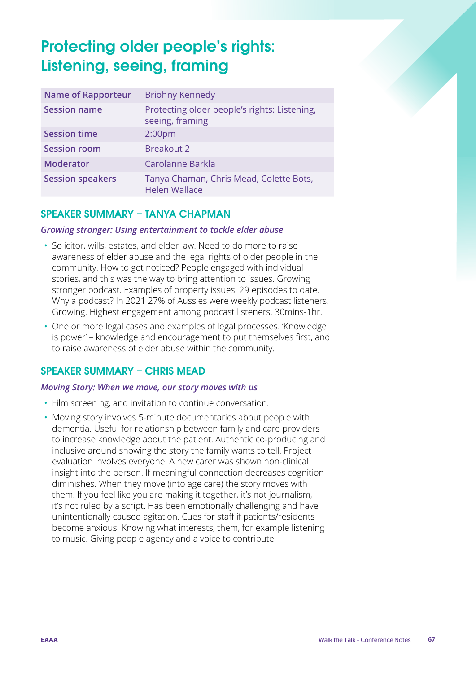# Protecting older people's rights: Listening, seeing, framing

| <b>Name of Rapporteur</b> | <b>Briohny Kennedy</b>                                          |
|---------------------------|-----------------------------------------------------------------|
| <b>Session name</b>       | Protecting older people's rights: Listening,<br>seeing, framing |
| <b>Session time</b>       | 2:00 <sub>pm</sub>                                              |
| <b>Session room</b>       | <b>Breakout 2</b>                                               |
| <b>Moderator</b>          | Carolanne Barkla                                                |
| <b>Session speakers</b>   | Tanya Chaman, Chris Mead, Colette Bots,<br><b>Helen Wallace</b> |

# SPEAKER SUMMARY – TANYA CHAPMAN

#### *Growing stronger: Using entertainment to tackle elder abuse*

- Solicitor, wills, estates, and elder law. Need to do more to raise awareness of elder abuse and the legal rights of older people in the community. How to get noticed? People engaged with individual stories, and this was the way to bring attention to issues. Growing stronger podcast. Examples of property issues. 29 episodes to date. Why a podcast? In 2021 27% of Aussies were weekly podcast listeners. Growing. Highest engagement among podcast listeners. 30mins-1hr.
- One or more legal cases and examples of legal processes. 'Knowledge is power' – knowledge and encouragement to put themselves first, and to raise awareness of elder abuse within the community.

#### SPEAKER SUMMARY – CHRIS MEAD

#### *Moving Story: When we move, our story moves with us*

- Film screening, and invitation to continue conversation.
- Moving story involves 5-minute documentaries about people with dementia. Useful for relationship between family and care providers to increase knowledge about the patient. Authentic co-producing and inclusive around showing the story the family wants to tell. Project evaluation involves everyone. A new carer was shown non-clinical insight into the person. If meaningful connection decreases cognition diminishes. When they move (into age care) the story moves with them. If you feel like you are making it together, it's not journalism, it's not ruled by a script. Has been emotionally challenging and have unintentionally caused agitation. Cues for staff if patients/residents become anxious. Knowing what interests, them, for example listening to music. Giving people agency and a voice to contribute.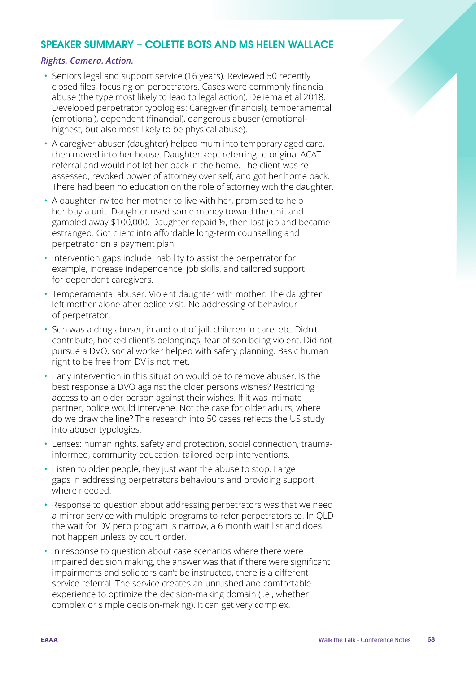#### SPEAKER SUMMARY – COLETTE BOTS AND MS HELEN WALLACE

#### *Rights. Camera. Action.*

- Seniors legal and support service (16 years). Reviewed 50 recently closed files, focusing on perpetrators. Cases were commonly financial abuse (the type most likely to lead to legal action). Deliema et al 2018. Developed perpetrator typologies: Caregiver (financial), temperamental (emotional), dependent (financial), dangerous abuser (emotionalhighest, but also most likely to be physical abuse).
- A caregiver abuser (daughter) helped mum into temporary aged care, then moved into her house. Daughter kept referring to original ACAT referral and would not let her back in the home. The client was reassessed, revoked power of attorney over self, and got her home back. There had been no education on the role of attorney with the daughter.
- A daughter invited her mother to live with her, promised to help her buy a unit. Daughter used some money toward the unit and gambled away \$100,000. Daughter repaid ½, then lost job and became estranged. Got client into affordable long-term counselling and perpetrator on a payment plan.
- Intervention gaps include inability to assist the perpetrator for example, increase independence, job skills, and tailored support for dependent caregivers.
- Temperamental abuser. Violent daughter with mother. The daughter left mother alone after police visit. No addressing of behaviour of perpetrator.
- Son was a drug abuser, in and out of jail, children in care, etc. Didn't contribute, hocked client's belongings, fear of son being violent. Did not pursue a DVO, social worker helped with safety planning. Basic human right to be free from DV is not met.
- Early intervention in this situation would be to remove abuser. Is the best response a DVO against the older persons wishes? Restricting access to an older person against their wishes. If it was intimate partner, police would intervene. Not the case for older adults, where do we draw the line? The research into 50 cases reflects the US study into abuser typologies.
- Lenses: human rights, safety and protection, social connection, traumainformed, community education, tailored perp interventions.
- Listen to older people, they just want the abuse to stop. Large gaps in addressing perpetrators behaviours and providing support where needed.
- Response to question about addressing perpetrators was that we need a mirror service with multiple programs to refer perpetrators to. In QLD the wait for DV perp program is narrow, a 6 month wait list and does not happen unless by court order.
- In response to question about case scenarios where there were impaired decision making, the answer was that if there were significant impairments and solicitors can't be instructed, there is a different service referral. The service creates an unrushed and comfortable experience to optimize the decision-making domain (i.e., whether complex or simple decision-making). It can get very complex.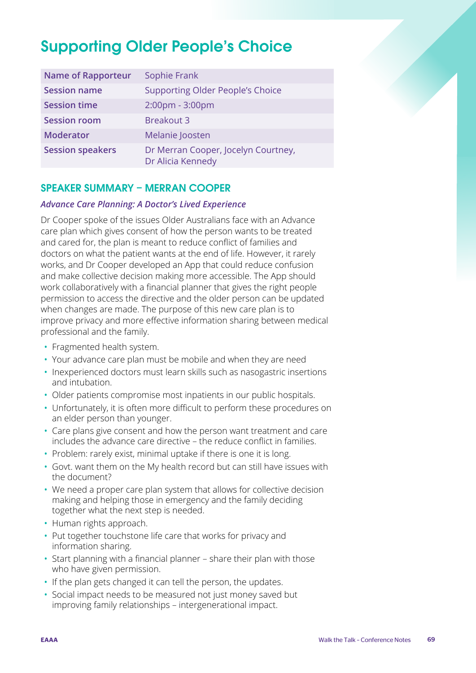# Supporting Older People's Choice

| <b>Name of Rapporteur</b> | Sophie Frank                                             |
|---------------------------|----------------------------------------------------------|
| <b>Session name</b>       | <b>Supporting Older People's Choice</b>                  |
| <b>Session time</b>       | 2:00pm - 3:00pm                                          |
| <b>Session room</b>       | <b>Breakout 3</b>                                        |
| <b>Moderator</b>          | Melanie Joosten                                          |
| <b>Session speakers</b>   | Dr Merran Cooper, Jocelyn Courtney,<br>Dr Alicia Kennedy |

# SPEAKER SUMMARY – MERRAN COOPER

#### *Advance Care Planning: A Doctor's Lived Experience*

Dr Cooper spoke of the issues Older Australians face with an Advance care plan which gives consent of how the person wants to be treated and cared for, the plan is meant to reduce conflict of families and doctors on what the patient wants at the end of life. However, it rarely works, and Dr Cooper developed an App that could reduce confusion and make collective decision making more accessible. The App should work collaboratively with a financial planner that gives the right people permission to access the directive and the older person can be updated when changes are made. The purpose of this new care plan is to improve privacy and more effective information sharing between medical professional and the family.

- Fragmented health system.
- Your advance care plan must be mobile and when they are need
- Inexperienced doctors must learn skills such as nasogastric insertions and intubation.
- Older patients compromise most inpatients in our public hospitals.
- Unfortunately, it is often more difficult to perform these procedures on an elder person than younger.
- Care plans give consent and how the person want treatment and care includes the advance care directive – the reduce conflict in families.
- Problem: rarely exist, minimal uptake if there is one it is long.
- Govt. want them on the My health record but can still have issues with the document?
- We need a proper care plan system that allows for collective decision making and helping those in emergency and the family deciding together what the next step is needed.
- Human rights approach.
- Put together touchstone life care that works for privacy and information sharing.
- Start planning with a financial planner share their plan with those who have given permission.
- If the plan gets changed it can tell the person, the updates.
- Social impact needs to be measured not just money saved but improving family relationships – intergenerational impact.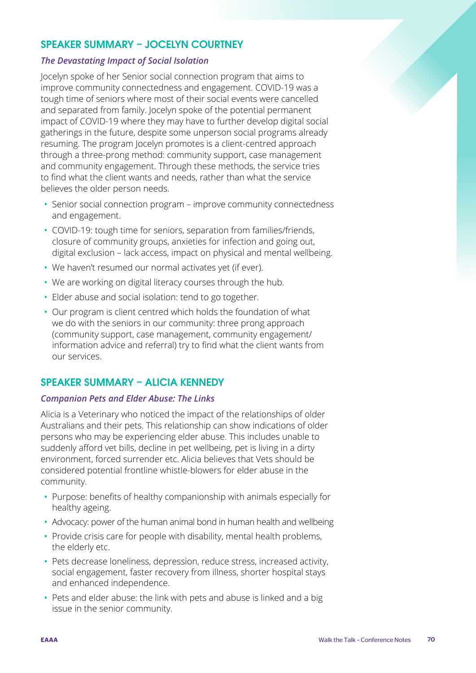# SPEAKER SUMMARY – JOCELYN COURTNEY

#### *The Devastating Impact of Social Isolation*

Jocelyn spoke of her Senior social connection program that aims to improve community connectedness and engagement. COVID-19 was a tough time of seniors where most of their social events were cancelled and separated from family. Jocelyn spoke of the potential permanent impact of COVID-19 where they may have to further develop digital social gatherings in the future, despite some unperson social programs already resuming. The program Jocelyn promotes is a client-centred approach through a three-prong method: community support, case management and community engagement. Through these methods, the service tries to find what the client wants and needs, rather than what the service believes the older person needs.

- Senior social connection program improve community connectedness and engagement.
- COVID-19: tough time for seniors, separation from families/friends, closure of community groups, anxieties for infection and going out, digital exclusion – lack access, impact on physical and mental wellbeing.
- We haven't resumed our normal activates yet (if ever).
- We are working on digital literacy courses through the hub.
- Elder abuse and social isolation: tend to go together.
- Our program is client centred which holds the foundation of what we do with the seniors in our community: three prong approach (community support, case management, community engagement/ information advice and referral) try to find what the client wants from our services.

# SPEAKER SUMMARY – ALICIA KENNEDY

#### *Companion Pets and Elder Abuse: The Links*

Alicia is a Veterinary who noticed the impact of the relationships of older Australians and their pets. This relationship can show indications of older persons who may be experiencing elder abuse. This includes unable to suddenly afford vet bills, decline in pet wellbeing, pet is living in a dirty environment, forced surrender etc. Alicia believes that Vets should be considered potential frontline whistle-blowers for elder abuse in the community.

- Purpose: benefits of healthy companionship with animals especially for healthy ageing.
- Advocacy: power of the human animal bond in human health and wellbeing
- Provide crisis care for people with disability, mental health problems, the elderly etc.
- Pets decrease loneliness, depression, reduce stress, increased activity, social engagement, faster recovery from illness, shorter hospital stays and enhanced independence.
- Pets and elder abuse: the link with pets and abuse is linked and a big issue in the senior community.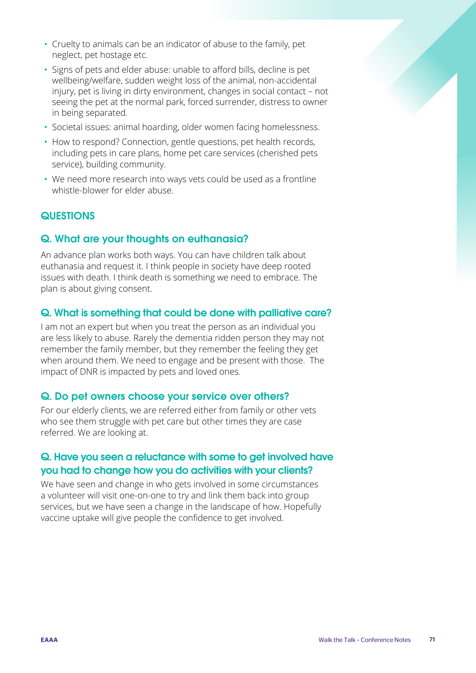- Cruelty to animals can be an indicator of abuse to the family, pet neglect, pet hostage etc.
- Signs of pets and elder abuse: unable to afford bills, decline is pet wellbeing/welfare, sudden weight loss of the animal, non-accidental injury, pet is living in dirty environment, changes in social contact – not seeing the pet at the normal park, forced surrender, distress to owner in being separated.
- Societal issues: animal hoarding, older women facing homelessness.
- How to respond? Connection, gentle questions, pet health records, including pets in care plans, home pet care services (cherished pets service), building community.
- We need more research into ways vets could be used as a frontline whistle-blower for elder abuse.

# **QUESTIONS**

# Q. What are your thoughts on euthanasia?

An advance plan works both ways. You can have children talk about euthanasia and request it. I think people in society have deep rooted issues with death. I think death is something we need to embrace. The plan is about giving consent.

#### Q. What is something that could be done with palliative care?

I am not an expert but when you treat the person as an individual you are less likely to abuse. Rarely the dementia ridden person they may not remember the family member, but they remember the feeling they get when around them. We need to engage and be present with those. The impact of DNR is impacted by pets and loved ones.

#### Q. Do pet owners choose your service over others?

For our elderly clients, we are referred either from family or other vets who see them struggle with pet care but other times they are case referred. We are looking at.

# Q. Have you seen a reluctance with some to get involved have you had to change how you do activities with your clients?

We have seen and change in who gets involved in some circumstances a volunteer will visit one-on-one to try and link them back into group services, but we have seen a change in the landscape of how. Hopefully vaccine uptake will give people the confidence to get involved.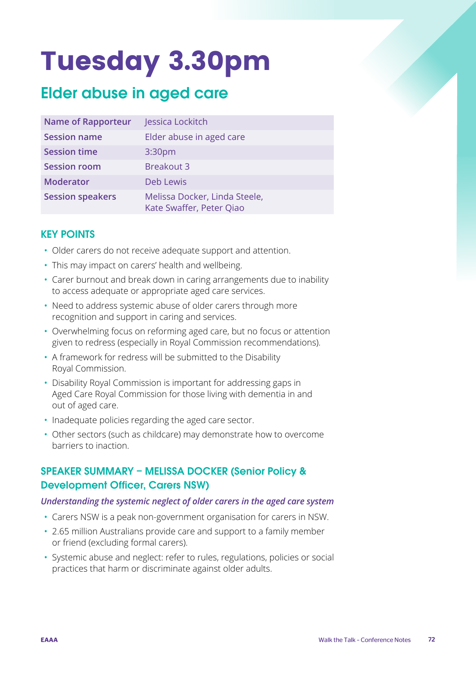# Tuesday 3.30pm

# Elder abuse in aged care

| <b>Name of Rapporteur</b> | Jessica Lockitch                                          |
|---------------------------|-----------------------------------------------------------|
| <b>Session name</b>       | Elder abuse in aged care                                  |
| <b>Session time</b>       | 3:30 <sub>pm</sub>                                        |
| <b>Session room</b>       | <b>Breakout 3</b>                                         |
| <b>Moderator</b>          | Deb Lewis                                                 |
| <b>Session speakers</b>   | Melissa Docker, Linda Steele,<br>Kate Swaffer, Peter Qiao |

# KEY POINTS

- Older carers do not receive adequate support and attention.
- This may impact on carers' health and wellbeing.
- Carer burnout and break down in caring arrangements due to inability to access adequate or appropriate aged care services.
- Need to address systemic abuse of older carers through more recognition and support in caring and services.
- Overwhelming focus on reforming aged care, but no focus or attention given to redress (especially in Royal Commission recommendations).
- A framework for redress will be submitted to the Disability Royal Commission.
- Disability Royal Commission is important for addressing gaps in Aged Care Royal Commission for those living with dementia in and out of aged care.
- Inadequate policies regarding the aged care sector.
- Other sectors (such as childcare) may demonstrate how to overcome barriers to inaction.

# SPEAKER SUMMARY – MELISSA DOCKER (Senior Policy & Development Officer, Carers NSW)

#### *Understanding the systemic neglect of older carers in the aged care system*

- Carers NSW is a peak non-government organisation for carers in NSW.
- 2.65 million Australians provide care and support to a family member or friend (excluding formal carers).
- Systemic abuse and neglect: refer to rules, regulations, policies or social practices that harm or discriminate against older adults.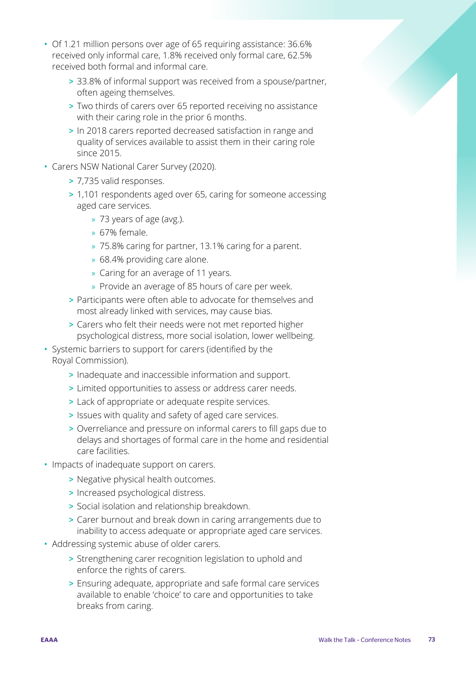- Of 1.21 million persons over age of 65 requiring assistance: 36.6% received only informal care, 1.8% received only formal care, 62.5% received both formal and informal care.
	- > 33.8% of informal support was received from a spouse/partner, often ageing themselves.
	- > Two thirds of carers over 65 reported receiving no assistance with their caring role in the prior 6 months.
	- > In 2018 carers reported decreased satisfaction in range and quality of services available to assist them in their caring role since 2015.
- Carers NSW National Carer Survey (2020).
	- > 7,735 valid responses.
	- > 1,101 respondents aged over 65, caring for someone accessing aged care services.
		- » 73 years of age (avg.).
		- » 67% female.
		- » 75.8% caring for partner, 13.1% caring for a parent.
		- » 68.4% providing care alone.
		- » Caring for an average of 11 years.
		- » Provide an average of 85 hours of care per week.
	- > Participants were often able to advocate for themselves and most already linked with services, may cause bias.
	- > Carers who felt their needs were not met reported higher psychological distress, more social isolation, lower wellbeing.
- Systemic barriers to support for carers (identified by the Royal Commission).
	- > Inadequate and inaccessible information and support.
	- > Limited opportunities to assess or address carer needs.
	- > Lack of appropriate or adequate respite services.
	- > Issues with quality and safety of aged care services.
	- > Overreliance and pressure on informal carers to fill gaps due to delays and shortages of formal care in the home and residential care facilities.
- Impacts of inadequate support on carers.
	- > Negative physical health outcomes.
	- > Increased psychological distress.
	- > Social isolation and relationship breakdown.
	- > Carer burnout and break down in caring arrangements due to inability to access adequate or appropriate aged care services.
- Addressing systemic abuse of older carers.
	- > Strengthening carer recognition legislation to uphold and enforce the rights of carers.
	- > Ensuring adequate, appropriate and safe formal care services available to enable 'choice' to care and opportunities to take breaks from caring.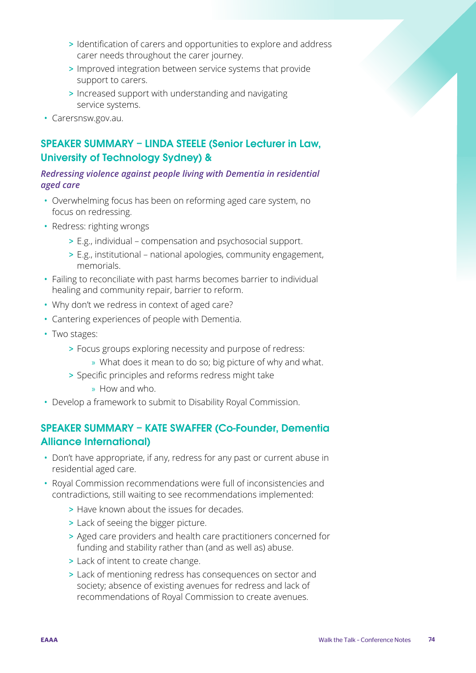- > Identification of carers and opportunities to explore and address carer needs throughout the carer journey.
- > Improved integration between service systems that provide support to carers.
- > Increased support with understanding and navigating service systems.
- Carersnsw.gov.au.

# SPEAKER SUMMARY – LINDA STEELE (Senior Lecturer in Law, University of Technology Sydney) &

## *Redressing violence against people living with Dementia in residential aged care*

- Overwhelming focus has been on reforming aged care system, no focus on redressing.
- Redress: righting wrongs
	- > E.g., individual compensation and psychosocial support.
	- > E.g., institutional national apologies, community engagement, memorials.
- Failing to reconciliate with past harms becomes barrier to individual healing and community repair, barrier to reform.
- Why don't we redress in context of aged care?
- Cantering experiences of people with Dementia.
- Two stages:
	- > Focus groups exploring necessity and purpose of redress:
		- » What does it mean to do so; big picture of why and what.
	- > Specific principles and reforms redress might take
		- » How and who.
- Develop a framework to submit to Disability Royal Commission.

# SPEAKER SUMMARY – KATE SWAFFER (Co-Founder, Dementia Alliance International)

- Don't have appropriate, if any, redress for any past or current abuse in residential aged care.
- Royal Commission recommendations were full of inconsistencies and contradictions, still waiting to see recommendations implemented:
	- > Have known about the issues for decades.
	- > Lack of seeing the bigger picture.
	- > Aged care providers and health care practitioners concerned for funding and stability rather than (and as well as) abuse.
	- > Lack of intent to create change.
	- > Lack of mentioning redress has consequences on sector and society; absence of existing avenues for redress and lack of recommendations of Royal Commission to create avenues.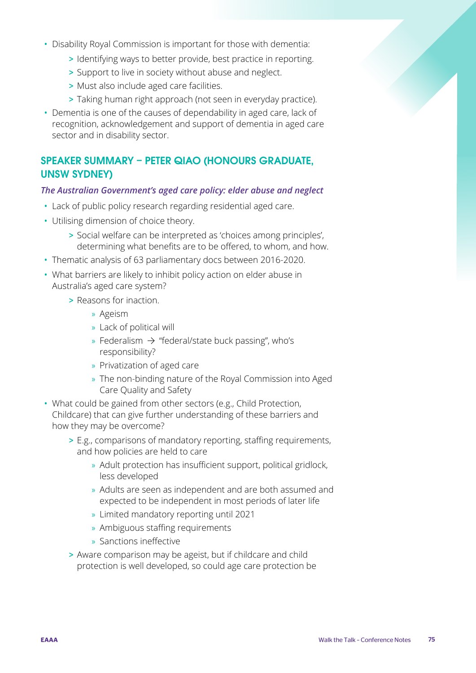- Disability Royal Commission is important for those with dementia:
	- > Identifying ways to better provide, best practice in reporting.
	- > Support to live in society without abuse and neglect.
	- > Must also include aged care facilities.
	- > Taking human right approach (not seen in everyday practice).
- Dementia is one of the causes of dependability in aged care, lack of recognition, acknowledgement and support of dementia in aged care sector and in disability sector.

# SPEAKER SUMMARY – PETER QIAO (HONOURS GRADUATE, UNSW SYDNEY)

#### *The Australian Government's aged care policy: elder abuse and neglect*

- Lack of public policy research regarding residential aged care.
- Utilising dimension of choice theory.
	- > Social welfare can be interpreted as 'choices among principles', determining what benefits are to be offered, to whom, and how.
- Thematic analysis of 63 parliamentary docs between 2016-2020.
- What barriers are likely to inhibit policy action on elder abuse in Australia's aged care system?
	- > Reasons for inaction.
		- » Ageism
		- » Lack of political will
		- » Federalism  $\rightarrow$  "federal/state buck passing", who's responsibility?
		- » Privatization of aged care
		- » The non-binding nature of the Royal Commission into Aged Care Quality and Safety
- What could be gained from other sectors (e.g., Child Protection, Childcare) that can give further understanding of these barriers and how they may be overcome?
	- > E.g., comparisons of mandatory reporting, staffing requirements, and how policies are held to care
		- » Adult protection has insufficient support, political gridlock, less developed
		- » Adults are seen as independent and are both assumed and expected to be independent in most periods of later life
		- » Limited mandatory reporting until 2021
		- » Ambiguous staffing requirements
		- » Sanctions ineffective
	- > Aware comparison may be ageist, but if childcare and child protection is well developed, so could age care protection be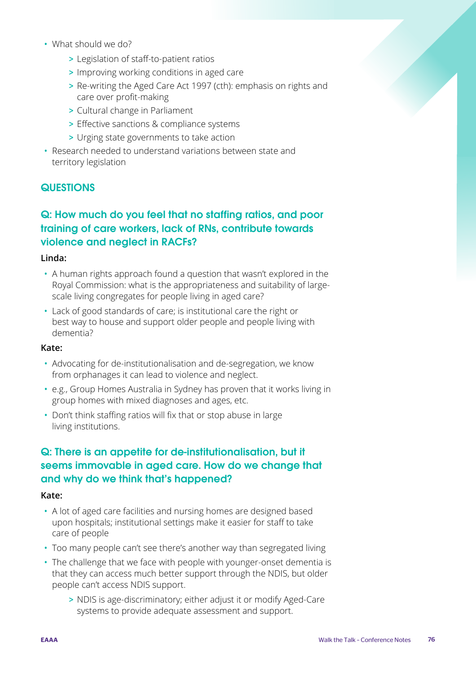- What should we do?
	- > Legislation of staff-to-patient ratios
	- > Improving working conditions in aged care
	- > Re-writing the Aged Care Act 1997 (cth): emphasis on rights and care over profit-making
	- > Cultural change in Parliament
	- > Effective sanctions & compliance systems
	- > Urging state governments to take action
- Research needed to understand variations between state and territory legislation

# **QUESTIONS**

# Q: How much do you feel that no staffing ratios, and poor training of care workers, lack of RNs, contribute towards violence and neglect in RACFs?

## **Linda:**

- A human rights approach found a question that wasn't explored in the Royal Commission: what is the appropriateness and suitability of largescale living congregates for people living in aged care?
- Lack of good standards of care; is institutional care the right or best way to house and support older people and people living with dementia?

## **Kate:**

- Advocating for de-institutionalisation and de-segregation, we know from orphanages it can lead to violence and neglect.
- e.g., Group Homes Australia in Sydney has proven that it works living in group homes with mixed diagnoses and ages, etc.
- Don't think staffing ratios will fix that or stop abuse in large living institutions.

# Q: There is an appetite for de-institutionalisation, but it seems immovable in aged care. How do we change that and why do we think that's happened?

## **Kate:**

- A lot of aged care facilities and nursing homes are designed based upon hospitals; institutional settings make it easier for staff to take care of people
- Too many people can't see there's another way than segregated living
- The challenge that we face with people with younger-onset dementia is that they can access much better support through the NDIS, but older people can't access NDIS support.
	- > NDIS is age-discriminatory; either adjust it or modify Aged-Care systems to provide adequate assessment and support.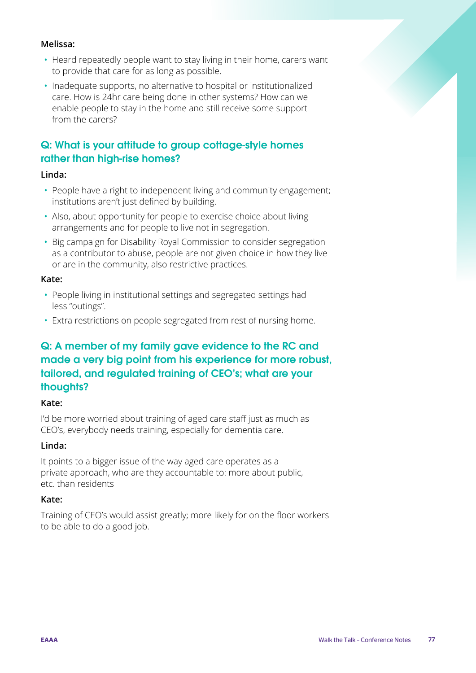## **Melissa:**

- Heard repeatedly people want to stay living in their home, carers want to provide that care for as long as possible.
- Inadequate supports, no alternative to hospital or institutionalized care. How is 24hr care being done in other systems? How can we enable people to stay in the home and still receive some support from the carers?

# Q: What is your attitude to group cottage-style homes rather than high-rise homes?

## **Linda:**

- People have a right to independent living and community engagement; institutions aren't just defined by building.
- Also, about opportunity for people to exercise choice about living arrangements and for people to live not in segregation.
- Big campaign for Disability Royal Commission to consider segregation as a contributor to abuse, people are not given choice in how they live or are in the community, also restrictive practices.

## **Kate:**

- People living in institutional settings and segregated settings had less "outings".
- Extra restrictions on people segregated from rest of nursing home.

# Q: A member of my family gave evidence to the RC and made a very big point from his experience for more robust, tailored, and regulated training of CEO's; what are your thoughts?

## **Kate:**

I'd be more worried about training of aged care staff just as much as CEO's, everybody needs training, especially for dementia care.

## **Linda:**

It points to a bigger issue of the way aged care operates as a private approach, who are they accountable to: more about public, etc. than residents

## **Kate:**

Training of CEO's would assist greatly; more likely for on the floor workers to be able to do a good job.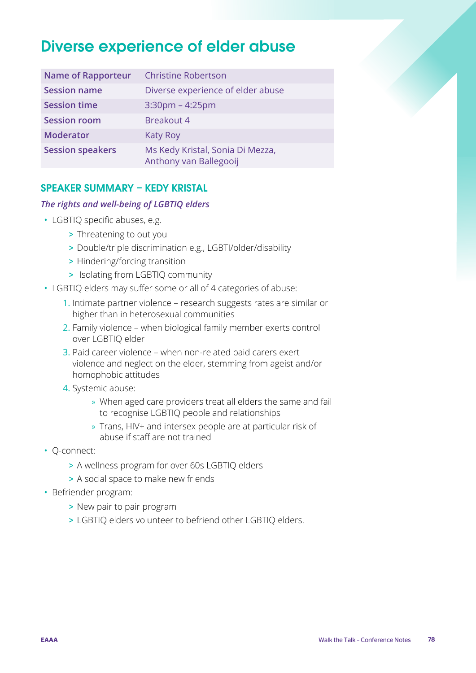# Diverse experience of elder abuse

| <b>Name of Rapporteur</b> | <b>Christine Robertson</b>                                 |
|---------------------------|------------------------------------------------------------|
| <b>Session name</b>       | Diverse experience of elder abuse                          |
| <b>Session time</b>       | $3:30$ pm – $4:25$ pm                                      |
| <b>Session room</b>       | <b>Breakout 4</b>                                          |
| <b>Moderator</b>          | <b>Katy Roy</b>                                            |
| <b>Session speakers</b>   | Ms Kedy Kristal, Sonia Di Mezza,<br>Anthony van Ballegooij |

# SPEAKER SUMMARY – KEDY KRISTAL

## *The rights and well-being of LGBTIQ elders*

- LGBTIQ specific abuses, e.g.
	- > Threatening to out you
	- > Double/triple discrimination e.g., LGBTI/older/disability
	- > Hindering/forcing transition
	- > Isolating from LGBTIQ community
- LGBTIQ elders may suffer some or all of 4 categories of abuse:
	- 1. Intimate partner violence research suggests rates are similar or higher than in heterosexual communities
	- 2. Family violence when biological family member exerts control over LGBTIQ elder
	- 3. Paid career violence when non-related paid carers exert violence and neglect on the elder, stemming from ageist and/or homophobic attitudes
	- 4. Systemic abuse:
		- » When aged care providers treat all elders the same and fail to recognise LGBTIQ people and relationships
		- » Trans, HIV+ and intersex people are at particular risk of abuse if staff are not trained
- Q-connect:
	- > A wellness program for over 60s LGBTIQ elders
	- > A social space to make new friends
- Befriender program:
	- > New pair to pair program
	- > LGBTIQ elders volunteer to befriend other LGBTIQ elders.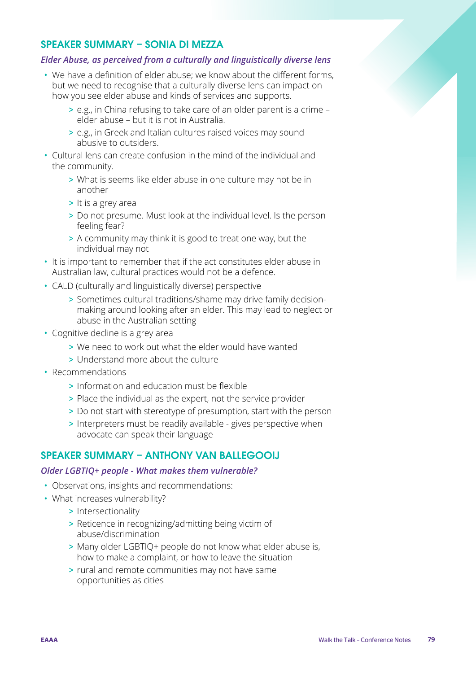## SPEAKER SUMMARY – SONIA DI MEZZA

## *Elder Abuse, as perceived from a culturally and linguistically diverse lens*

- We have a definition of elder abuse; we know about the different forms, but we need to recognise that a culturally diverse lens can impact on how you see elder abuse and kinds of services and supports.
	- > e.g., in China refusing to take care of an older parent is a crime elder abuse – but it is not in Australia.
	- > e.g., in Greek and Italian cultures raised voices may sound abusive to outsiders.
- Cultural lens can create confusion in the mind of the individual and the community.
	- > What is seems like elder abuse in one culture may not be in another
	- > It is a grey area
	- > Do not presume. Must look at the individual level. Is the person feeling fear?
	- > A community may think it is good to treat one way, but the individual may not
- It is important to remember that if the act constitutes elder abuse in Australian law, cultural practices would not be a defence.
- CALD (culturally and linguistically diverse) perspective
	- > Sometimes cultural traditions/shame may drive family decisionmaking around looking after an elder. This may lead to neglect or abuse in the Australian setting
- Cognitive decline is a grey area
	- > We need to work out what the elder would have wanted
	- > Understand more about the culture
- Recommendations
	- > Information and education must be flexible
	- > Place the individual as the expert, not the service provider
	- > Do not start with stereotype of presumption, start with the person
	- > Interpreters must be readily available gives perspective when advocate can speak their language

## SPEAKER SUMMARY – ANTHONY VAN BALLEGOOIJ

#### *Older LGBTIQ+ people - What makes them vulnerable?*

- Observations, insights and recommendations:
- What increases vulnerability?
	- > Intersectionality
	- > Reticence in recognizing/admitting being victim of abuse/discrimination
	- > Many older LGBTIQ+ people do not know what elder abuse is, how to make a complaint, or how to leave the situation
	- > rural and remote communities may not have same opportunities as cities